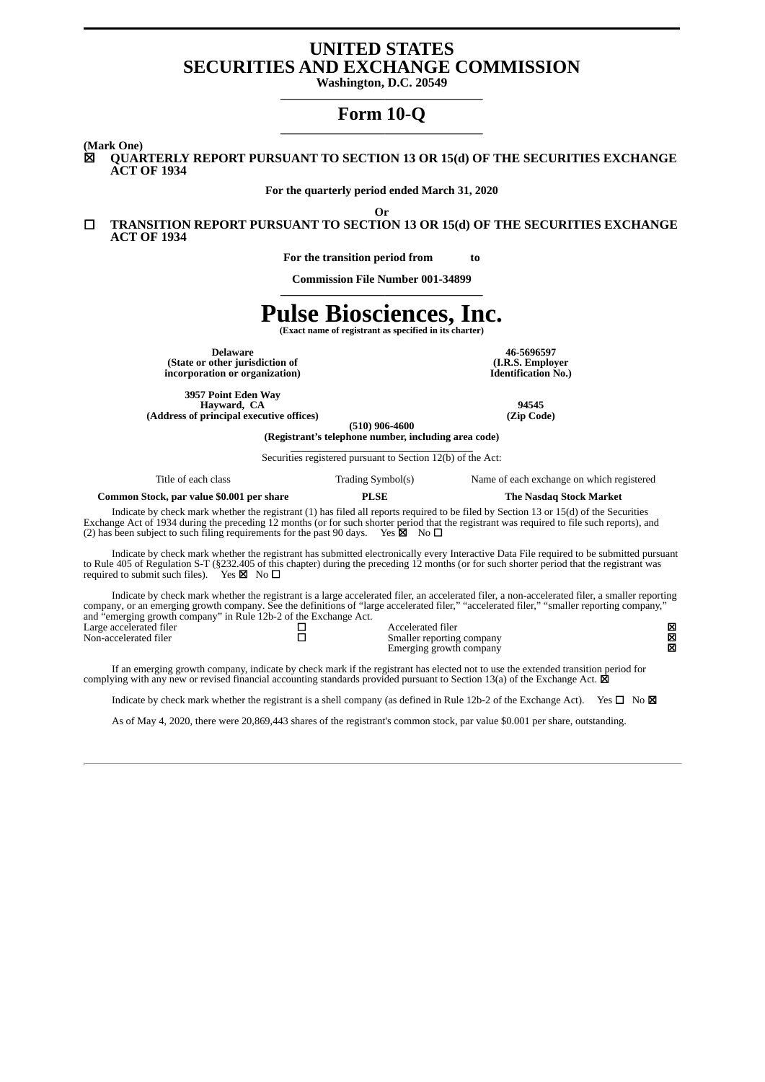# **UNITED STATES SECURITIES AND EXCHANGE COMMISSION**

**Washington, D.C. 20549 \_\_\_\_\_\_\_\_\_\_\_\_\_\_\_\_\_\_\_\_\_\_\_\_\_\_\_\_\_\_\_\_\_\_\_**

# **Form 10-Q \_\_\_\_\_\_\_\_\_\_\_\_\_\_\_\_\_\_\_\_\_\_\_\_\_\_\_\_\_\_\_\_\_\_\_**

**(Mark One)**

☒ **QUARTERLY REPORT PURSUANT TO SECTION 13 OR 15(d) OF THE SECURITIES EXCHANGE ACT OF 1934**

**For the quarterly period ended March 31, 2020**

**Or** ☐ **TRANSITION REPORT PURSUANT TO SECTION 13 OR 15(d) OF THE SECURITIES EXCHANGE ACT OF 1934**

**For the transition period from to**

**Commission File Number 001-34899 \_\_\_\_\_\_\_\_\_\_\_\_\_\_\_\_\_\_\_\_\_\_\_\_\_\_\_\_\_\_\_\_\_\_\_**

# **Pulse Biosciences, Inc.**

**(Exact name of registrant as specified in its charter)**

**(State or other jurisdiction of incorporation or organization)**

**3957 Point Eden Way** Hayward, CA 94545<br> **Principal executive offices** and the set of the set of the set of the set of the set of the set of the set of the set of the set of the set of the set of the set of the set of the set of the set of the **(Address of principal executive offices) (Zip Code)**

**Delaware 46-5696597 (I.R.S. Employer Identification No.)**

**(510) 906-4600 (Registrant's telephone number, including area code)**

**\_\_\_\_\_\_\_\_\_\_\_\_\_\_\_\_\_\_\_\_\_\_\_\_\_\_\_\_\_\_\_\_\_\_\_** Securities registered pursuant to Section 12(b) of the Act:

| Title of each class                       | Trading Symbol(s) | Name of each exchange on which registered |
|-------------------------------------------|-------------------|-------------------------------------------|
| Common Stock, par value \$0.001 per share | <b>PLSE</b>       | The Nasdag Stock Market                   |
|                                           |                   |                                           |

Indicate by check mark whether the registrant (1) has filed all reports required to be filed by Section 13 or 15(d) of the Securities Exchange Act of 1934 during the preceding 12 months (or for such shorter period that the registrant was required to file such reports), and (2) has been subject to such filing requirements for the past 90 days. Yes  $\boxtimes$  (2) has been subject to such filing requirements for the past  $90$  days.

Indicate by check mark whether the registrant has submitted electronically every Interactive Data File required to be submitted pursuant to Rule 405 of Regulation S-T (§232.405 of this chapter) during the preceding 12 months (or for such shorter period that the registrant was required to submit such files). Yes  $\boxtimes$  No  $\square$ 

Indicate by check mark whether the registrant is a large accelerated filer, an accelerated filer, a non-accelerated filer, a smaller reporting company, or an emerging growth company. See the definitions of "large accelerated filer," "sccelerated filer," "smaller reporting company," and "emerging growth company" in Rule 12b-2 of the Exchange Act.<br> Large accelerated filer  $\hfill\Box$ Large accelerated filer ☐ Accelerated filer ☒ Smaller reporting company <br>
Emerging growth company ∴ N Emerging growth company

If an emerging growth company, indicate by check mark if the registrant has elected not to use the extended transition period for complying with any new or revised financial accounting standards provided pursuant to Section 13(a) of the Exchange Act.  $\boxtimes$ 

Indicate by check mark whether the registrant is a shell company (as defined in Rule 12b-2 of the Exchange Act). Yes  $\Box$  No  $\boxtimes$ 

As of May 4, 2020, there were 20,869,443 shares of the registrant's common stock, par value \$0.001 per share, outstanding.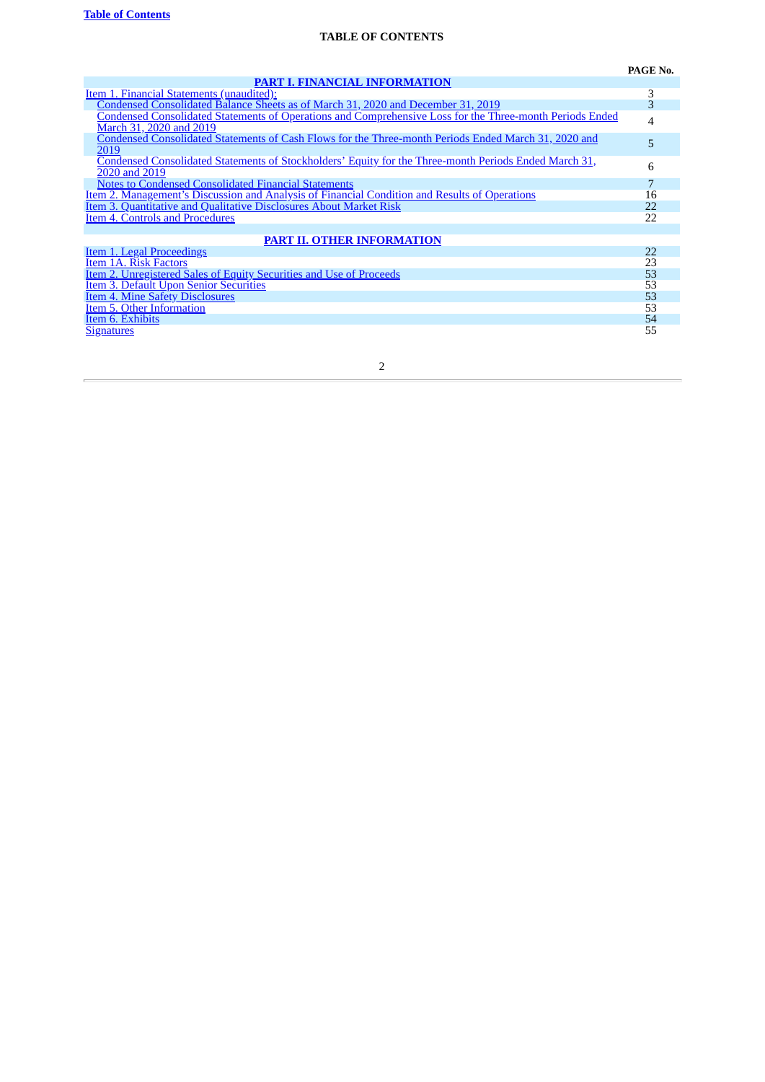# <span id="page-1-0"></span>**TABLE OF CONTENTS**

|                                                                                                          | PAGE No. |
|----------------------------------------------------------------------------------------------------------|----------|
| <b>PART I. FINANCIAL INFORMATION</b>                                                                     |          |
| Item 1. Financial Statements (unaudited):                                                                | 3        |
| Condensed Consolidated Balance Sheets as of March 31, 2020 and December 31, 2019                         | 3        |
| Condensed Consolidated Statements of Operations and Comprehensive Loss for the Three-month Periods Ended | 4        |
| March 31, 2020 and 2019                                                                                  |          |
| Condensed Consolidated Statements of Cash Flows for the Three-month Periods Ended March 31, 2020 and     | 5        |
| 2019                                                                                                     |          |
| Condensed Consolidated Statements of Stockholders' Equity for the Three-month Periods Ended March 31,    | 6        |
| 2020 and 2019                                                                                            |          |
| <b>Notes to Condensed Consolidated Financial Statements</b>                                              | 7        |
| Item 2. Management's Discussion and Analysis of Financial Condition and Results of Operations            | 16       |
| Item 3. Quantitative and Qualitative Disclosures About Market Risk                                       | 22       |
| <b>Item 4. Controls and Procedures</b>                                                                   | 22       |
|                                                                                                          |          |
| <b>PART II. OTHER INFORMATION</b>                                                                        |          |
| Item 1. Legal Proceedings                                                                                | 22       |
| <b>Item 1A. Risk Factors</b>                                                                             | 23       |
| Item 2. Unregistered Sales of Equity Securities and Use of Proceeds                                      | 53       |
| <b>Item 3. Default Upon Senior Securities</b>                                                            | 53       |
| <b>Item 4. Mine Safety Disclosures</b>                                                                   | 53       |
| Item 5. Other Information                                                                                | 53       |
| Item 6. Exhibits                                                                                         | 54       |
| <b>Signatures</b>                                                                                        | 55       |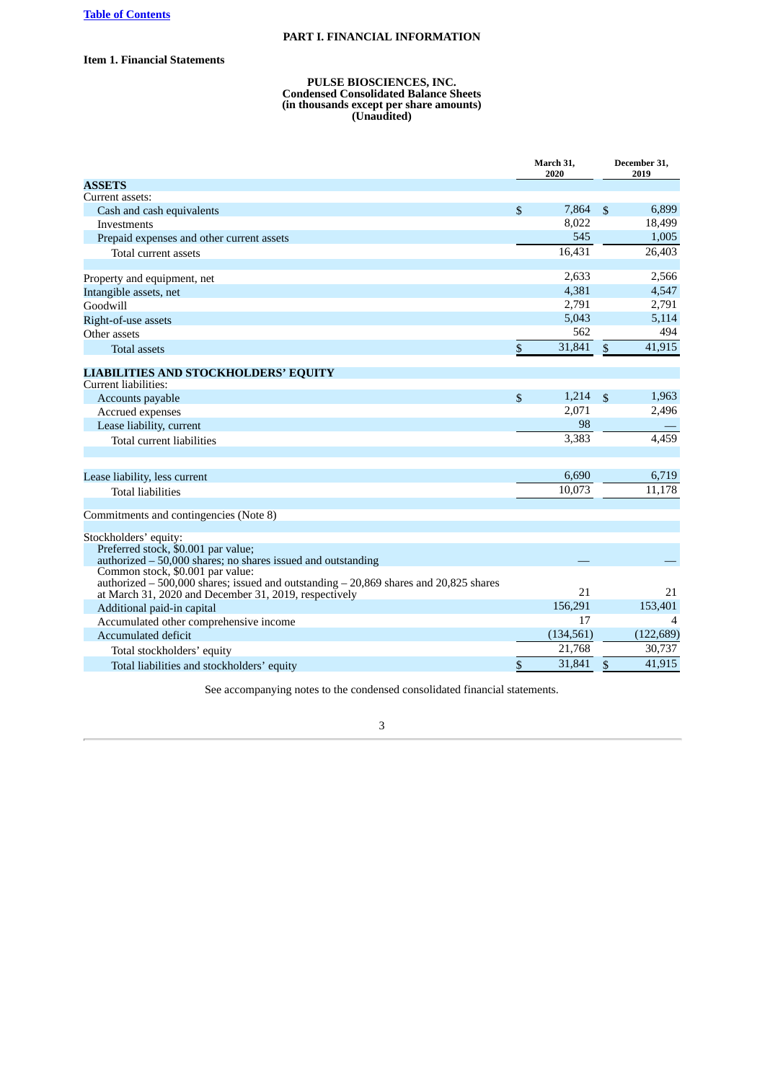# <span id="page-2-0"></span>**PART I. FINANCIAL INFORMATION**

#### <span id="page-2-2"></span>**PULSE BIOSCIENCES, INC. Condensed Consolidated Balance Sheets (in thousands except per share amounts) (Unaudited)**

<span id="page-2-1"></span>

|                                                                                                                                                                                      |                | March 31,<br>2020 |               | December 31,<br>2019 |
|--------------------------------------------------------------------------------------------------------------------------------------------------------------------------------------|----------------|-------------------|---------------|----------------------|
| <b>ASSETS</b>                                                                                                                                                                        |                |                   |               |                      |
| Current assets:                                                                                                                                                                      |                |                   |               |                      |
| Cash and cash equivalents                                                                                                                                                            | $\mathcal{S}$  | 7,864             | $\mathbf{\$}$ | 6,899                |
| Investments                                                                                                                                                                          |                | 8,022             |               | 18,499               |
| Prepaid expenses and other current assets                                                                                                                                            |                | 545               |               | 1,005                |
| Total current assets                                                                                                                                                                 |                | 16,431            |               | 26,403               |
|                                                                                                                                                                                      |                | 2,633             |               | 2,566                |
| Property and equipment, net                                                                                                                                                          |                | 4,381             |               | 4,547                |
| Intangible assets, net<br>Goodwill                                                                                                                                                   |                | 2,791             |               | 2,791                |
|                                                                                                                                                                                      |                | 5,043             |               | 5,114                |
| Right-of-use assets                                                                                                                                                                  |                | 562               |               | 494                  |
| Other assets                                                                                                                                                                         |                | 31,841            |               | 41,915               |
| <b>Total assets</b>                                                                                                                                                                  | $\mathfrak{S}$ |                   | $\mathcal{S}$ |                      |
| <b>LIABILITIES AND STOCKHOLDERS' EQUITY</b><br>Current liabilities:                                                                                                                  |                |                   |               |                      |
| Accounts payable                                                                                                                                                                     | $\mathfrak{S}$ | 1,214             | $\mathcal{S}$ | 1,963                |
| Accrued expenses                                                                                                                                                                     |                | 2,071             |               | 2,496                |
| Lease liability, current                                                                                                                                                             |                | 98                |               |                      |
| Total current liabilities                                                                                                                                                            |                | 3,383             |               | 4.459                |
|                                                                                                                                                                                      |                |                   |               |                      |
| Lease liability, less current                                                                                                                                                        |                | 6.690             |               | 6,719                |
| <b>Total liabilities</b>                                                                                                                                                             |                | 10,073            |               | 11,178               |
|                                                                                                                                                                                      |                |                   |               |                      |
| Commitments and contingencies (Note 8)                                                                                                                                               |                |                   |               |                      |
| Stockholders' equity:                                                                                                                                                                |                |                   |               |                      |
| Preferred stock, \$0.001 par value;<br>authorized $-50,000$ shares; no shares issued and outstanding                                                                                 |                |                   |               |                      |
| Common stock, \$0.001 par value:<br>authorized $-500,000$ shares; issued and outstanding $-20,869$ shares and 20,825 shares<br>at March 31, 2020 and December 31, 2019, respectively |                | 21                |               | 21                   |
| Additional paid-in capital                                                                                                                                                           |                | 156,291           |               | 153,401              |
| Accumulated other comprehensive income                                                                                                                                               |                | 17                |               | 4                    |
| Accumulated deficit                                                                                                                                                                  |                | (134, 561)        |               | (122, 689)           |
| Total stockholders' equity                                                                                                                                                           |                | 21,768            |               | 30,737               |
| Total liabilities and stockholders' equity                                                                                                                                           | \$             | 31,841            | $\mathbf{\$}$ | 41,915               |

See accompanying notes to the condensed consolidated financial statements.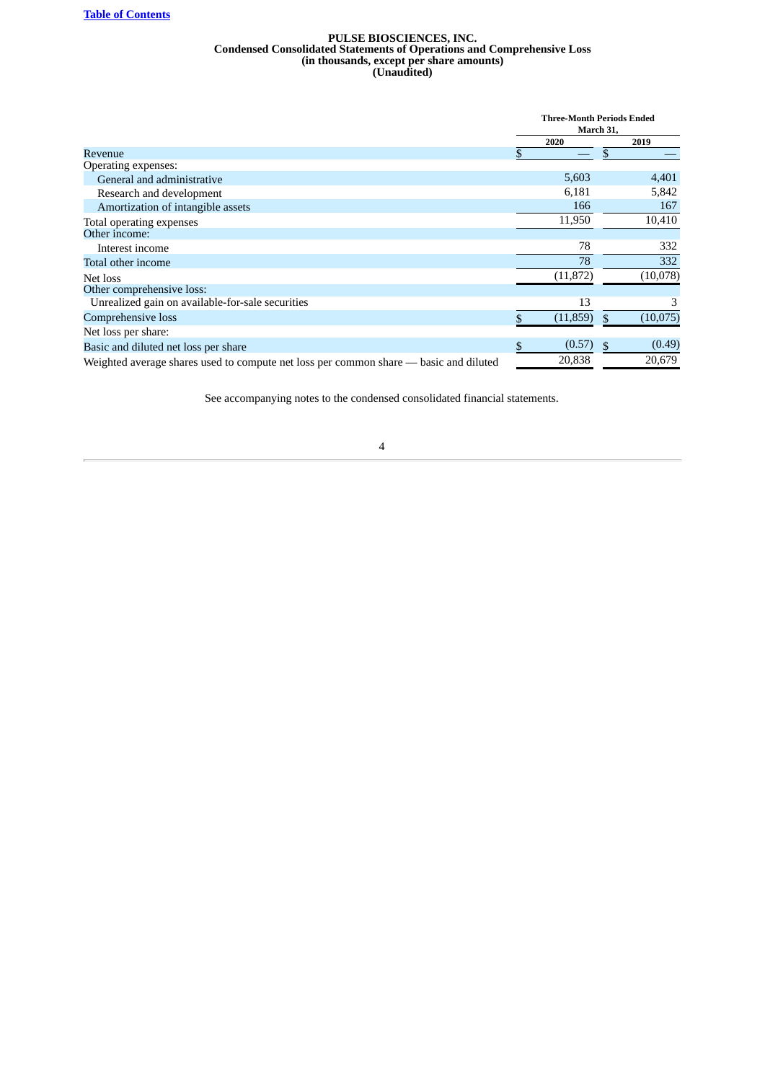#### <span id="page-3-0"></span>**PULSE BIOSCIENCES, INC. Condensed Consolidated Statements of Operations and Comprehensive Loss (in thousands, except per share amounts) (Unaudited)**

|                                                                                       | <b>Three-Month Periods Ended</b><br>March 31, |           |               |           |
|---------------------------------------------------------------------------------------|-----------------------------------------------|-----------|---------------|-----------|
|                                                                                       |                                               | 2020      |               | 2019      |
| Revenue                                                                               | S                                             |           |               |           |
| Operating expenses:                                                                   |                                               |           |               |           |
| General and administrative                                                            |                                               | 5,603     |               | 4,401     |
| Research and development                                                              |                                               | 6,181     |               | 5,842     |
| Amortization of intangible assets                                                     |                                               | 166       |               | 167       |
| Total operating expenses                                                              |                                               | 11,950    |               | 10,410    |
| Other income:                                                                         |                                               |           |               |           |
| Interest income                                                                       |                                               | 78        |               | 332       |
| Total other income                                                                    |                                               | 78        |               | 332       |
| Net loss                                                                              |                                               | (11, 872) |               | (10,078)  |
| Other comprehensive loss:                                                             |                                               |           |               |           |
| Unrealized gain on available-for-sale securities                                      |                                               | 13        |               | 3         |
| Comprehensive loss                                                                    |                                               | (11, 859) | \$            | (10, 075) |
| Net loss per share:                                                                   |                                               |           |               |           |
| Basic and diluted net loss per share                                                  | \$                                            | (0.57)    | <sup>\$</sup> | (0.49)    |
| Weighted average shares used to compute net loss per common share — basic and diluted |                                               | 20,838    |               | 20,679    |

See accompanying notes to the condensed consolidated financial statements.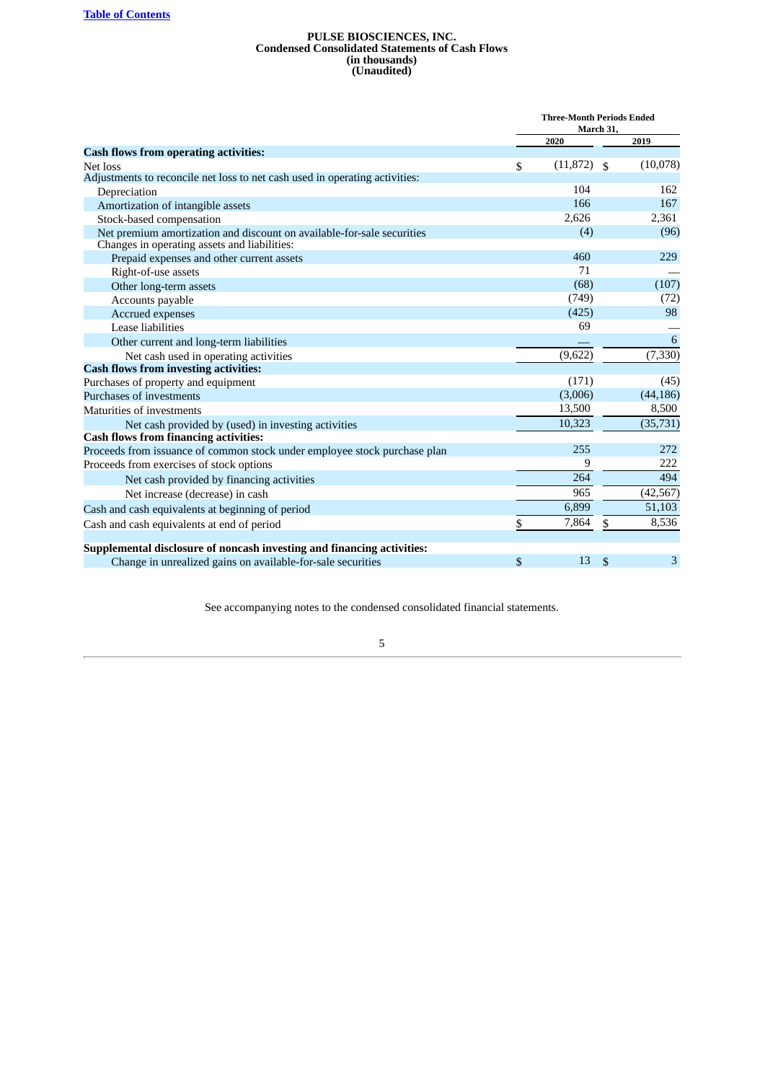#### <span id="page-4-0"></span>**PULSE BIOSCIENCES, INC. Condensed Consolidated Statements of Cash Flows (in thousands) (Unaudited)**

| 2020<br>2019<br><b>Cash flows from operating activities:</b><br>(11, 872)<br>(10,078)<br>\$<br>$\mathcal{S}$<br>Net loss<br>Adjustments to reconcile net loss to net cash used in operating activities:<br>104<br>162<br>Depreciation<br>166<br>167<br>Amortization of intangible assets<br>2,626<br>2,361<br>Stock-based compensation<br>(4)<br>(96)<br>Net premium amortization and discount on available-for-sale securities<br>Changes in operating assets and liabilities:<br>460<br>229<br>Prepaid expenses and other current assets<br>71<br>Right-of-use assets<br>(68)<br>(107)<br>Other long-term assets<br>(749)<br>(72)<br>Accounts payable<br>98<br>(425)<br>Accrued expenses<br>69<br>Lease liabilities<br>6<br>Other current and long-term liabilities<br>(7, 330)<br>(9,622)<br>Net cash used in operating activities<br>(171)<br>(45)<br>(3,006)<br>(44, 186)<br>13,500<br>8,500<br>(35, 731)<br>10,323<br>Net cash provided by (used) in investing activities<br>255<br>272<br>9<br>222<br>264<br>494<br>Net cash provided by financing activities<br>965<br>(42, 567)<br>Net increase (decrease) in cash<br>6,899<br>51,103 |                                                                           | <b>Three-Month Periods Ended</b><br>March 31, |  |  |  |
|------------------------------------------------------------------------------------------------------------------------------------------------------------------------------------------------------------------------------------------------------------------------------------------------------------------------------------------------------------------------------------------------------------------------------------------------------------------------------------------------------------------------------------------------------------------------------------------------------------------------------------------------------------------------------------------------------------------------------------------------------------------------------------------------------------------------------------------------------------------------------------------------------------------------------------------------------------------------------------------------------------------------------------------------------------------------------------------------------------------------------------------------|---------------------------------------------------------------------------|-----------------------------------------------|--|--|--|
|                                                                                                                                                                                                                                                                                                                                                                                                                                                                                                                                                                                                                                                                                                                                                                                                                                                                                                                                                                                                                                                                                                                                                |                                                                           |                                               |  |  |  |
|                                                                                                                                                                                                                                                                                                                                                                                                                                                                                                                                                                                                                                                                                                                                                                                                                                                                                                                                                                                                                                                                                                                                                |                                                                           |                                               |  |  |  |
|                                                                                                                                                                                                                                                                                                                                                                                                                                                                                                                                                                                                                                                                                                                                                                                                                                                                                                                                                                                                                                                                                                                                                |                                                                           |                                               |  |  |  |
|                                                                                                                                                                                                                                                                                                                                                                                                                                                                                                                                                                                                                                                                                                                                                                                                                                                                                                                                                                                                                                                                                                                                                |                                                                           |                                               |  |  |  |
|                                                                                                                                                                                                                                                                                                                                                                                                                                                                                                                                                                                                                                                                                                                                                                                                                                                                                                                                                                                                                                                                                                                                                |                                                                           |                                               |  |  |  |
|                                                                                                                                                                                                                                                                                                                                                                                                                                                                                                                                                                                                                                                                                                                                                                                                                                                                                                                                                                                                                                                                                                                                                |                                                                           |                                               |  |  |  |
|                                                                                                                                                                                                                                                                                                                                                                                                                                                                                                                                                                                                                                                                                                                                                                                                                                                                                                                                                                                                                                                                                                                                                |                                                                           |                                               |  |  |  |
|                                                                                                                                                                                                                                                                                                                                                                                                                                                                                                                                                                                                                                                                                                                                                                                                                                                                                                                                                                                                                                                                                                                                                |                                                                           |                                               |  |  |  |
|                                                                                                                                                                                                                                                                                                                                                                                                                                                                                                                                                                                                                                                                                                                                                                                                                                                                                                                                                                                                                                                                                                                                                |                                                                           |                                               |  |  |  |
|                                                                                                                                                                                                                                                                                                                                                                                                                                                                                                                                                                                                                                                                                                                                                                                                                                                                                                                                                                                                                                                                                                                                                |                                                                           |                                               |  |  |  |
|                                                                                                                                                                                                                                                                                                                                                                                                                                                                                                                                                                                                                                                                                                                                                                                                                                                                                                                                                                                                                                                                                                                                                |                                                                           |                                               |  |  |  |
|                                                                                                                                                                                                                                                                                                                                                                                                                                                                                                                                                                                                                                                                                                                                                                                                                                                                                                                                                                                                                                                                                                                                                |                                                                           |                                               |  |  |  |
|                                                                                                                                                                                                                                                                                                                                                                                                                                                                                                                                                                                                                                                                                                                                                                                                                                                                                                                                                                                                                                                                                                                                                |                                                                           |                                               |  |  |  |
|                                                                                                                                                                                                                                                                                                                                                                                                                                                                                                                                                                                                                                                                                                                                                                                                                                                                                                                                                                                                                                                                                                                                                |                                                                           |                                               |  |  |  |
|                                                                                                                                                                                                                                                                                                                                                                                                                                                                                                                                                                                                                                                                                                                                                                                                                                                                                                                                                                                                                                                                                                                                                |                                                                           |                                               |  |  |  |
|                                                                                                                                                                                                                                                                                                                                                                                                                                                                                                                                                                                                                                                                                                                                                                                                                                                                                                                                                                                                                                                                                                                                                |                                                                           |                                               |  |  |  |
|                                                                                                                                                                                                                                                                                                                                                                                                                                                                                                                                                                                                                                                                                                                                                                                                                                                                                                                                                                                                                                                                                                                                                | <b>Cash flows from investing activities:</b>                              |                                               |  |  |  |
|                                                                                                                                                                                                                                                                                                                                                                                                                                                                                                                                                                                                                                                                                                                                                                                                                                                                                                                                                                                                                                                                                                                                                | Purchases of property and equipment                                       |                                               |  |  |  |
|                                                                                                                                                                                                                                                                                                                                                                                                                                                                                                                                                                                                                                                                                                                                                                                                                                                                                                                                                                                                                                                                                                                                                | Purchases of investments                                                  |                                               |  |  |  |
|                                                                                                                                                                                                                                                                                                                                                                                                                                                                                                                                                                                                                                                                                                                                                                                                                                                                                                                                                                                                                                                                                                                                                | Maturities of investments                                                 |                                               |  |  |  |
|                                                                                                                                                                                                                                                                                                                                                                                                                                                                                                                                                                                                                                                                                                                                                                                                                                                                                                                                                                                                                                                                                                                                                |                                                                           |                                               |  |  |  |
|                                                                                                                                                                                                                                                                                                                                                                                                                                                                                                                                                                                                                                                                                                                                                                                                                                                                                                                                                                                                                                                                                                                                                | <b>Cash flows from financing activities:</b>                              |                                               |  |  |  |
|                                                                                                                                                                                                                                                                                                                                                                                                                                                                                                                                                                                                                                                                                                                                                                                                                                                                                                                                                                                                                                                                                                                                                | Proceeds from issuance of common stock under employee stock purchase plan |                                               |  |  |  |
|                                                                                                                                                                                                                                                                                                                                                                                                                                                                                                                                                                                                                                                                                                                                                                                                                                                                                                                                                                                                                                                                                                                                                | Proceeds from exercises of stock options                                  |                                               |  |  |  |
|                                                                                                                                                                                                                                                                                                                                                                                                                                                                                                                                                                                                                                                                                                                                                                                                                                                                                                                                                                                                                                                                                                                                                |                                                                           |                                               |  |  |  |
|                                                                                                                                                                                                                                                                                                                                                                                                                                                                                                                                                                                                                                                                                                                                                                                                                                                                                                                                                                                                                                                                                                                                                |                                                                           |                                               |  |  |  |
|                                                                                                                                                                                                                                                                                                                                                                                                                                                                                                                                                                                                                                                                                                                                                                                                                                                                                                                                                                                                                                                                                                                                                | Cash and cash equivalents at beginning of period                          |                                               |  |  |  |
| 8,536<br>7,864<br>\$<br>\$                                                                                                                                                                                                                                                                                                                                                                                                                                                                                                                                                                                                                                                                                                                                                                                                                                                                                                                                                                                                                                                                                                                     | Cash and cash equivalents at end of period                                |                                               |  |  |  |
|                                                                                                                                                                                                                                                                                                                                                                                                                                                                                                                                                                                                                                                                                                                                                                                                                                                                                                                                                                                                                                                                                                                                                | Supplemental disclosure of noncash investing and financing activities:    |                                               |  |  |  |
| 3<br>13<br>\$<br>$\mathcal{S}$<br>Change in unrealized gains on available-for-sale securities                                                                                                                                                                                                                                                                                                                                                                                                                                                                                                                                                                                                                                                                                                                                                                                                                                                                                                                                                                                                                                                  |                                                                           |                                               |  |  |  |

See accompanying notes to the condensed consolidated financial statements.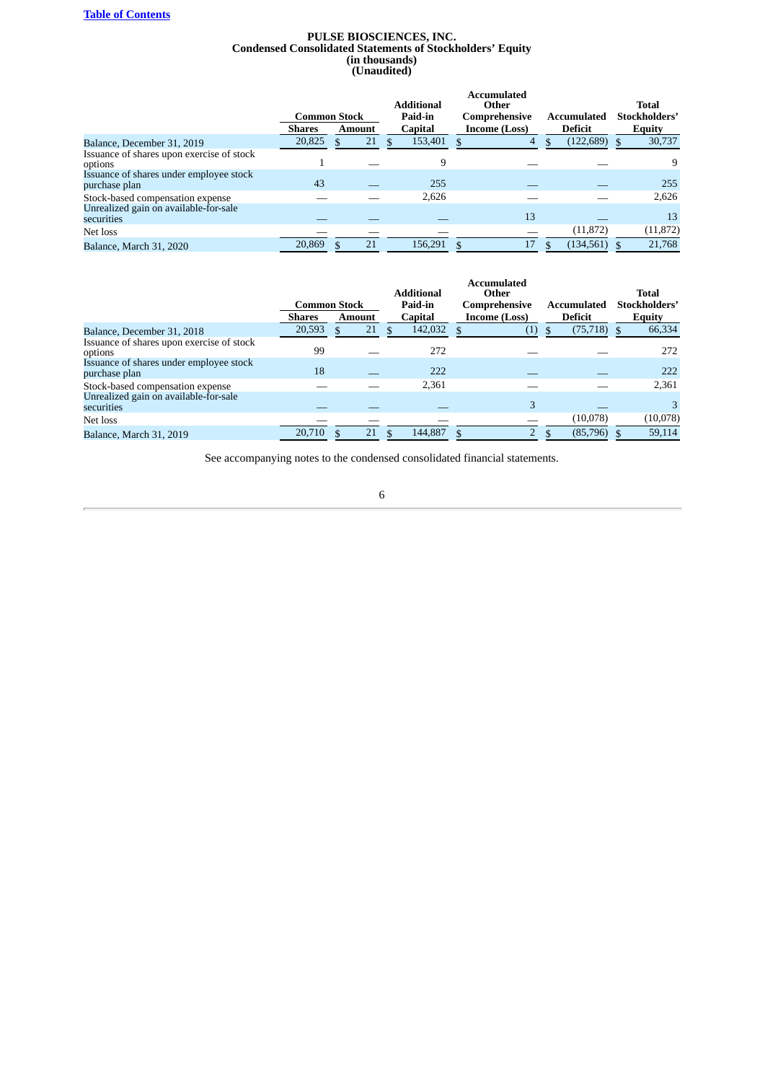#### <span id="page-5-0"></span>**PULSE BIOSCIENCES, INC. Condensed Consolidated Statements of Stockholders' Equity (in thousands) (Unaudited)**

|                                                          | <b>Common Stock</b> |  |        | <b>Accumulated</b><br><b>Additional</b><br>Other<br>Paid-in<br>Comprehensive |  |               | Accumulated |                |    | <b>Total</b><br>Stockholders' |  |
|----------------------------------------------------------|---------------------|--|--------|------------------------------------------------------------------------------|--|---------------|-------------|----------------|----|-------------------------------|--|
|                                                          | Shares              |  | Amount | Capital                                                                      |  | Income (Loss) |             | <b>Deficit</b> |    | <b>Equity</b>                 |  |
| Balance, December 31, 2019                               | 20,825              |  | 21     | 153,401                                                                      |  | 4             |             | (122, 689)     | £. | 30,737                        |  |
| Issuance of shares upon exercise of stock<br>options     |                     |  |        | 9                                                                            |  |               |             |                |    | 9                             |  |
| Issuance of shares under employee stock<br>purchase plan | 43                  |  |        | 255                                                                          |  |               |             |                |    | 255                           |  |
| Stock-based compensation expense                         |                     |  |        | 2,626                                                                        |  |               |             |                |    | 2,626                         |  |
| Unrealized gain on available-for-sale<br>securities      |                     |  |        |                                                                              |  | 13            |             |                |    | 13                            |  |
| Net loss                                                 |                     |  |        |                                                                              |  |               |             | (11, 872)      |    | (11, 872)                     |  |
| Balance, March 31, 2020                                  | 20,869              |  | 21     | 156,291                                                                      |  | 17            |             | (134, 561)     |    | 21,768                        |  |

|                                                          |               |        | <b>Additional</b> | <b>Accumulated</b><br>Other |             |                | <b>Total</b>  |
|----------------------------------------------------------|---------------|--------|-------------------|-----------------------------|-------------|----------------|---------------|
|                                                          | Common Stock  |        | Paid-in           | Comprehensive               | Accumulated |                | Stockholders' |
|                                                          | <b>Shares</b> | Amount | <b>Capital</b>    | Income (Loss)               |             | Deficit        | Equity        |
| Balance, December 31, 2018                               | 20,593        | 21     | 142,032           | $\left( 1\right)$           |             | $(75, 718)$ \$ | 66,334        |
| Issuance of shares upon exercise of stock<br>options     | 99            |        | 272               |                             |             |                | 272           |
| Issuance of shares under employee stock<br>purchase plan | 18            |        | 222               |                             |             |                | 222           |
| Stock-based compensation expense                         |               |        | 2,361             |                             |             |                | 2,361         |
| Unrealized gain on available-for-sale<br>securities      |               |        |                   | 3                           |             |                | 3             |
| Net loss                                                 |               |        |                   |                             |             | (10,078)       | (10, 078)     |
| Balance, March 31, 2019                                  | 20,710        | 21     | 144,887           | $\overline{2}$              |             | (85,796)       | 59,114        |

See accompanying notes to the condensed consolidated financial statements.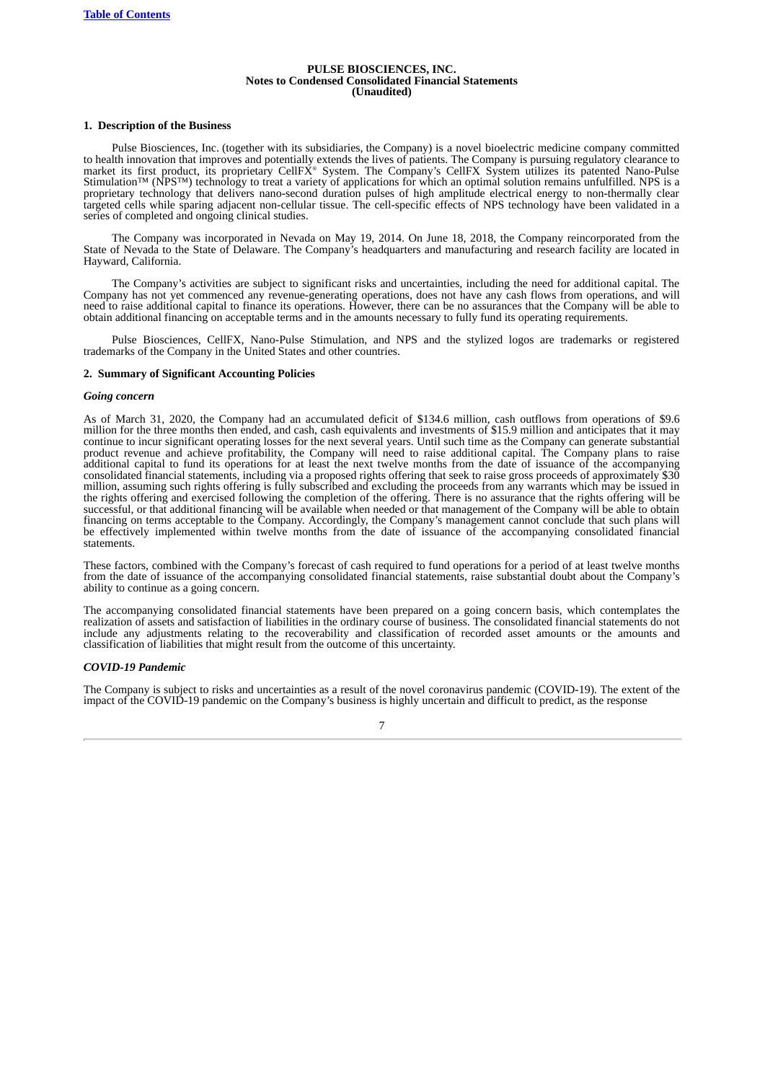#### <span id="page-6-0"></span>**PULSE BIOSCIENCES, INC. Notes to Condensed Consolidated Financial Statements (Unaudited)**

# **1. Description of the Business**

Pulse Biosciences, Inc. (together with its subsidiaries, the Company) is a novel bioelectric medicine company committed to health innovation that improves and potentially extends the lives of patients. The Company is pursuing regulatory clearance to market its first product, its proprietary CellFX ® System. The Company's CellFX System utilizes its patented Nano-Pulse Stimulation™ (NPS™) technology to treat a variety of applications for which an optimal solution remains unfulfilled. NPS is a proprietary technology that delivers nano-second duration pulses of high amplitude electrical energy to non-thermally clear targeted cells while sparing adjacent non-cellular tissue. The cell-specific effects of NPS technology have been validated in a series of completed and ongoing clinical studies.

The Company was incorporated in Nevada on May 19, 2014. On June 18, 2018, the Company reincorporated from the State of Nevada to the State of Delaware. The Company's headquarters and manufacturing and research facility are located in Hayward, California.

The Company's activities are subject to significant risks and uncertainties, including the need for additional capital. The Company has not yet commenced any revenue-generating operations, does not have any cash flows from operations, and will need to raise additional capital to finance its operations. However, there can be no assurances that the Company will be able to obtain additional financing on acceptable terms and in the amounts necessary to fully fund its operating requirements.

Pulse Biosciences, CellFX, Nano-Pulse Stimulation, and NPS and the stylized logos are trademarks or registered trademarks of the Company in the United States and other countries.

#### **2. Summary of Significant Accounting Policies**

#### *Going concern*

As of March 31, 2020, the Company had an accumulated deficit of \$134.6 million, cash outflows from operations of \$9.6 million for the three months then ended, and cash, cash equivalents and investments of \$15.9 million and anticipates that it may continue to incur significant operating losses for the next several years. Until such time as the Company can generate substantial product revenue and achieve profitability, the Company will need to raise additional capital. The Company plans to raise additional capital to fund its operations for at least the next twelve months from the date of issuance of the accompanying consolidated financial statements, including via a proposed rights offering that seek to raise gross proceeds of approximately \$30 million, assuming such rights offering is fully subscribed and excluding the proceeds from any warrants which may be issued in the rights offering and exercised following the completion of the offering. There is no assurance that the rights offering will be successful, or that additional financing will be available when needed or that management of the Company will be able to obtain financing on terms acceptable to the Company. Accordingly, the Company's management cannot conclude that such plans will be effectively implemented within twelve months from the date of issuance of the accompanying consolidated financial statements.

These factors, combined with the Company's forecast of cash required to fund operations for a period of at least twelve months from the date of issuance of the accompanying consolidated financial statements, raise substantial doubt about the Company's ability to continue as a going concern.

The accompanying consolidated financial statements have been prepared on a going concern basis, which contemplates the realization of assets and satisfaction of liabilities in the ordinary course of business. The consolidated financial statements do not include any adjustments relating to the recoverability and classification of recorded asset amounts or the amounts and classification of liabilities that might result from the outcome of this uncertainty.

#### *COVID-19 Pandemic*

The Company is subject to risks and uncertainties as a result of the novel coronavirus pandemic (COVID-19). The extent of the impact of the COVID-19 pandemic on the Company's business is highly uncertain and difficult to predict, as the response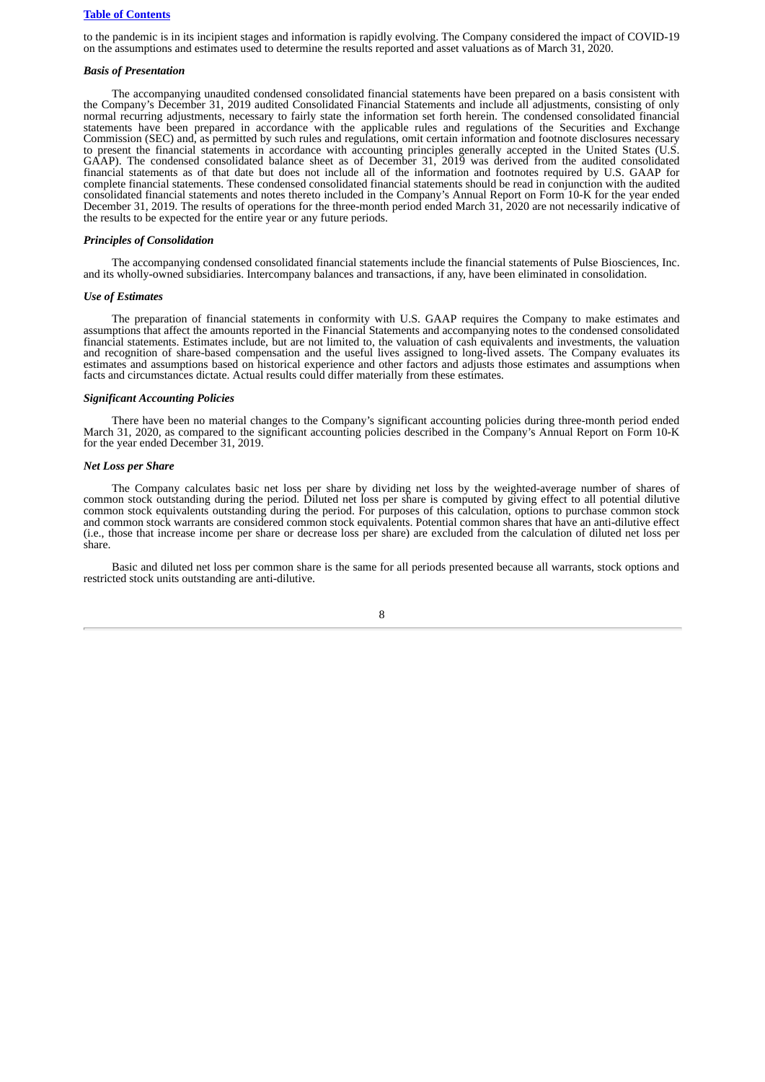to the pandemic is in its incipient stages and information is rapidly evolving. The Company considered the impact of COVID-19 on the assumptions and estimates used to determine the results reported and asset valuations as of March 31, 2020.

#### *Basis of Presentation*

The accompanying unaudited condensed consolidated financial statements have been prepared on a basis consistent with the Company's December 31, 2019 audited Consolidated Financial Statements and include all adjustments, consisting of only normal recurring adjustments, necessary to fairly state the information set forth herein. The condensed consolidated financial statements have been prepared in accordance with the applicable rules and regulations of the Securities and Exchange Commission (SEC) and, as permitted by such rules and regulations, omit certain information and footnote disclosures necessary to present the financial statements in accordance with accounting principles generally accepted in the United States (U.S. GAAP). The condensed consolidated balance sheet as of December 31, 2019 was derived from the audited consolidated financial statements as of that date but does not include all of the information and footnotes required by U.S. GAAP for complete financial statements. These condensed consolidated financial statements should be read in conjunction with the audited consolidated financial statements and notes thereto included in the Company's Annual Report on Form 10-K for the year ended December 31, 2019. The results of operations for the three-month period ended March 31, 2020 are not necessarily indicative of the results to be expected for the entire year or any future periods.

#### *Principles of Consolidation*

The accompanying condensed consolidated financial statements include the financial statements of Pulse Biosciences, Inc. and its wholly-owned subsidiaries. Intercompany balances and transactions, if any, have been eliminated in consolidation.

#### *Use of Estimates*

The preparation of financial statements in conformity with U.S. GAAP requires the Company to make estimates and assumptions that affect the amounts reported in the Financial Statements and accompanying notes to the condensed consolidated financial statements. Estimates include, but are not limited to, the valuation of cash equivalents and investments, the valuation and recognition of share-based compensation and the useful lives assigned to long-lived assets. The Company evaluates its estimates and assumptions based on historical experience and other factors and adjusts those estimates and assumptions when facts and circumstances dictate. Actual results could differ materially from these estimates.

#### *Significant Accounting Policies*

There have been no material changes to the Company's significant accounting policies during three-month period ended March 31, 2020, as compared to the significant accounting policies described in the Company's Annual Report on Form 10-K for the year ended December 31, 2019.

#### *Net Loss per Share*

The Company calculates basic net loss per share by dividing net loss by the weighted-average number of shares of common stock outstanding during the period. Diluted net loss per share is computed by giving effect to all potential dilutive common stock equivalents outstanding during the period. For purposes of this calculation, options to purchase common stock and common stock warrants are considered common stock equivalents. Potential common shares that have an anti-dilutive effect (i.e., those that increase income per share or decrease loss per share) are excluded from the calculation of diluted net loss per share.

Basic and diluted net loss per common share is the same for all periods presented because all warrants, stock options and restricted stock units outstanding are anti-dilutive.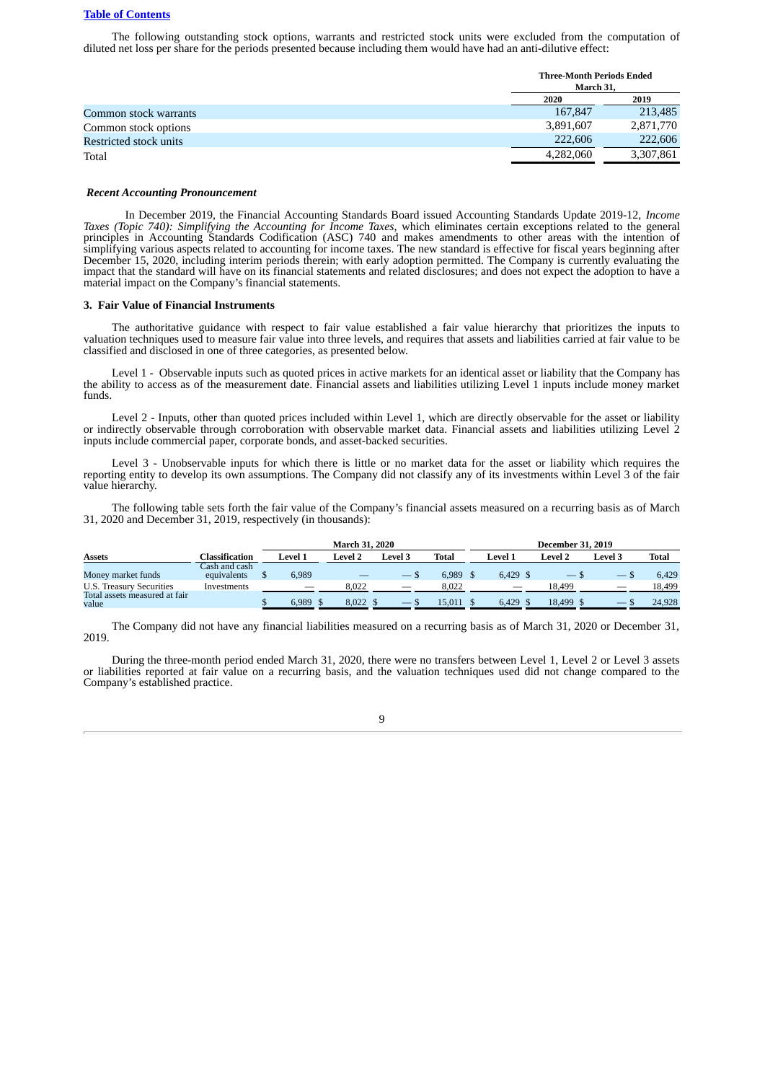The following outstanding stock options, warrants and restricted stock units were excluded from the computation of diluted net loss per share for the periods presented because including them would have had an anti-dilutive effect:

|                        | <b>Three-Month Periods Ended</b><br>March 31, |           |
|------------------------|-----------------------------------------------|-----------|
|                        | 2020                                          | 2019      |
| Common stock warrants  | 167,847                                       | 213,485   |
| Common stock options   | 3,891,607                                     | 2,871,770 |
| Restricted stock units | 222,606                                       | 222,606   |
| Total                  | 4,282,060                                     | 3,307,861 |

#### *Recent Accounting Pronouncement*

In December 2019, the Financial Accounting Standards Board issued Accounting Standards Update 2019-12, *Income Taxes (Topic 740): Simplifying the Accounting for Income Taxes*, which eliminates certain exceptions related to the general principles in Accounting Standards Codification (ASC) 740 and makes amendments to other areas with the intention of simplifying various aspects related to accounting for income taxes. The new standard is effective for fiscal years beginning after December 15, 2020, including interim periods therein; with early adoption permitted. The Company is currently evaluating the impact that the standard will have on its financial statements and related disclosures; and does not expect the adoption to have a material impact on the Company's financial statements.

### **3. Fair Value of Financial Instruments**

The authoritative guidance with respect to fair value established a fair value hierarchy that prioritizes the inputs to valuation techniques used to measure fair value into three levels, and requires that assets and liabilities carried at fair value to be classified and disclosed in one of three categories, as presented below.

Level 1 - Observable inputs such as quoted prices in active markets for an identical asset or liability that the Company has the ability to access as of the measurement date. Financial assets and liabilities utilizing Level 1 inputs include money market funds.

Level 2 - Inputs, other than quoted prices included within Level 1, which are directly observable for the asset or liability or indirectly observable through corroboration with observable market data. Financial assets and liabilities utilizing Level 2 inputs include commercial paper, corporate bonds, and asset-backed securities.

Level 3 - Unobservable inputs for which there is little or no market data for the asset or liability which requires the reporting entity to develop its own assumptions. The Company did not classify any of its investments within Level 3 of the fair value hierarchy.

The following table sets forth the fair value of the Company's financial assets measured on a recurring basis as of March 31, 2020 and December 31, 2019, respectively (in thousands):

|                                        |                               | <b>March 31, 2020</b><br><b>December 31, 2019</b> |         |                          |        |  |                    |           |         |              |
|----------------------------------------|-------------------------------|---------------------------------------------------|---------|--------------------------|--------|--|--------------------|-----------|---------|--------------|
| <b>Assets</b>                          | Classification                | Level 1                                           | Level 2 | Level 3                  | Total  |  | Level :            | Level 2   | Level 3 | <b>Total</b> |
| Money market funds                     | Cash and cash-<br>equivalents | 6.989                                             |         | $\overline{\phantom{0}}$ | 6.989  |  | 6.429 <sup>°</sup> | — ৯       | — ծ     | 6.429        |
| U.S. Treasury Securities               | Investments                   | $\hspace{0.1mm}-\hspace{0.1mm}$                   | 8.022   |                          | 8.022  |  |                    | 18.499    |         | 18.499       |
| Total assets measured at fair<br>value |                               | 6.989                                             | 8,022   | —                        | 15.011 |  | 6.429              | 18,499 \$ |         | 24.928       |

The Company did not have any financial liabilities measured on a recurring basis as of March 31, 2020 or December 31, 2019.

During the three-month period ended March 31, 2020, there were no transfers between Level 1, Level 2 or Level 3 assets or liabilities reported at fair value on a recurring basis, and the valuation techniques used did not change compared to the Company's established practice.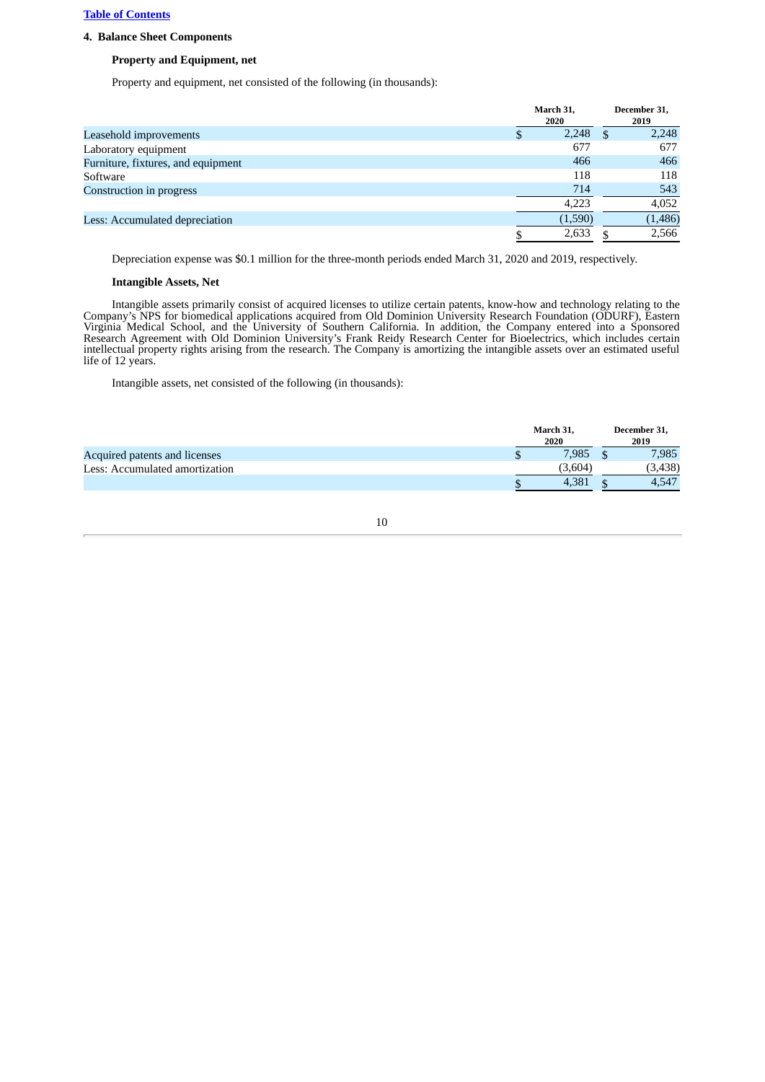# **4. Balance Sheet Components**

# **Property and Equipment, net**

Property and equipment, net consisted of the following (in thousands):

|                                    |   | March 31,<br>2020 | December 31,<br>2019 |
|------------------------------------|---|-------------------|----------------------|
| Leasehold improvements             | S | 2,248             | 2,248<br>\$.         |
| Laboratory equipment               |   | 677               | 677                  |
| Furniture, fixtures, and equipment |   | 466               | 466                  |
| Software                           |   | 118               | 118                  |
| Construction in progress           |   | 714               | 543                  |
|                                    |   | 4,223             | 4,052                |
| Less: Accumulated depreciation     |   | (1,590)           | (1, 486)             |
|                                    |   | 2,633             | 2,566                |

Depreciation expense was \$0.1 million for the three-month periods ended March 31, 2020 and 2019, respectively.

# **Intangible Assets, Net**

Intangible assets primarily consist of acquired licenses to utilize certain patents, know-how and technology relating to the Company's NPS for biomedical applications acquired from Old Dominion University Research Foundation (ODURF), Eastern Virginia Medical School, and the University of Southern California. In addition, the Company entered into a Sponsored Research Agreement with Old Dominion University's Frank Reidy Research Center for Bioelectrics, which includes certain intellectual property rights arising from the research. The Company is amortizing the intangible assets over an estimated useful life of 12 years.

Intangible assets, net consisted of the following (in thousands):

|                                | March 31.  | December 31, |
|--------------------------------|------------|--------------|
|                                | 2020       | 2019         |
| Acquired patents and licenses  | 7,985<br>S | 7,985        |
| Less: Accumulated amortization | (3,604)    | (3, 438)     |
|                                | 4,381      | 4,547        |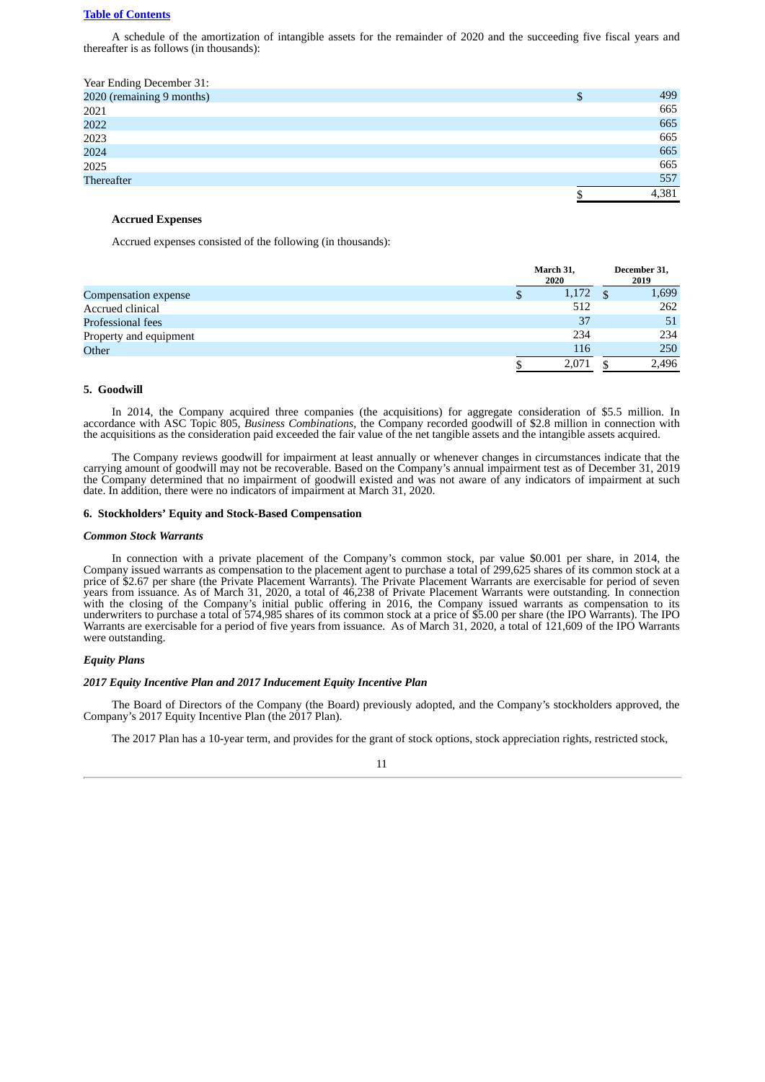A schedule of the amortization of intangible assets for the remainder of 2020 and the succeeding five fiscal years and thereafter is as follows (in thousands):

| Year Ending December 31:  |       |
|---------------------------|-------|
| 2020 (remaining 9 months) | 499   |
| 2021                      | 665   |
| 2022                      | 665   |
| 2023                      | 665   |
| 2024                      | 665   |
| 2025                      | 665   |
| <b>Thereafter</b>         | 557   |
|                           | 4,381 |

# **Accrued Expenses**

Accrued expenses consisted of the following (in thousands):

|                        | March 31,<br>2020 |       | December 31,<br>2019 |       |
|------------------------|-------------------|-------|----------------------|-------|
| Compensation expense   | æ                 | 1,172 | S.                   | 1,699 |
| Accrued clinical       |                   | 512   |                      | 262   |
| Professional fees      |                   | 37    |                      | 51    |
| Property and equipment |                   | 234   |                      | 234   |
| Other                  |                   | 116   |                      | 250   |
|                        |                   | 2,071 |                      | 2,496 |

# **5. Goodwill**

In 2014, the Company acquired three companies (the acquisitions) for aggregate consideration of \$5.5 million. In accordance with ASC Topic 805, *Business Combinations*, the Company recorded goodwill of \$2.8 million in connection with the acquisitions as the consideration paid exceeded the fair value of the net tangible assets and the intangible assets acquired.

The Company reviews goodwill for impairment at least annually or whenever changes in circumstances indicate that the carrying amount of goodwill may not be recoverable. Based on the Company's annual impairment test as of December 31, 2019 the Company determined that no impairment of goodwill existed and was not aware of any indicators of impairment at such date. In addition, there were no indicators of impairment at March 31, 2020.

#### **6. Stockholders' Equity and Stock-Based Compensation**

#### *Common Stock Warrants*

In connection with a private placement of the Company's common stock, par value \$0.001 per share, in 2014, the Company issued warrants as compensation to the placement agent to purchase a total of 299,625 shares of its common stock at a price of \$2.67 per share (the Private Placement Warrants). The Private Placement Warrants are exercisable for period of seven years from issuance. As of March 31, 2020, a total of 46,238 of Private Placement Warrants were outstanding. In connection with the closing of the Company's initial public offering in 2016, the Company issued warrants as compensation to its underwriters to purchase a total of 574,985 shares of its common stock at a price of \$5.00 per share (the IPO Warrants). The IPO Warrants are exercisable for a period of five years from issuance. As of March 31, 2020, a total of 121,609 of the IPO Warrants were outstanding.

#### *Equity Plans*

#### *2017 Equity Incentive Plan and 2017 Inducement Equity Incentive Plan*

The Board of Directors of the Company (the Board) previously adopted, and the Company's stockholders approved, the Company's 2017 Equity Incentive Plan (the 2017 Plan).

The 2017 Plan has a 10-year term, and provides for the grant of stock options, stock appreciation rights, restricted stock,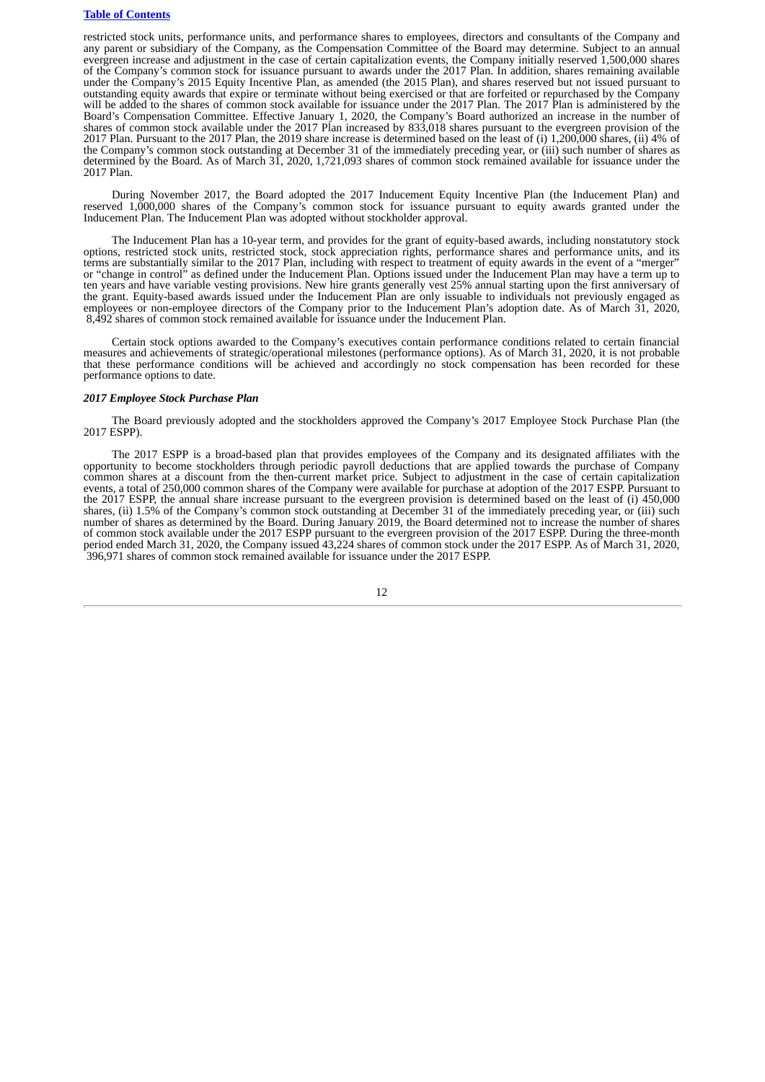restricted stock units, performance units, and performance shares to employees, directors and consultants of the Company and any parent or subsidiary of the Company, as the Compensation Committee of the Board may determine. Subject to an annual evergreen increase and adjustment in the case of certain capitalization events, the Company initially reserved 1,500,000 shares of the Company's common stock for issuance pursuant to awards under the 2017 Plan. In addition, shares remaining available under the Company's 2015 Equity Incentive Plan, as amended (the 2015 Plan), and shares reserved but not issued pursuant to outstanding equity awards that expire or terminate without being exercised or that are forfeited or repurchased by the Company will be added to the shares of common stock available for issuance under the 2017 Plan. The 2017 Plan is administered by the Board's Compensation Committee. Effective January 1, 2020, the Company's Board authorized an increase in the number of shares of common stock available under the 2017 Plan increased by 833,018 shares pursuant to the evergreen provision of the 2017 Plan. Pursuant to the 2017 Plan, the 2019 share increase is determined based on the least of (i) 1,200,000 shares, (ii) 4% of the Company's common stock outstanding at December 31 of the immediately preceding year, or (iii) such number of shares as determined by the Board. As of March 31, 2020, 1,721,093 shares of common stock remained available for issuance under the 2017 Plan.

During November 2017, the Board adopted the 2017 Inducement Equity Incentive Plan (the Inducement Plan) and reserved 1,000,000 shares of the Company's common stock for issuance pursuant to equity awards granted under the Inducement Plan. The Inducement Plan was adopted without stockholder approval.

The Inducement Plan has a 10-year term, and provides for the grant of equity-based awards, including nonstatutory stock options, restricted stock units, restricted stock, stock appreciation rights, performance shares and performance units, and its terms are substantially similar to the 2017 Plan, including with respect to treatment of equity awards in the event of a "merger" or "change in control" as defined under the Inducement Plan. Options issued under the Inducement Plan may have a term up to ten years and have variable vesting provisions. New hire grants generally vest 25% annual starting upon the first anniversary of the grant. Equity-based awards issued under the Inducement Plan are only issuable to individuals not previously engaged as employees or non-employee directors of the Company prior to the Inducement Plan's adoption date. As of March 31, 2020, 8,492 shares of common stock remained available for issuance under the Inducement Plan.

Certain stock options awarded to the Company's executives contain performance conditions related to certain financial measures and achievements of strategic/operational milestones (performance options). As of March 31, 2020, it is not probable that these performance conditions will be achieved and accordingly no stock compensation has been recorded for these performance options to date.

#### *2017 Employee Stock Purchase Plan*

The Board previously adopted and the stockholders approved the Company's 2017 Employee Stock Purchase Plan (the 2017 ESPP).

The 2017 ESPP is a broad-based plan that provides employees of the Company and its designated affiliates with the opportunity to become stockholders through periodic payroll deductions that are applied towards the purchase of Company common shares at a discount from the then-current market price. Subject to adjustment in the case of certain capitalization events, a total of 250,000 common shares of the Company were available for purchase at adoption of the 2017 ESPP. Pursuant to the 2017 ESPP, the annual share increase pursuant to the evergreen provision is determined based on the least of (i) 450,000 shares, (ii) 1.5% of the Company's common stock outstanding at December 31 of the immediately preceding year, or (iii) such number of shares as determined by the Board. During January 2019, the Board determined not to increase the number of shares of common stock available under the 2017 ESPP pursuant to the evergreen provision of the 2017 ESPP. During the three-month period ended March 31, 2020, the Company issued 43,224 shares of common stock under the 2017 ESPP. As of March 31, 2020, 396,971 shares of common stock remained available for issuance under the 2017 ESPP.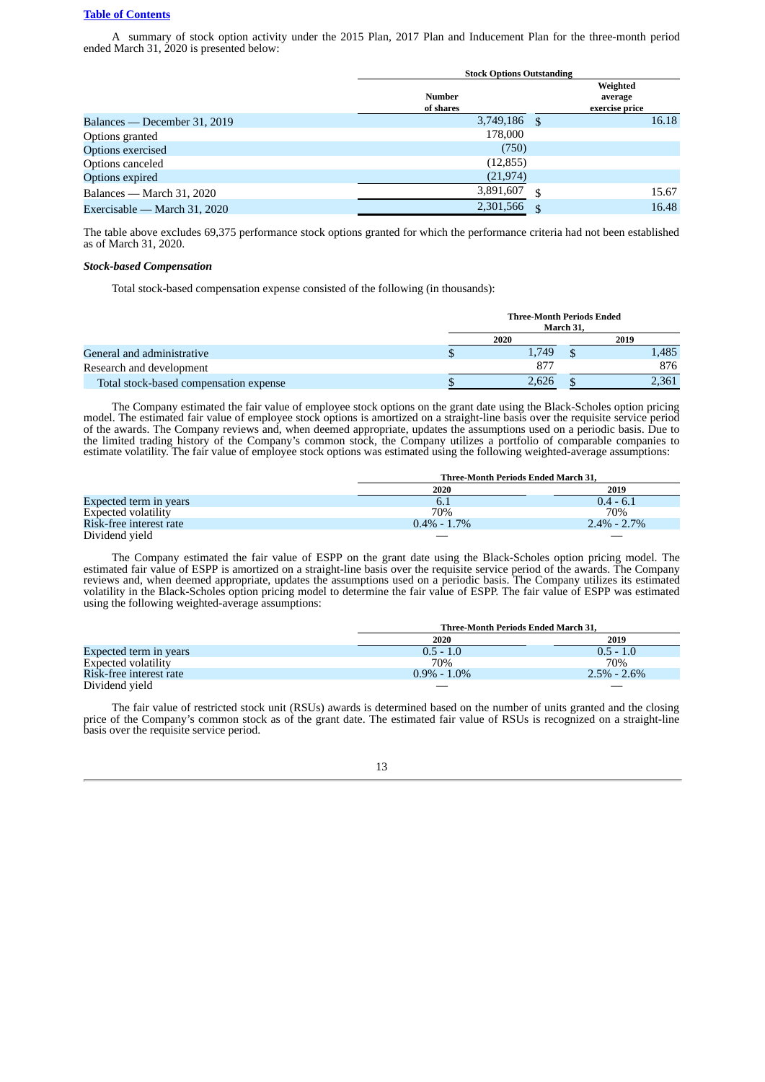A summary of stock option activity under the 2015 Plan, 2017 Plan and Inducement Plan for the three-month period ended March 31, 2020 is presented below:

|                              |                            | <b>Stock Options Outstanding</b> |                                       |  |  |  |
|------------------------------|----------------------------|----------------------------------|---------------------------------------|--|--|--|
|                              | <b>Number</b><br>of shares |                                  | Weighted<br>average<br>exercise price |  |  |  |
| Balances — December 31, 2019 | $3,749,186$ \$             |                                  | 16.18                                 |  |  |  |
| Options granted              | 178,000                    |                                  |                                       |  |  |  |
| <b>Options exercised</b>     | (750)                      |                                  |                                       |  |  |  |
| Options canceled             | (12, 855)                  |                                  |                                       |  |  |  |
| Options expired              | (21, 974)                  |                                  |                                       |  |  |  |
| Balances — March 31, 2020    | 3,891,607                  | S                                | 15.67                                 |  |  |  |
| Exercisable — March 31, 2020 | 2,301,566                  |                                  | 16.48                                 |  |  |  |

The table above excludes 69,375 performance stock options granted for which the performance criteria had not been established as of March 31, 2020.

# *Stock-based Compensation*

Total stock-based compensation expense consisted of the following (in thousands):

|                                        | <b>Three-Month Periods Ended</b><br>March 31. |  |       |  |
|----------------------------------------|-----------------------------------------------|--|-------|--|
|                                        | 2020                                          |  | 2019  |  |
| General and administrative             | 1,749                                         |  | 1,485 |  |
| Research and development               | 877                                           |  | 876   |  |
| Total stock-based compensation expense | 2,626                                         |  | 2,361 |  |

The Company estimated the fair value of employee stock options on the grant date using the Black-Scholes option pricing model. The estimated fair value of employee stock options is amortized on a straight-line basis over the requisite service period of the awards. The Company reviews and, when deemed appropriate, updates the assumptions used on a periodic basis. Due to the limited trading history of the Company's common stock, the Company utilizes a portfolio of comparable companies to estimate volatility. The fair value of employee stock options was estimated using the following weighted-average assumptions:

|                            | <b>Three-Month Periods Ended March 31.</b> |                 |
|----------------------------|--------------------------------------------|-----------------|
|                            | 2020                                       | 2019            |
| Expected term in years     | 6.1                                        | $0.4 - 6.1$     |
| <b>Expected volatility</b> | 70%                                        | 70%             |
| Risk-free interest rate    | $0.4\% - 1.7\%$                            | $2.4\% - 2.7\%$ |
| Dividend yield             |                                            |                 |

The Company estimated the fair value of ESPP on the grant date using the Black-Scholes option pricing model. The estimated fair value of ESPP is amortized on a straight-line basis over the requisite service period of the awards. The Company reviews and, when deemed appropriate, updates the assumptions used on a periodic basis. The Company utilizes its estimated volatility in the Black-Scholes option pricing model to determine the fair value of ESPP. The fair value of ESPP was estimated using the following weighted-average assumptions:

|                         |                 | <b>Three-Month Periods Ended March 31.</b> |  |  |  |
|-------------------------|-----------------|--------------------------------------------|--|--|--|
|                         | 2020            | 2019                                       |  |  |  |
| Expected term in years  | $0.5 - 1.0$     | $0.5 - 1.0$                                |  |  |  |
| Expected volatility     | 70%             | 70%                                        |  |  |  |
| Risk-free interest rate | $0.9\% - 1.0\%$ | $2.5\% - 2.6\%$                            |  |  |  |
| Dividend yield          |                 |                                            |  |  |  |

The fair value of restricted stock unit (RSUs) awards is determined based on the number of units granted and the closing price of the Company's common stock as of the grant date. The estimated fair value of RSUs is recognized on a straight-line basis over the requisite service period.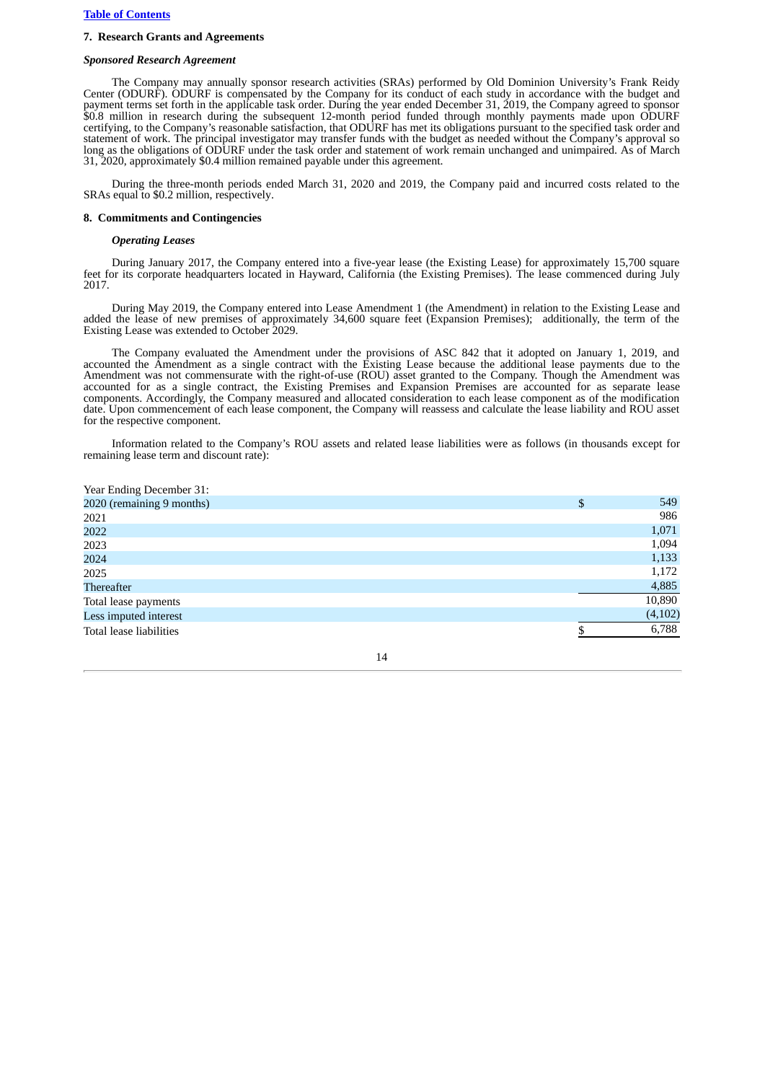# **7. Research Grants and Agreements**

#### *Sponsored Research Agreement*

The Company may annually sponsor research activities (SRAs) performed by Old Dominion University's Frank Reidy Center (ODURF). ODURF is compensated by the Company for its conduct of each study in accordance with the budget and payment terms set forth in the applicable task order. During the year ended December 31, 2019, the Company agreed to sponsor \$0.8 million in research during the subsequent 12-month period funded through monthly payments made upon ODURF certifying, to the Company's reasonable satisfaction, that ODURF has met its obligations pursuant to the specified task order and statement of work. The principal investigator may transfer funds with the budget as needed without the Company's approval so long as the obligations of ODURF under the task order and statement of work remain unchanged and unimpaired. As of March 31, 2020, approximately \$0.4 million remained payable under this agreement.

During the three-month periods ended March 31, 2020 and 2019, the Company paid and incurred costs related to the SRAs equal to \$0.2 million, respectively.

# **8. Commitments and Contingencies**

#### *Operating Leases*

During January 2017, the Company entered into a five-year lease (the Existing Lease) for approximately 15,700 square feet for its corporate headquarters located in Hayward, California (the Existing Premises). The lease commenced during July 2017.

During May 2019, the Company entered into Lease Amendment 1 (the Amendment) in relation to the Existing Lease and added the lease of new premises of approximately 34,600 square feet (Expansion Premises); additionally, the term of the Existing Lease was extended to October 2029.

The Company evaluated the Amendment under the provisions of ASC 842 that it adopted on January 1, 2019, and accounted the Amendment as a single contract with the Existing Lease because the additional lease payments due to the Amendment was not commensurate with the right-of-use (ROU) asset granted to the Company. Though the Amendment was accounted for as a single contract, the Existing Premises and Expansion Premises are accounted for as separate lease components. Accordingly, the Company measured and allocated consideration to each lease component as of the modification date. Upon commencement of each lease component, the Company will reassess and calculate the lease liability and ROU asset for the respective component.

Information related to the Company's ROU assets and related lease liabilities were as follows (in thousands except for remaining lease term and discount rate):

| Year Ending December 31:  |           |
|---------------------------|-----------|
| 2020 (remaining 9 months) | 549<br>\$ |
| 2021                      | 986       |
| 2022                      | 1,071     |
| 2023                      | 1,094     |
| 2024                      | 1,133     |
| 2025                      | 1,172     |
| <b>Thereafter</b>         | 4,885     |
| Total lease payments      | 10,890    |
| Less imputed interest     | (4, 102)  |
| Total lease liabilities   | 6,788     |
|                           |           |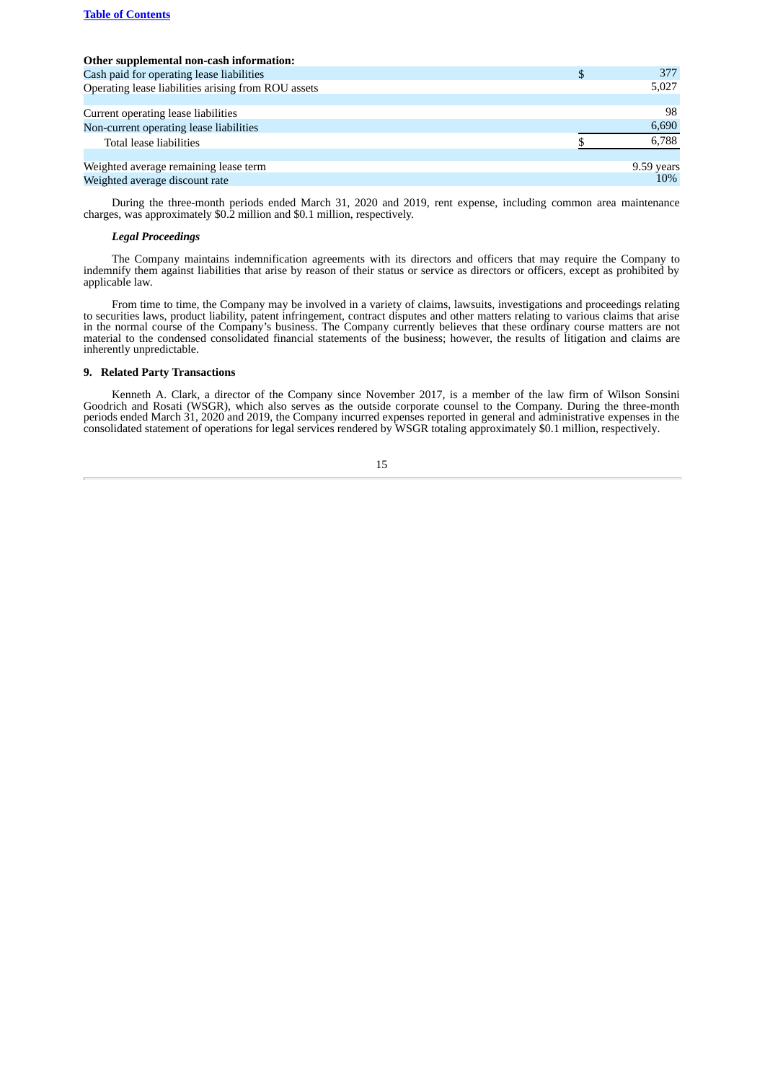#### **Other supplemental non-cash information:**

| Cash paid for operating lease liabilities           | S | 377        |
|-----------------------------------------------------|---|------------|
| Operating lease liabilities arising from ROU assets |   | 5,027      |
|                                                     |   |            |
| Current operating lease liabilities                 |   | 98         |
| Non-current operating lease liabilities             |   | 6,690      |
| Total lease liabilities                             |   | 6,788      |
|                                                     |   |            |
| Weighted average remaining lease term               |   | 9.59 years |
| Weighted average discount rate                      |   | 10%        |

During the three-month periods ended March 31, 2020 and 2019, rent expense, including common area maintenance charges, was approximately \$0.2 million and \$0.1 million, respectively.

#### *Legal Proceedings*

The Company maintains indemnification agreements with its directors and officers that may require the Company to indemnify them against liabilities that arise by reason of their status or service as directors or officers, except as prohibited by applicable law.

From time to time, the Company may be involved in a variety of claims, lawsuits, investigations and proceedings relating to securities laws, product liability, patent infringement, contract disputes and other matters relating to various claims that arise in the normal course of the Company's business. The Company currently believes that these ordinary course matters are not material to the condensed consolidated financial statements of the business; however, the results of litigation and claims are inherently unpredictable.

# **9. Related Party Transactions**

Kenneth A. Clark, a director of the Company since November 2017, is a member of the law firm of Wilson Sonsini Goodrich and Rosati (WSGR), which also serves as the outside corporate counsel to the Company. During the three-month periods ended March 31, 2020 and 2019, the Company incurred expenses reported in general and administrative expenses in the consolidated statement of operations for legal services rendered by WSGR totaling approximately \$0.1 million, respectively.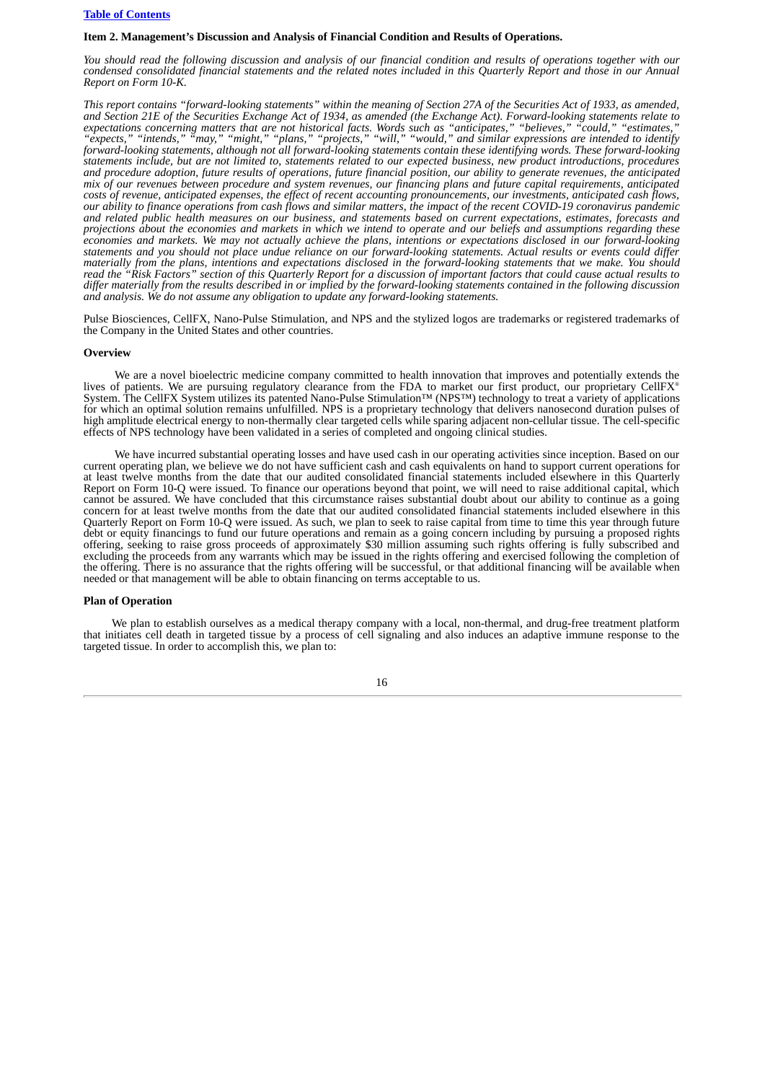# <span id="page-15-0"></span>**Item 2. Management's Discussion and Analysis of Financial Condition and Results of Operations.**

You should read the following discussion and analysis of our financial condition and results of operations together with our condensed consolidated financial statements and the related notes included in this Quarterly Report and those in our Annual *Report on Form 10-K.*

This report contains "forward-looking statements" within the meaning of Section 27A of the Securities Act of 1933, as amended, and Section 21E of the Securities Exchange Act of 1934, as amended (the Exchange Act). Forward-looking statements relate to expectations concerning matters that are not historical facts. Words such as "anticipates," "believes," "could," "estimates," "expects," "intends," "may," "might," "plans," "projects," "will," "would," and similar expressions are intended to identify *forward-looking statements, although not all forward-looking statements contain these identifying words. These forward-looking* statements include, but are not limited to, statements related to our expected business, new product introductions, procedures and procedure adoption, future results of operations, future financial position, our ability to generate revenues, the anticipated mix of our revenues between procedure and system revenues, our financing plans and future capital requirements, anticipated costs of revenue, anticipated expenses, the effect of recent accounting pronouncements, our investments, anticipated cash flows, our ability to finance operations from cash flows and similar matters, the impact of the recent COVID-19 coronavirus pandemic and related public health measures on our business, and statements based on current expectations, estimates, forecasts and projections about the economies and markets in which we intend to operate and our beliefs and assumptions regarding these economies and markets. We may not actually achieve the plans, intentions or expectations disclosed in our forward-looking statements and you should not place undue reliance on our forward-looking statements. Actual results or events could differ materially from the plans, intentions and expectations disclosed in the forward-looking statements that we make. You should read the "Risk Factors" section of this Quarterly Report for a discussion of important factors that could cause actual results to differ materially from the results described in or implied by the forward-looking statements contained in the following discussion *and analysis. We do not assume any obligation to update any forward-looking statements.*

Pulse Biosciences, CellFX, Nano-Pulse Stimulation, and NPS and the stylized logos are trademarks or registered trademarks of the Company in the United States and other countries.

#### **Overview**

We are a novel bioelectric medicine company committed to health innovation that improves and potentially extends the lives of patients. We are pursuing regulatory clearance from the FDA to market our first product, our proprietary CellFX® System. The CellFX System utilizes its patented Nano-Pulse Stimulation™ (NPS™) technology to treat a variety of applications for which an optimal solution remains unfulfilled. NPS is a proprietary technology that delivers nanosecond duration pulses of high amplitude electrical energy to non-thermally clear targeted cells while sparing adjacent non-cellular tissue. The cell-specific effects of NPS technology have been validated in a series of completed and ongoing clinical studies.

We have incurred substantial operating losses and have used cash in our operating activities since inception. Based on our current operating plan, we believe we do not have sufficient cash and cash equivalents on hand to support current operations for at least twelve months from the date that our audited consolidated financial statements included elsewhere in this Quarterly Report on Form 10-Q were issued. To finance our operations beyond that point, we will need to raise additional capital, which cannot be assured. We have concluded that this circumstance raises substantial doubt about our ability to continue as a going concern for at least twelve months from the date that our audited consolidated financial statements included elsewhere in this Quarterly Report on Form 10-Q were issued. As such, we plan to seek to raise capital from time to time this year through future debt or equity financings to fund our future operations and remain as a going concern including by pursuing a proposed rights offering, seeking to raise gross proceeds of approximately \$30 million assuming such rights offering is fully subscribed and excluding the proceeds from any warrants which may be issued in the rights offering and exercised following the completion of the offering. There is no assurance that the rights offering will be successful, or that additional financing will be available when needed or that management will be able to obtain financing on terms acceptable to us.

#### **Plan of Operation**

We plan to establish ourselves as a medical therapy company with a local, non-thermal, and drug-free treatment platform that initiates cell death in targeted tissue by a process of cell signaling and also induces an adaptive immune response to the targeted tissue. In order to accomplish this, we plan to: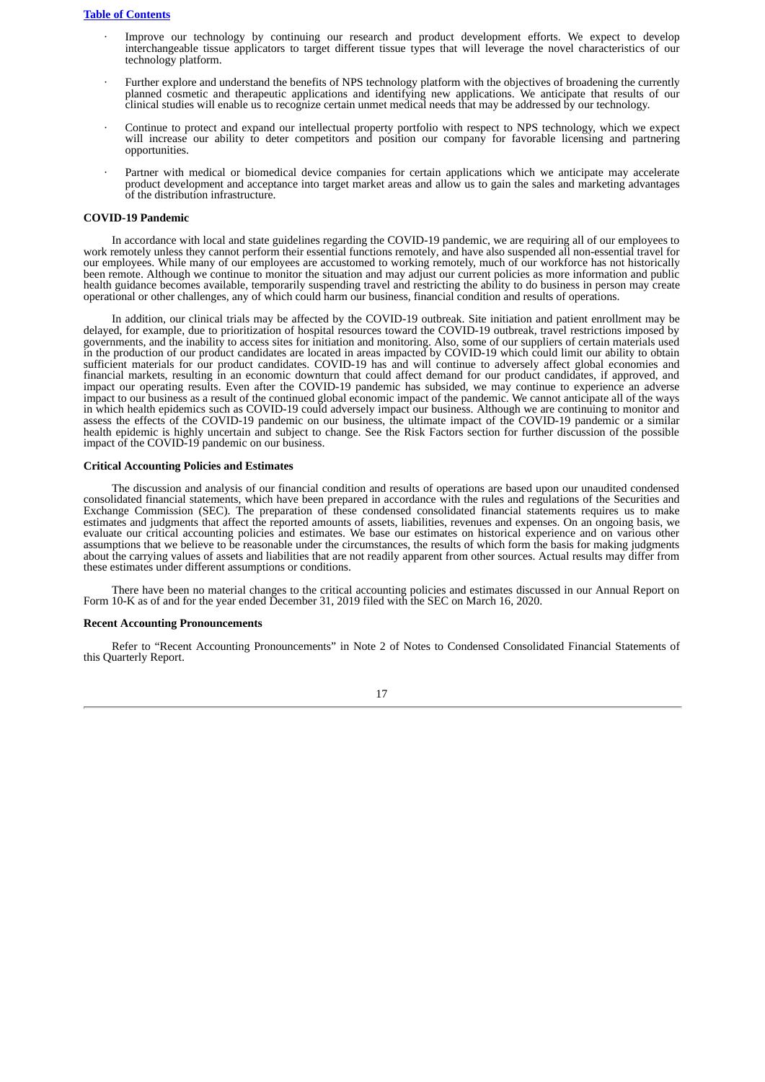- · Improve our technology by continuing our research and product development efforts. We expect to develop interchangeable tissue applicators to target different tissue types that will leverage the novel characteristics of our technology platform.
- Further explore and understand the benefits of NPS technology platform with the objectives of broadening the currently planned cosmetic and therapeutic applications and identifying new applications. We anticipate that results of our clinical studies will enable us to recognize certain unmet medical needs that may be addressed by our technology.
- · Continue to protect and expand our intellectual property portfolio with respect to NPS technology, which we expect will increase our ability to deter competitors and position our company for favorable licensing and partnering opportunities.
- Partner with medical or biomedical device companies for certain applications which we anticipate may accelerate product development and acceptance into target market areas and allow us to gain the sales and marketing advantages of the distribution infrastructure.

# **COVID-19 Pandemic**

In accordance with local and state guidelines regarding the COVID-19 pandemic, we are requiring all of our employees to work remotely unless they cannot perform their essential functions remotely, and have also suspended all non-essential travel for our employees. While many of our employees are accustomed to working remotely, much of our workforce has not historically been remote. Although we continue to monitor the situation and may adjust our current policies as more information and public health guidance becomes available, temporarily suspending travel and restricting the ability to do business in person may create operational or other challenges, any of which could harm our business, financial condition and results of operations.

In addition, our clinical trials may be affected by the COVID-19 outbreak. Site initiation and patient enrollment may be delayed, for example, due to prioritization of hospital resources toward the COVID-19 outbreak, travel restrictions imposed by governments, and the inability to access sites for initiation and monitoring. Also, some of our suppliers of certain materials used in the production of our product candidates are located in areas impacted by COVID-19 which could limit our ability to obtain sufficient materials for our product candidates. COVID-19 has and will continue to adversely affect global economies and financial markets, resulting in an economic downturn that could affect demand for our product candidates, if approved, and impact our operating results. Even after the COVID-19 pandemic has subsided, we may continue to experience an adverse impact to our business as a result of the continued global economic impact of the pandemic. We cannot anticipate all of the ways in which health epidemics such as COVID-19 could adversely impact our business. Although we are continuing to monitor and assess the effects of the COVID-19 pandemic on our business, the ultimate impact of the COVID-19 pandemic or a similar health epidemic is highly uncertain and subject to change. See the Risk Factors section for further discussion of the possible impact of the COVID-19 pandemic on our business.

#### **Critical Accounting Policies and Estimates**

The discussion and analysis of our financial condition and results of operations are based upon our unaudited condensed consolidated financial statements, which have been prepared in accordance with the rules and regulations of the Securities and Exchange Commission (SEC). The preparation of these condensed consolidated financial statements requires us to make estimates and judgments that affect the reported amounts of assets, liabilities, revenues and expenses. On an ongoing basis, we evaluate our critical accounting policies and estimates. We base our estimates on historical experience and on various other assumptions that we believe to be reasonable under the circumstances, the results of which form the basis for making judgments about the carrying values of assets and liabilities that are not readily apparent from other sources. Actual results may differ from these estimates under different assumptions or conditions.

There have been no material changes to the critical accounting policies and estimates discussed in our Annual Report on Form 10-K as of and for the year ended December 31, 2019 filed with the SEC on March 16, 2020.

#### **Recent Accounting Pronouncements**

Refer to "Recent Accounting Pronouncements" in Note 2 of Notes to Condensed Consolidated Financial Statements of this Quarterly Report.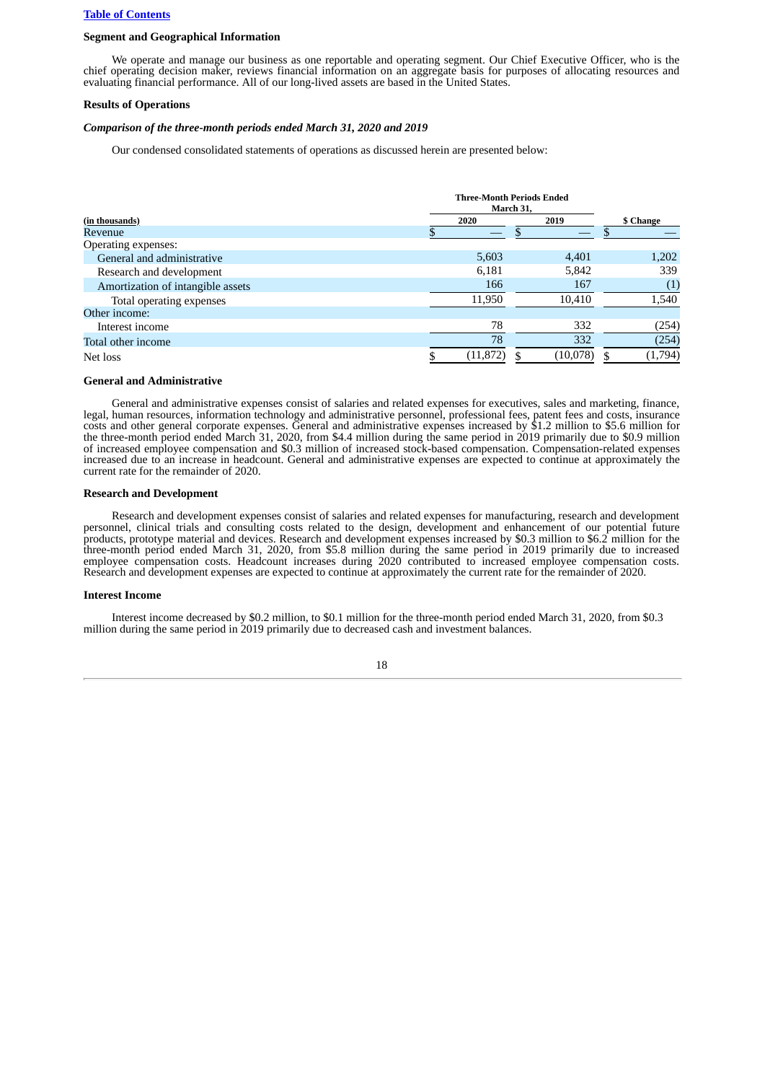# **Segment and Geographical Information**

We operate and manage our business as one reportable and operating segment. Our Chief Executive Officer, who is the chief operating decision maker, reviews financial information on an aggregate basis for purposes of allocating resources and evaluating financial performance. All of our long-lived assets are based in the United States.

# **Results of Operations**

# *Comparison of the three-month periods ended March 31, 2020 and 2019*

Our condensed consolidated statements of operations as discussed herein are presented below:

|                                   | <b>Three-Month Periods Ended</b><br>March 31. |           |  |          |           |
|-----------------------------------|-----------------------------------------------|-----------|--|----------|-----------|
| (in thousands)                    |                                               | 2020      |  | 2019     | \$ Change |
| Revenue                           |                                               |           |  |          |           |
| Operating expenses:               |                                               |           |  |          |           |
| General and administrative        |                                               | 5,603     |  | 4,401    | 1,202     |
| Research and development          |                                               | 6,181     |  | 5,842    | 339       |
| Amortization of intangible assets |                                               | 166       |  | 167      | (1)       |
| Total operating expenses          |                                               | 11,950    |  | 10,410   | 1,540     |
| Other income:                     |                                               |           |  |          |           |
| Interest income                   |                                               | 78        |  | 332      | (254)     |
| Total other income                |                                               | 78        |  | 332      | (254)     |
| Net loss                          |                                               | (11, 872) |  | (10,078) | (1,794)   |

#### **General and Administrative**

General and administrative expenses consist of salaries and related expenses for executives, sales and marketing, finance, legal, human resources, information technology and administrative personnel, professional fees, patent fees and costs, insurance costs and other general corporate expenses. General and administrative expenses increased by \$1.2 million to \$5.6 million for the three-month period ended March 31, 2020, from \$4.4 million during the same period in 2019 primarily due to \$0.9 million of increased employee compensation and \$0.3 million of increased stock-based compensation. Compensation-related expenses increased due to an increase in headcount. General and administrative expenses are expected to continue at approximately the current rate for the remainder of 2020.

#### **Research and Development**

Research and development expenses consist of salaries and related expenses for manufacturing, research and development personnel, clinical trials and consulting costs related to the design, development and enhancement of our potential future products, prototype material and devices. Research and development expenses increased by \$0.3 million to \$6.2 million for the three-month period ended March 31, 2020, from \$5.8 million during the same period in 2019 primarily due to increased employee compensation costs. Headcount increases during 2020 contributed to increased employee compensation costs. Research and development expenses are expected to continue at approximately the current rate for the remainder of 2020.

# **Interest Income**

Interest income decreased by \$0.2 million, to \$0.1 million for the three-month period ended March 31, 2020, from \$0.3 million during the same period in 2019 primarily due to decreased cash and investment balances.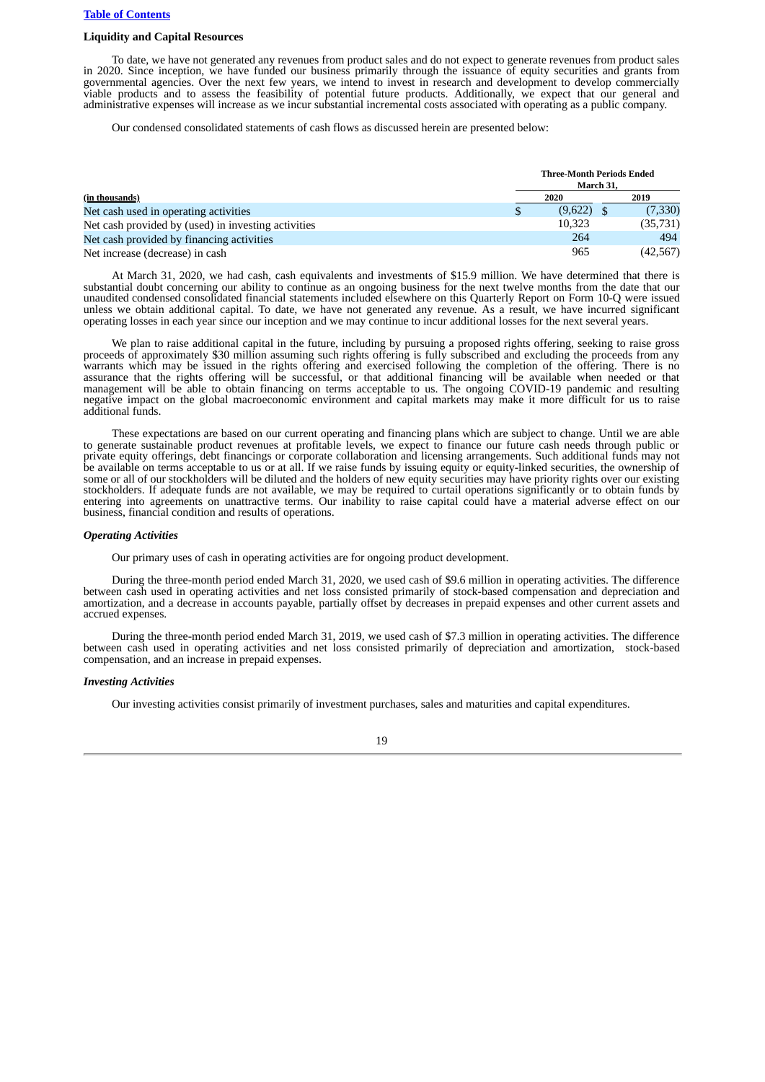# **Liquidity and Capital Resources**

To date, we have not generated any revenues from product sales and do not expect to generate revenues from product sales in 2020. Since inception, we have funded our business primarily through the issuance of equity securities and grants from governmental agencies. Over the next few years, we intend to invest in research and development to develop commercially viable products and to assess the feasibility of potential future products. Additionally, we expect that our general and administrative expenses will increase as we incur substantial incremental costs associated with operating as a public company.

Our condensed consolidated statements of cash flows as discussed herein are presented below:

|                                                     |   | <b>Three-Month Periods Ended</b><br>March 31. |  |           |  |  |
|-----------------------------------------------------|---|-----------------------------------------------|--|-----------|--|--|
| (in thousands)                                      |   | 2020                                          |  | 2019      |  |  |
| Net cash used in operating activities               | S | (9,622)                                       |  | (7,330)   |  |  |
| Net cash provided by (used) in investing activities |   | 10,323                                        |  | (35, 731) |  |  |
| Net cash provided by financing activities           |   | 264                                           |  | 494       |  |  |
| Net increase (decrease) in cash                     |   | 965                                           |  | (42, 567) |  |  |

At March 31, 2020, we had cash, cash equivalents and investments of \$15.9 million. We have determined that there is substantial doubt concerning our ability to continue as an ongoing business for the next twelve months from the date that our unaudited condensed consolidated financial statements included elsewhere on this Quarterly Report on Form 10-Q were issued unless we obtain additional capital. To date, we have not generated any revenue. As a result, we have incurred significant operating losses in each year since our inception and we may continue to incur additional losses for the next several years.

We plan to raise additional capital in the future, including by pursuing a proposed rights offering, seeking to raise gross proceeds of approximately \$30 million assuming such rights offering is fully subscribed and excluding the proceeds from any warrants which may be issued in the rights offering and exercised following the completion of the offering. There is no assurance that the rights offering will be successful, or that additional financing will be available when needed or that management will be able to obtain financing on terms acceptable to us. The ongoing COVID-19 pandemic and resulting negative impact on the global macroeconomic environment and capital markets may make it more difficult for us to raise additional funds.

These expectations are based on our current operating and financing plans which are subject to change. Until we are able to generate sustainable product revenues at profitable levels, we expect to finance our future cash needs through public or private equity offerings, debt financings or corporate collaboration and licensing arrangements. Such additional funds may not be available on terms acceptable to us or at all. If we raise funds by issuing equity or equity-linked securities, the ownership of some or all of our stockholders will be diluted and the holders of new equity securities may have priority rights over our existing stockholders. If adequate funds are not available, we may be required to curtail operations significantly or to obtain funds by entering into agreements on unattractive terms. Our inability to raise capital could have a material adverse effect on our business, financial condition and results of operations.

# *Operating Activities*

Our primary uses of cash in operating activities are for ongoing product development.

During the three-month period ended March 31, 2020, we used cash of \$9.6 million in operating activities. The difference between cash used in operating activities and net loss consisted primarily of stock-based compensation and depreciation and amortization, and a decrease in accounts payable, partially offset by decreases in prepaid expenses and other current assets and accrued expenses.

During the three-month period ended March 31, 2019, we used cash of \$7.3 million in operating activities. The difference between cash used in operating activities and net loss consisted primarily of depreciation and amortization, stock-based compensation, and an increase in prepaid expenses.

#### *Investing Activities*

Our investing activities consist primarily of investment purchases, sales and maturities and capital expenditures.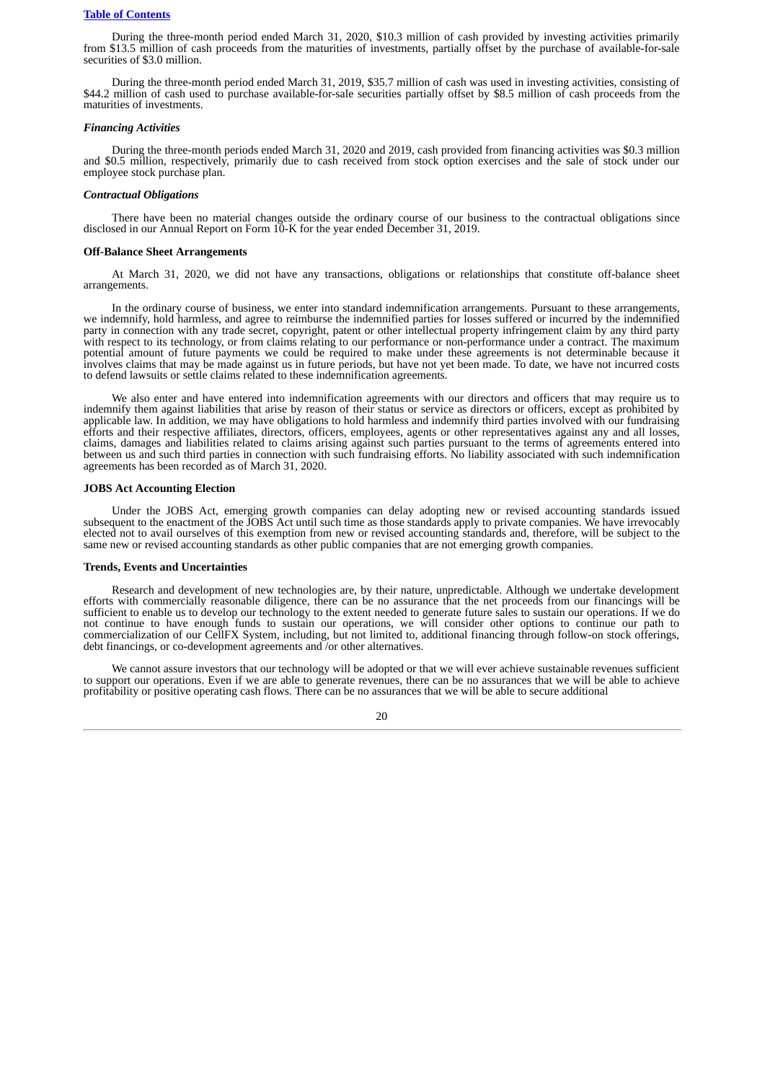During the three-month period ended March 31, 2020, \$10.3 million of cash provided by investing activities primarily from \$13.5 million of cash proceeds from the maturities of investments, partially offset by the purchase of available-for-sale securities of \$3.0 million.

During the three-month period ended March 31, 2019, \$35.7 million of cash was used in investing activities, consisting of \$44.2 million of cash used to purchase available-for-sale securities partially offset by \$8.5 million of cash proceeds from the maturities of investments.

#### *Financing Activities*

During the three-month periods ended March 31, 2020 and 2019, cash provided from financing activities was \$0.3 million and \$0.5 million, respectively, primarily due to cash received from stock option exercises and the sale of stock under our employee stock purchase plan.

#### *Contractual Obligations*

There have been no material changes outside the ordinary course of our business to the contractual obligations since disclosed in our Annual Report on Form 10-K for the year ended December 31, 2019.

# **Off-Balance Sheet Arrangements**

At March 31, 2020, we did not have any transactions, obligations or relationships that constitute off-balance sheet arrangements.

In the ordinary course of business, we enter into standard indemnification arrangements. Pursuant to these arrangements, we indemnify, hold harmless, and agree to reimburse the indemnified parties for losses suffered or incurred by the indemnified party in connection with any trade secret, copyright, patent or other intellectual property infringement claim by any third party with respect to its technology, or from claims relating to our performance or non-performance under a contract. The maximum potential amount of future payments we could be required to make under these agreements is not determinable because it involves claims that may be made against us in future periods, but have not yet been made. To date, we have not incurred costs to defend lawsuits or settle claims related to these indemnification agreements.

We also enter and have entered into indemnification agreements with our directors and officers that may require us to indemnify them against liabilities that arise by reason of their status or service as directors or officers, except as prohibited by applicable law. In addition, we may have obligations to hold harmless and indemnify third parties involved with our fundraising efforts and their respective affiliates, directors, officers, employees, agents or other representatives against any and all losses, claims, damages and liabilities related to claims arising against such parties pursuant to the terms of agreements entered into between us and such third parties in connection with such fundraising efforts. No liability associated with such indemnification agreements has been recorded as of March 31, 2020.

# **JOBS Act Accounting Election**

Under the JOBS Act, emerging growth companies can delay adopting new or revised accounting standards issued subsequent to the enactment of the JOBS Act until such time as those standards apply to private companies. We have irrevocably elected not to avail ourselves of this exemption from new or revised accounting standards and, therefore, will be subject to the same new or revised accounting standards as other public companies that are not emerging growth companies.

#### **Trends, Events and Uncertainties**

Research and development of new technologies are, by their nature, unpredictable. Although we undertake development efforts with commercially reasonable diligence, there can be no assurance that the net proceeds from our financings will be sufficient to enable us to develop our technology to the extent needed to generate future sales to sustain our operations. If we do not continue to have enough funds to sustain our operations, we will consider other options to continue our path to commercialization of our CellFX System, including, but not limited to, additional financing through follow-on stock offerings, debt financings, or co-development agreements and /or other alternatives.

We cannot assure investors that our technology will be adopted or that we will ever achieve sustainable revenues sufficient to support our operations. Even if we are able to generate revenues, there can be no assurances that we will be able to achieve profitability or positive operating cash flows. There can be no assurances that we will be able to secure additional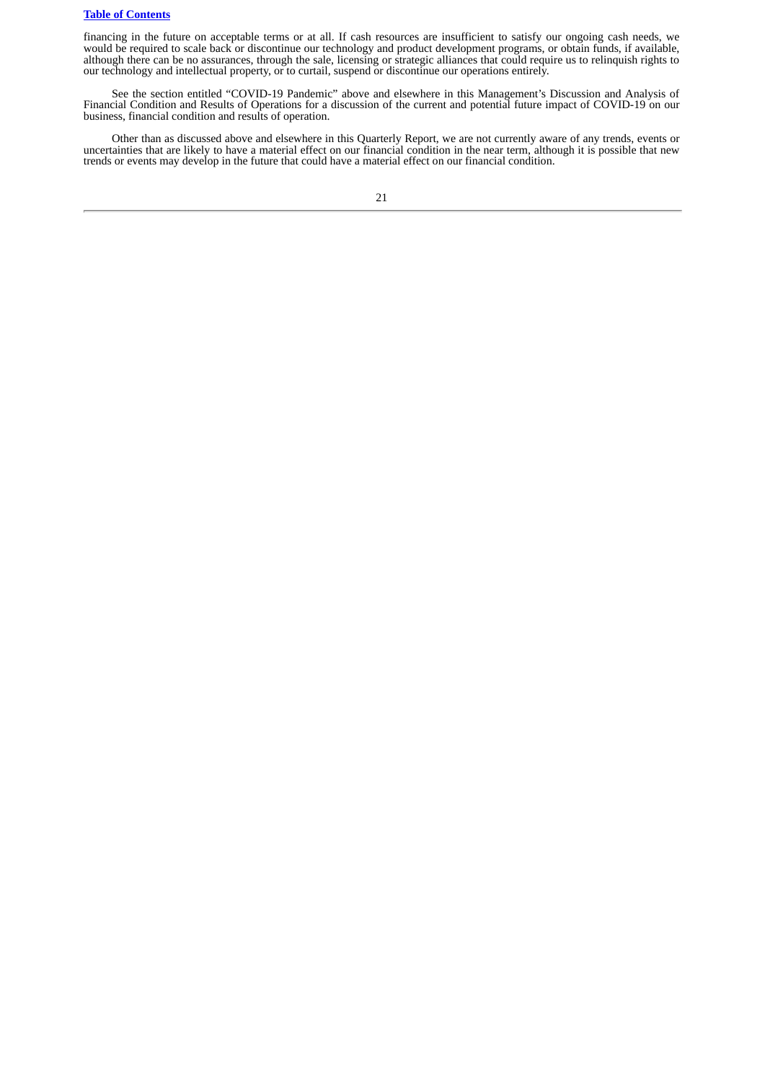financing in the future on acceptable terms or at all. If cash resources are insufficient to satisfy our ongoing cash needs, we would be required to scale back or discontinue our technology and product development programs, or obtain funds, if available, although there can be no assurances, through the sale, licensing or strategic alliances that could require us to relinquish rights to our technology and intellectual property, or to curtail, suspend or discontinue our operations entirely.

See the section entitled "COVID-19 Pandemic" above and elsewhere in this Management's Discussion and Analysis of Financial Condition and Results of Operations for a discussion of the current and potential future impact of COVID-19 on our business, financial condition and results of operation.

Other than as discussed above and elsewhere in this Quarterly Report, we are not currently aware of any trends, events or uncertainties that are likely to have a material effect on our financial condition in the near term, although it is possible that new trends or events may develop in the future that could have a material effect on our financial condition.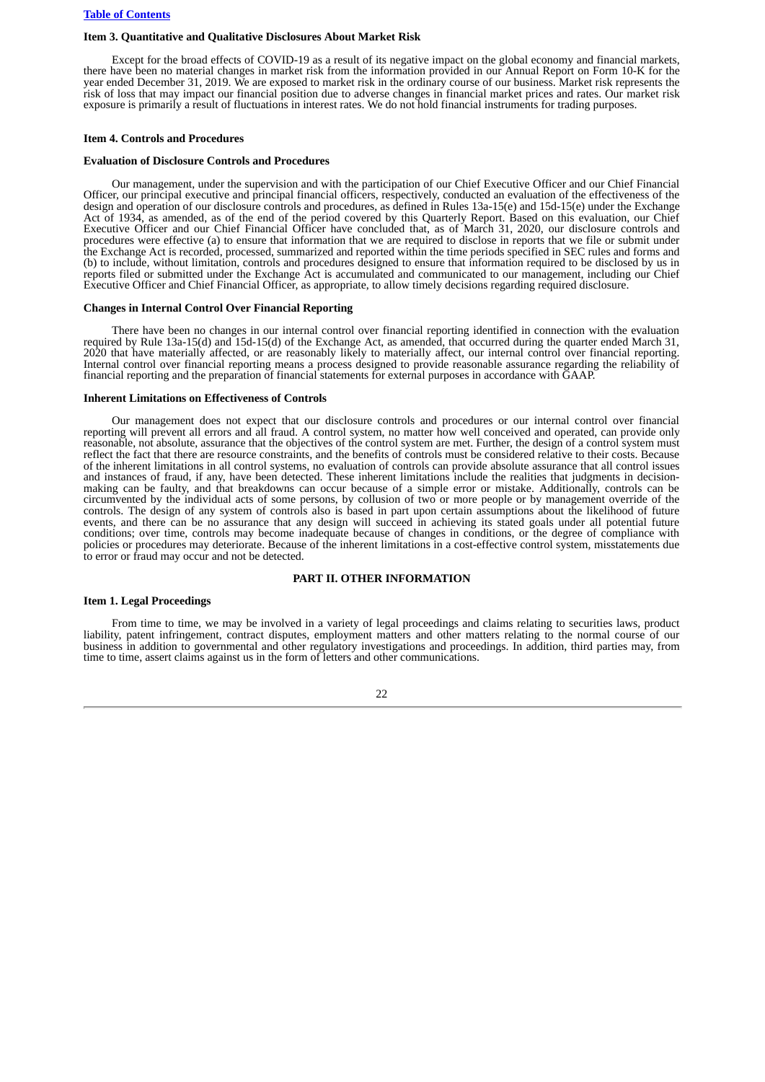### <span id="page-21-0"></span>**Item 3. Quantitative and Qualitative Disclosures About Market Risk**

Except for the broad effects of COVID-19 as a result of its negative impact on the global economy and financial markets, there have been no material changes in market risk from the information provided in our Annual Report on Form 10-K for the year ended December 31, 2019. We are exposed to market risk in the ordinary course of our business. Market risk represents the risk of loss that may impact our financial position due to adverse changes in financial market prices and rates. Our market risk exposure is primarily a result of fluctuations in interest rates. We do not hold financial instruments for trading purposes.

#### <span id="page-21-1"></span>**Item 4. Controls and Procedures**

#### **Evaluation of Disclosure Controls and Procedures**

Our management, under the supervision and with the participation of our Chief Executive Officer and our Chief Financial Officer, our principal executive and principal financial officers, respectively, conducted an evaluation of the effectiveness of the design and operation of our disclosure controls and procedures, as defined in Rules 13a-15(e) and 15d-15(e) under the Exchange Act of 1934, as amended, as of the end of the period covered by this Quarterly Report. Based on this evaluation, our Chief Executive Officer and our Chief Financial Officer have concluded that, as of March 31, 2020, our disclosure controls and procedures were effective (a) to ensure that information that we are required to disclose in reports that we file or submit under the Exchange Act is recorded, processed, summarized and reported within the time periods specified in SEC rules and forms and (b) to include, without limitation, controls and procedures designed to ensure that information required to be disclosed by us in reports filed or submitted under the Exchange Act is accumulated and communicated to our management, including our Chief Executive Officer and Chief Financial Officer, as appropriate, to allow timely decisions regarding required disclosure.

#### **Changes in Internal Control Over Financial Reporting**

There have been no changes in our internal control over financial reporting identified in connection with the evaluation required by Rule 13a-15(d) and 15d-15(d) of the Exchange Act, as amended, that occurred during the quarter ended March 31, 2020 that have materially affected, or are reasonably likely to materially affect, our internal control over financial reporting. Internal control over financial reporting means a process designed to provide reasonable assurance regarding the reliability of financial reporting and the preparation of financial statements for external purposes in accordance with GAAP.

#### **Inherent Limitations on Effectiveness of Controls**

Our management does not expect that our disclosure controls and procedures or our internal control over financial reporting will prevent all errors and all fraud. A control system, no matter how well conceived and operated, can provide only reasonable, not absolute, assurance that the objectives of the control system are met. Further, the design of a control system must reflect the fact that there are resource constraints, and the benefits of controls must be considered relative to their costs. Because of the inherent limitations in all control systems, no evaluation of controls can provide absolute assurance that all control issues and instances of fraud, if any, have been detected. These inherent limitations include the realities that judgments in decisionmaking can be faulty, and that breakdowns can occur because of a simple error or mistake. Additionally, controls can be circumvented by the individual acts of some persons, by collusion of two or more people or by management override of the controls. The design of any system of controls also is based in part upon certain assumptions about the likelihood of future events, and there can be no assurance that any design will succeed in achieving its stated goals under all potential future conditions; over time, controls may become inadequate because of changes in conditions, or the degree of compliance with policies or procedures may deteriorate. Because of the inherent limitations in a cost-effective control system, misstatements due to error or fraud may occur and not be detected.

# <span id="page-21-3"></span><span id="page-21-2"></span>**PART II. OTHER INFORMATION**

#### **Item 1. Legal Proceedings**

From time to time, we may be involved in a variety of legal proceedings and claims relating to securities laws, product liability, patent infringement, contract disputes, employment matters and other matters relating to the normal course of our business in addition to governmental and other regulatory investigations and proceedings. In addition, third parties may, from time to time, assert claims against us in the form of letters and other communications.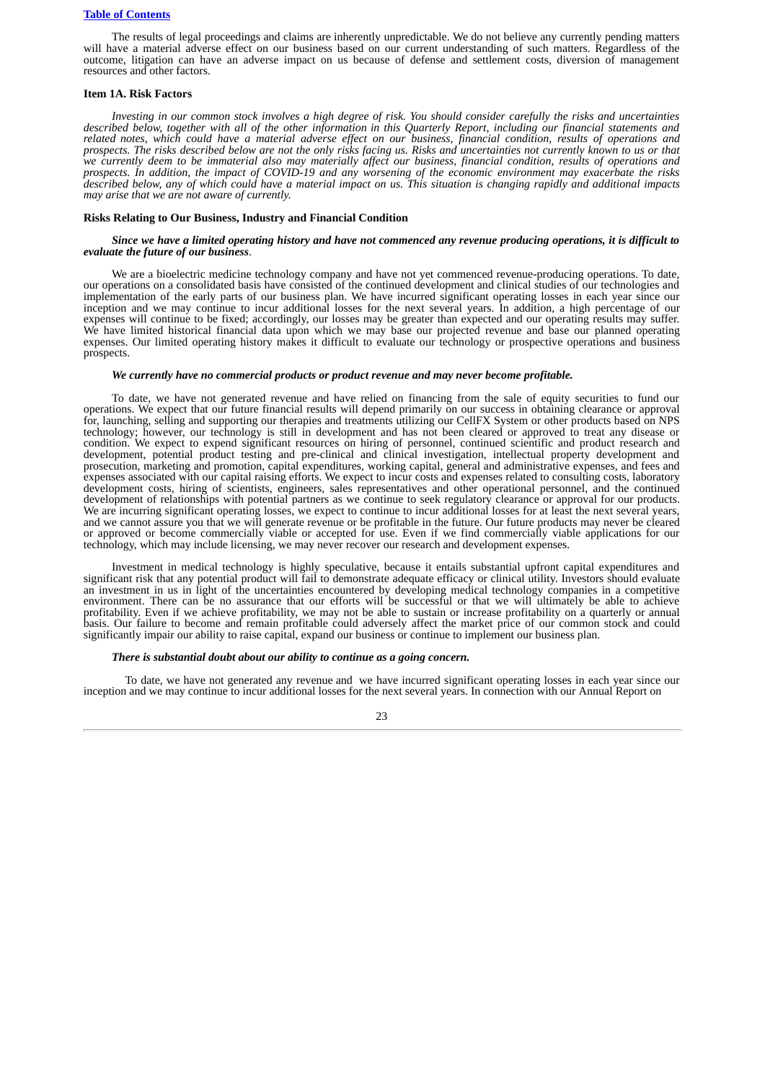The results of legal proceedings and claims are inherently unpredictable. We do not believe any currently pending matters will have a material adverse effect on our business based on our current understanding of such matters. Regardless of the outcome, litigation can have an adverse impact on us because of defense and settlement costs, diversion of management resources and other factors.

# <span id="page-22-0"></span>**Item 1A. Risk Factors**

Investing in our common stock involves a high degree of risk. You should consider carefully the risks and uncertainties described below, together with all of the other information in this Quarterly Report, including our financial statements and related notes, which could have a material adverse effect on our business, financial condition, results of operations and prospects. The risks described below are not the only risks facing us. Risks and uncertainties not currently known to us or that we currently deem to be immaterial also may materially affect our business, financial condition, results of operations and prospects. In addition, the impact of COVID-19 and any worsening of the economic environment may exacerbate the risks described below, any of which could have a material impact on us. This situation is changing rapidly and additional impacts *may arise that we are not aware of currently.*

# **Risks Relating to Our Business, Industry and Financial Condition**

#### Since we have a limited operating history and have not commenced any revenue producing operations, it is difficult to *evaluate the future of our business*.

We are a bioelectric medicine technology company and have not yet commenced revenue-producing operations. To date, our operations on a consolidated basis have consisted of the continued development and clinical studies of our technologies and implementation of the early parts of our business plan. We have incurred significant operating losses in each year since our inception and we may continue to incur additional losses for the next several years. In addition, a high percentage of our expenses will continue to be fixed; accordingly, our losses may be greater than expected and our operating results may suffer.<br>We have limited historical financial data upon which we may base our projected revenue and base expenses. Our limited operating history makes it difficult to evaluate our technology or prospective operations and business prospects.

# *We currently have no commercial products or product revenue and may never become profitable.*

To date, we have not generated revenue and have relied on financing from the sale of equity securities to fund our operations. We expect that our future financial results will depend primarily on our success in obtaining clearance or approval for, launching, selling and supporting our therapies and treatments utilizing our CellFX System or other products based on NPS technology; however, our technology is still in development and has not been cleared or approved to treat any disease or condition. We expect to expend significant resources on hiring of personnel, continued scientific and product research and development, potential product testing and pre-clinical and clinical investigation, intellectual property development and prosecution, marketing and promotion, capital expenditures, working capital, general and administrative expenses, and fees and expenses associated with our capital raising efforts. We expect to incur costs and expenses related to consulting costs, laboratory development costs, hiring of scientists, engineers, sales representatives and other operational personnel, and the continued development of relationships with potential partners as we continue to seek regulatory clearance or approval for our products.<br>We are incurring significant operating losses, we expect to continue to incur additional losses and we cannot assure you that we will generate revenue or be profitable in the future. Our future products may never be cleared or approved or become commercially viable or accepted for use. Even if we find commercially viable applications for our technology, which may include licensing, we may never recover our research and development expenses.

Investment in medical technology is highly speculative, because it entails substantial upfront capital expenditures and significant risk that any potential product will fail to demonstrate adequate efficacy or clinical utility. Investors should evaluate an investment in us in light of the uncertainties encountered by developing medical technology companies in a competitive environment. There can be no assurance that our efforts will be successful or that we will ultimately be able to achieve profitability. Even if we achieve profitability, we may not be able to sustain or increase profitability on a quarterly or annual basis. Our failure to become and remain profitable could adversely affect the market price of our common stock and could significantly impair our ability to raise capital, expand our business or continue to implement our business plan.

# *There is substantial doubt about our ability to continue as a going concern.*

To date, we have not generated any revenue and we have incurred significant operating losses in each year since our inception and we may continue to incur additional losses for the next several years. In connection with our Annual Report on

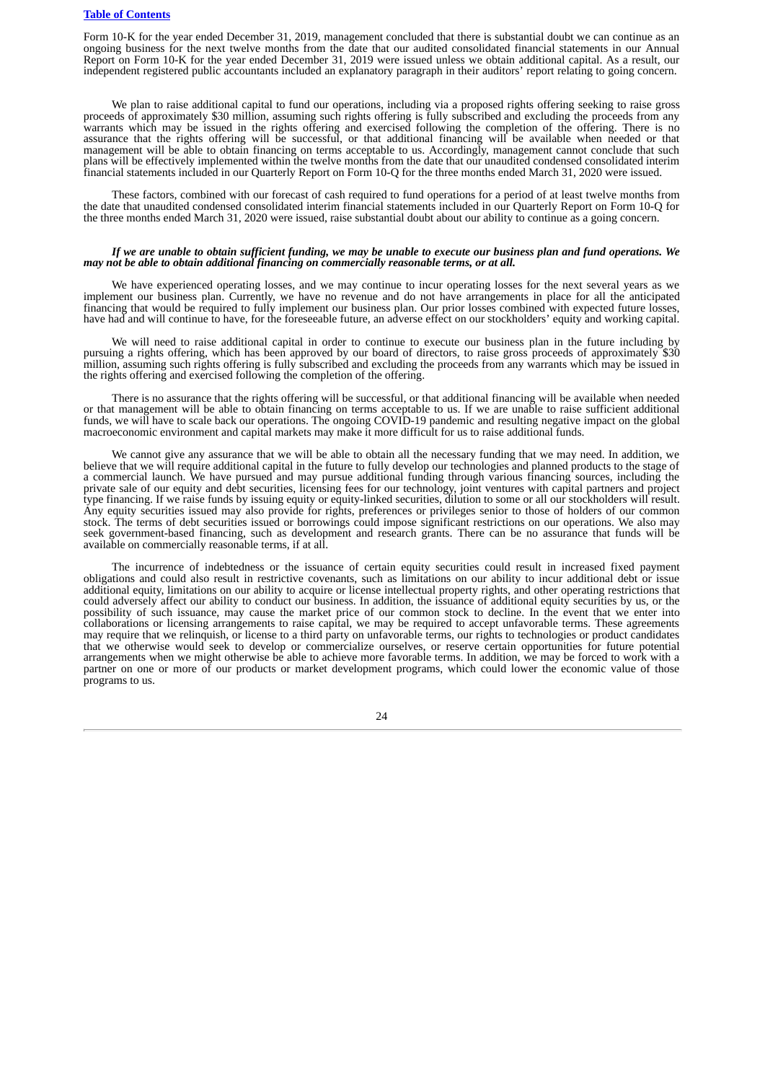Form 10-K for the year ended December 31, 2019, management concluded that there is substantial doubt we can continue as an ongoing business for the next twelve months from the date that our audited consolidated financial statements in our Annual Report on Form 10-K for the year ended December 31, 2019 were issued unless we obtain additional capital. As a result, our independent registered public accountants included an explanatory paragraph in their auditors' report relating to going concern.

We plan to raise additional capital to fund our operations, including via a proposed rights offering seeking to raise gross proceeds of approximately \$30 million, assuming such rights offering is fully subscribed and excluding the proceeds from any warrants which may be issued in the rights offering and exercised following the completion of the offering. There is no assurance that the rights offering will be successful, or that additional financing will be available when needed or that management will be able to obtain financing on terms acceptable to us. Accordingly, management cannot conclude that such plans will be effectively implemented within the twelve months from the date that our unaudited condensed consolidated interim financial statements included in our Quarterly Report on Form 10-Q for the three months ended March 31, 2020 were issued.

These factors, combined with our forecast of cash required to fund operations for a period of at least twelve months from the date that unaudited condensed consolidated interim financial statements included in our Quarterly Report on Form 10-Q for the three months ended March 31, 2020 were issued, raise substantial doubt about our ability to continue as a going concern.

#### If we are unable to obtain sufficient funding, we may be unable to execute our business plan and fund operations. We *may not be able to obtain additional financing on commercially reasonable terms, or at all.*

We have experienced operating losses, and we may continue to incur operating losses for the next several years as we implement our business plan. Currently, we have no revenue and do not have arrangements in place for all the anticipated financing that would be required to fully implement our business plan. Our prior losses combined with expected future losses, have had and will continue to have, for the foreseeable future, an adverse effect on our stockholders' equity and working capital.

We will need to raise additional capital in order to continue to execute our business plan in the future including by pursuing a rights offering, which has been approved by our board of directors, to raise gross proceeds of approximately \$30 million, assuming such rights offering is fully subscribed and excluding the proceeds from any warrants which may be issued in the rights offering and exercised following the completion of the offering.

There is no assurance that the rights offering will be successful, or that additional financing will be available when needed or that management will be able to obtain financing on terms acceptable to us. If we are unable to raise sufficient additional funds, we will have to scale back our operations. The ongoing COVID-19 pandemic and resulting negative impact on the global macroeconomic environment and capital markets may make it more difficult for us to raise additional funds.

We cannot give any assurance that we will be able to obtain all the necessary funding that we may need. In addition, we believe that we will require additional capital in the future to fully develop our technologies and planned products to the stage of a commercial launch. We have pursued and may pursue additional funding through various financing sources, including the private sale of our equity and debt securities, licensing fees for our technology, joint ventures with capital partners and project type financing. If we raise funds by issuing equity or equity-linked securities, dilution to some or all our stockholders will result. Any equity securities issued may also provide for rights, preferences or privileges senior to those of holders of our common stock. The terms of debt securities issued or borrowings could impose significant restrictions on our operations. We also may seek government-based financing, such as development and research grants. There can be no assurance that funds will be available on commercially reasonable terms, if at all.

The incurrence of indebtedness or the issuance of certain equity securities could result in increased fixed payment obligations and could also result in restrictive covenants, such as limitations on our ability to incur additional debt or issue additional equity, limitations on our ability to acquire or license intellectual property rights, and other operating restrictions that could adversely affect our ability to conduct our business. In addition, the issuance of additional equity securities by us, or the possibility of such issuance, may cause the market price of our common stock to decline. In the event that we enter into collaborations or licensing arrangements to raise capital, we may be required to accept unfavorable terms. These agreements may require that we relinquish, or license to a third party on unfavorable terms, our rights to technologies or product candidates that we otherwise would seek to develop or commercialize ourselves, or reserve certain opportunities for future potential arrangements when we might otherwise be able to achieve more favorable terms. In addition, we may be forced to work with a partner on one or more of our products or market development programs, which could lower the economic value of those programs to us.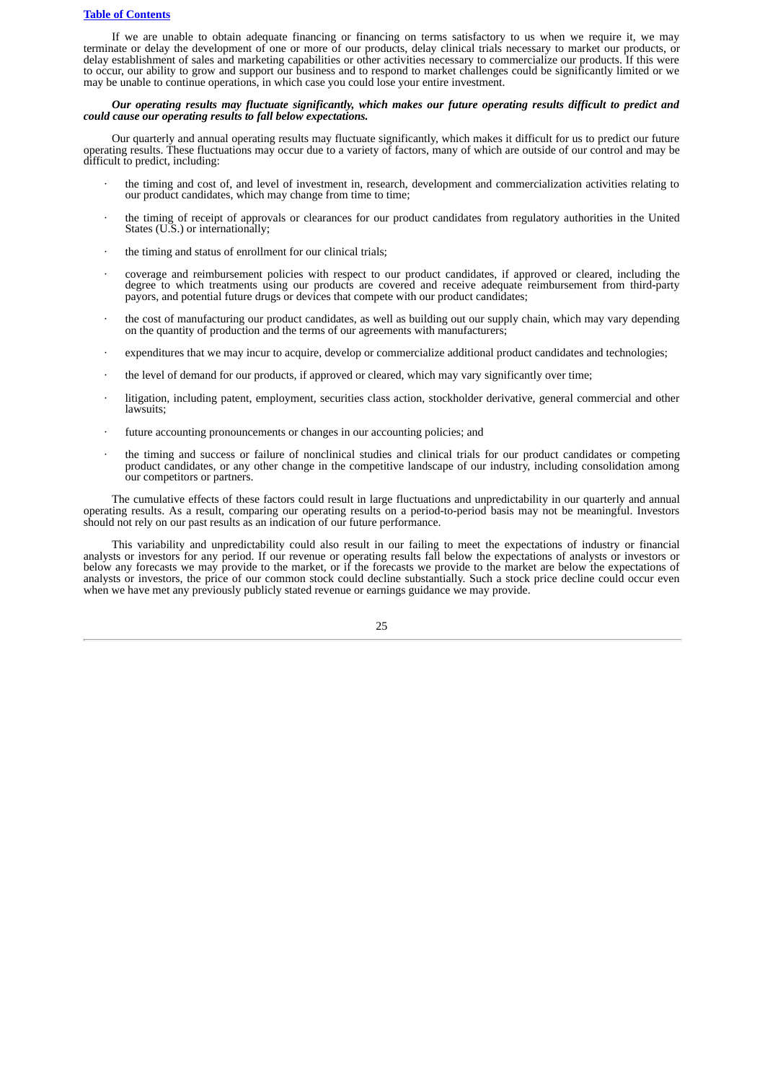If we are unable to obtain adequate financing or financing on terms satisfactory to us when we require it, we may terminate or delay the development of one or more of our products, delay clinical trials necessary to market our products, or delay establishment of sales and marketing capabilities or other activities necessary to commercialize our products. If this were to occur, our ability to grow and support our business and to respond to market challenges could be significantly limited or we may be unable to continue operations, in which case you could lose your entire investment.

#### Our operating results may fluctuate significantly, which makes our future operating results difficult to predict and *could cause our operating results to fall below expectations.*

Our quarterly and annual operating results may fluctuate significantly, which makes it difficult for us to predict our future operating results. These fluctuations may occur due to a variety of factors, many of which are outside of our control and may be difficult to predict, including:

- · the timing and cost of, and level of investment in, research, development and commercialization activities relating to our product candidates, which may change from time to time;
- the timing of receipt of approvals or clearances for our product candidates from regulatory authorities in the United States (U.S.) or internationally;
- the timing and status of enrollment for our clinical trials;
- · coverage and reimbursement policies with respect to our product candidates, if approved or cleared, including the degree to which treatments using our products are covered and receive adequate reimbursement from third-party payors, and potential future drugs or devices that compete with our product candidates;
- · the cost of manufacturing our product candidates, as well as building out our supply chain, which may vary depending on the quantity of production and the terms of our agreements with manufacturers;
- expenditures that we may incur to acquire, develop or commercialize additional product candidates and technologies;
- · the level of demand for our products, if approved or cleared, which may vary significantly over time;
- litigation, including patent, employment, securities class action, stockholder derivative, general commercial and other lawsuits;
- future accounting pronouncements or changes in our accounting policies; and
- the timing and success or failure of nonclinical studies and clinical trials for our product candidates or competing product candidates, or any other change in the competitive landscape of our industry, including consolidation among our competitors or partners.

The cumulative effects of these factors could result in large fluctuations and unpredictability in our quarterly and annual operating results. As a result, comparing our operating results on a period-to-period basis may not be meaningful. Investors should not rely on our past results as an indication of our future performance.

This variability and unpredictability could also result in our failing to meet the expectations of industry or financial analysts or investors for any period. If our revenue or operating results fall below the expectations of analysts or investors or below any forecasts we may provide to the market, or if the forecasts we provide to the market are below the expectations of analysts or investors, the price of our common stock could decline substantially. Such a stock price decline could occur even when we have met any previously publicly stated revenue or earnings guidance we may provide.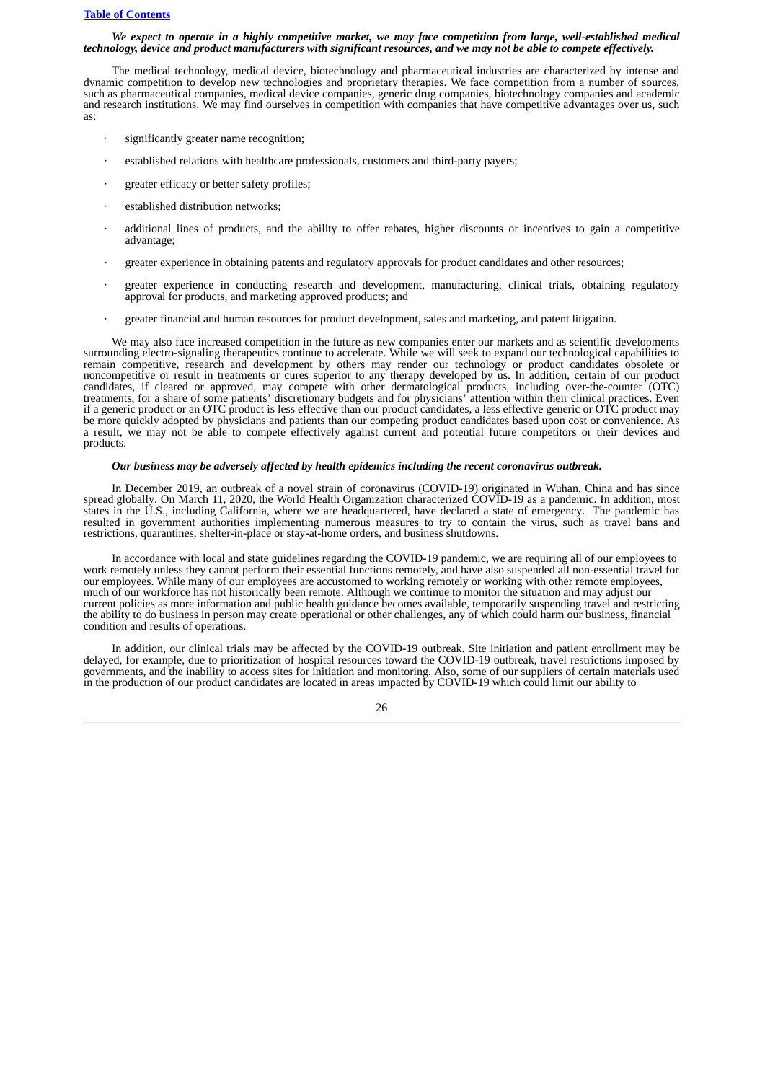### We expect to operate in a highly competitive market, we may face competition from large, well-established medical technology, device and product manufacturers with significant resources, and we may not be able to compete effectively.

The medical technology, medical device, biotechnology and pharmaceutical industries are characterized by intense and dynamic competition to develop new technologies and proprietary therapies. We face competition from a number of sources, such as pharmaceutical companies, medical device companies, generic drug companies, biotechnology companies and academic and research institutions. We may find ourselves in competition with companies that have competitive advantages over us, such as:

- significantly greater name recognition;
- established relations with healthcare professionals, customers and third-party payers;
- greater efficacy or better safety profiles;
- established distribution networks:
- additional lines of products, and the ability to offer rebates, higher discounts or incentives to gain a competitive advantage;
- · greater experience in obtaining patents and regulatory approvals for product candidates and other resources;
- greater experience in conducting research and development, manufacturing, clinical trials, obtaining regulatory approval for products, and marketing approved products; and
- · greater financial and human resources for product development, sales and marketing, and patent litigation.

We may also face increased competition in the future as new companies enter our markets and as scientific developments surrounding electro-signaling therapeutics continue to accelerate. While we will seek to expand our technological capabilities to remain competitive, research and development by others may render our technology or product candidates obsolete or noncompetitive or result in treatments or cures superior to any therapy developed by us. In addition, certain of our product candidates, if cleared or approved, may compete with other dermatological products, including over-the-counter (OTC) treatments, for a share of some patients' discretionary budgets and for physicians' attention within their clinical practices. Even if a generic product or an OTC product is less effective than our product candidates, a less effective generic or OTC product may be more quickly adopted by physicians and patients than our competing product candidates based upon cost or convenience. As a result, we may not be able to compete effectively against current and potential future competitors or their devices and products.

# *Our business may be adversely affected by health epidemics including the recent coronavirus outbreak.*

In December 2019, an outbreak of a novel strain of coronavirus (COVID-19) originated in Wuhan, China and has since spread globally. On March 11, 2020, the World Health Organization characterized COVID-19 as a pandemic. In addition, most states in the U.S., including California, where we are headquartered, have declared a state of emergency. The pandemic has resulted in government authorities implementing numerous measures to try to contain the virus, such as travel bans and restrictions, quarantines, shelter-in-place or stay-at-home orders, and business shutdowns.

In accordance with local and state guidelines regarding the COVID-19 pandemic, we are requiring all of our employees to work remotely unless they cannot perform their essential functions remotely, and have also suspended all non-essential travel for our employees. While many of our employees are accustomed to working remotely or working with other remote employees, much of our workforce has not historically been remote. Although we continue to monitor the situation and may adjust our current policies as more information and public health guidance becomes available, temporarily suspending travel and restricting the ability to do business in person may create operational or other challenges, any of which could harm our business, financial condition and results of operations.

In addition, our clinical trials may be affected by the COVID-19 outbreak. Site initiation and patient enrollment may be delayed, for example, due to prioritization of hospital resources toward the COVID-19 outbreak, travel restrictions imposed by governments, and the inability to access sites for initiation and monitoring. Also, some of our suppliers of certain materials used in the production of our product candidates are located in areas impacted by COVID-19 which could limit our ability to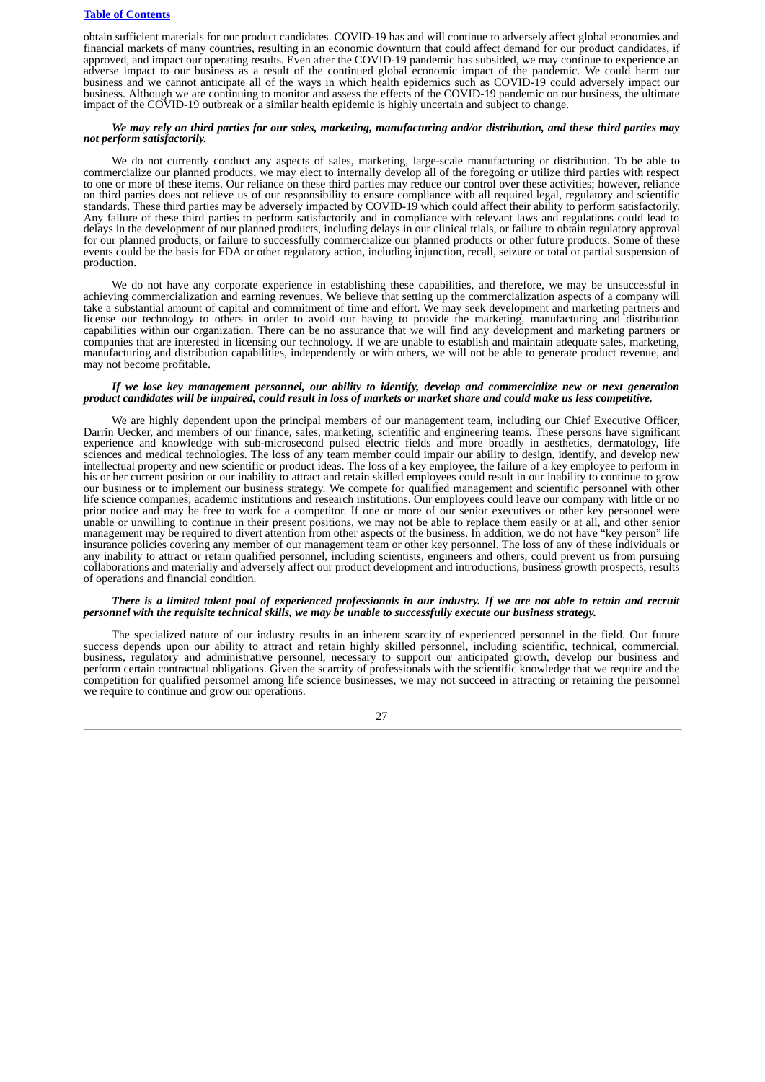obtain sufficient materials for our product candidates. COVID-19 has and will continue to adversely affect global economies and financial markets of many countries, resulting in an economic downturn that could affect demand for our product candidates, if approved, and impact our operating results. Even after the COVID-19 pandemic has subsided, we may continue to experience an adverse impact to our business as a result of the continued global economic impact of the pandemic. We could harm our business and we cannot anticipate all of the ways in which health epidemics such as COVID-19 could adversely impact our business. Although we are continuing to monitor and assess the effects of the COVID-19 pandemic on our business, the ultimate impact of the COVID-19 outbreak or a similar health epidemic is highly uncertain and subject to change.

# We may rely on third parties for our sales, marketing, manufacturing and/or distribution, and these third parties may *not perform satisfactorily.*

We do not currently conduct any aspects of sales, marketing, large-scale manufacturing or distribution. To be able to commercialize our planned products, we may elect to internally develop all of the foregoing or utilize third parties with respect to one or more of these items. Our reliance on these third parties may reduce our control over these activities; however, reliance on third parties does not relieve us of our responsibility to ensure compliance with all required legal, regulatory and scientific standards. These third parties may be adversely impacted by COVID-19 which could affect their ability to perform satisfactorily. Any failure of these third parties to perform satisfactorily and in compliance with relevant laws and regulations could lead to delays in the development of our planned products, including delays in our clinical trials, or failure to obtain regulatory approval for our planned products, or failure to successfully commercialize our planned products or other future products. Some of these events could be the basis for FDA or other regulatory action, including injunction, recall, seizure or total or partial suspension of production.

We do not have any corporate experience in establishing these capabilities, and therefore, we may be unsuccessful in achieving commercialization and earning revenues. We believe that setting up the commercialization aspects of a company will take a substantial amount of capital and commitment of time and effort. We may seek development and marketing partners and license our technology to others in order to avoid our having to provide the marketing, manufacturing and distribution capabilities within our organization. There can be no assurance that we will find any development and marketing partners or companies that are interested in licensing our technology. If we are unable to establish and maintain adequate sales, marketing, manufacturing and distribution capabilities, independently or with others, we will not be able to generate product revenue, and may not become profitable.

# If we lose key management personnel, our ability to identify, develop and commercialize new or next generation product candidates will be impaired, could result in loss of markets or market share and could make us less competitive.

We are highly dependent upon the principal members of our management team, including our Chief Executive Officer, Darrin Uecker, and members of our finance, sales, marketing, scientific and engineering teams. These persons have significant experience and knowledge with sub-microsecond pulsed electric fields and more broadly in aesthetics, dermatology, life sciences and medical technologies. The loss of any team member could impair our ability to design, identify, and develop new intellectual property and new scientific or product ideas. The loss of a key employee, the failure of a key employee to perform in his or her current position or our inability to attract and retain skilled employees could result in our inability to continue to grow our business or to implement our business strategy. We compete for qualified management and scientific personnel with other life science companies, academic institutions and research institutions. Our employees could leave our company with little or no prior notice and may be free to work for a competitor. If one or more of our senior executives or other key personnel were unable or unwilling to continue in their present positions, we may not be able to replace them easily or at all, and other senior management may be required to divert attention from other aspects of the business. In addition, we do not have "key person" life insurance policies covering any member of our management team or other key personnel. The loss of any of these individuals or any inability to attract or retain qualified personnel, including scientists, engineers and others, could prevent us from pursuing collaborations and materially and adversely affect our product development and introductions, business growth prospects, results of operations and financial condition.

#### There is a limited talent pool of experienced professionals in our industry. If we are not able to retain and recruit *personnel with the requisite technical skills, we may be unable to successfully execute our business strategy.*

The specialized nature of our industry results in an inherent scarcity of experienced personnel in the field. Our future success depends upon our ability to attract and retain highly skilled personnel, including scientific, technical, commercial, business, regulatory and administrative personnel, necessary to support our anticipated growth, develop our business and perform certain contractual obligations. Given the scarcity of professionals with the scientific knowledge that we require and the competition for qualified personnel among life science businesses, we may not succeed in attracting or retaining the personnel we require to continue and grow our operations.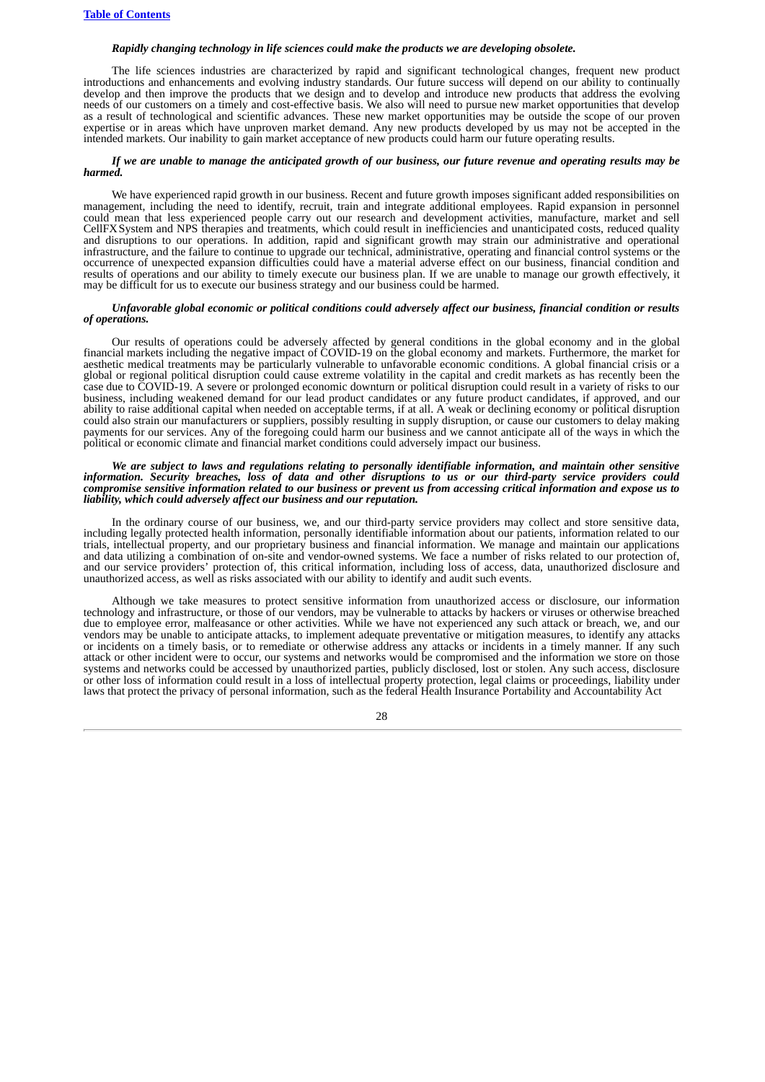#### *Rapidly changing technology in life sciences could make the products we are developing obsolete.*

The life sciences industries are characterized by rapid and significant technological changes, frequent new product introductions and enhancements and evolving industry standards. Our future success will depend on our ability to continually develop and then improve the products that we design and to develop and introduce new products that address the evolving needs of our customers on a timely and cost-effective basis. We also will need to pursue new market opportunities that develop as a result of technological and scientific advances. These new market opportunities may be outside the scope of our proven expertise or in areas which have unproven market demand. Any new products developed by us may not be accepted in the intended markets. Our inability to gain market acceptance of new products could harm our future operating results.

### If we are unable to manage the anticipated growth of our business, our future revenue and operating results may be *harmed.*

We have experienced rapid growth in our business. Recent and future growth imposes significant added responsibilities on management, including the need to identify, recruit, train and integrate additional employees. Rapid expansion in personnel could mean that less experienced people carry out our research and development activities, manufacture, market and sell CellFXSystem and NPS therapies and treatments, which could result in inefficiencies and unanticipated costs, reduced quality and disruptions to our operations. In addition, rapid and significant growth may strain our administrative and operational infrastructure, and the failure to continue to upgrade our technical, administrative, operating and financial control systems or the occurrence of unexpected expansion difficulties could have a material adverse effect on our business, financial condition and results of operations and our ability to timely execute our business plan. If we are unable to manage our growth effectively, it may be difficult for us to execute our business strategy and our business could be harmed.

#### *Unfavorable global economic or political conditions could adversely affect our business, financial condition or results of operations.*

Our results of operations could be adversely affected by general conditions in the global economy and in the global financial markets including the negative impact of COVID-19 on the global economy and markets. Furthermore, the market for aesthetic medical treatments may be particularly vulnerable to unfavorable economic conditions. A global financial crisis or a global or regional political disruption could cause extreme volatility in the capital and credit markets as has recently been the case due to COVID-19. A severe or prolonged economic downturn or political disruption could result in a variety of risks to our business, including weakened demand for our lead product candidates or any future product candidates, if approved, and our ability to raise additional capital when needed on acceptable terms, if at all. A weak or declining economy or political disruption could also strain our manufacturers or suppliers, possibly resulting in supply disruption, or cause our customers to delay making payments for our services. Any of the foregoing could harm our business and we cannot anticipate all of the ways in which the political or economic climate and financial market conditions could adversely impact our business.

#### We are subject to laws and regulations relating to personally identifiable information, and maintain other sensitive information. Security breaches, loss of data and other disruptions to us or our third-party service providers could compromise sensitive information related to our business or prevent us from accessing critical information and expose us to *liability, which could adversely affect our business and our reputation.*

In the ordinary course of our business, we, and our third-party service providers may collect and store sensitive data, including legally protected health information, personally identifiable information about our patients, information related to our trials, intellectual property, and our proprietary business and financial information. We manage and maintain our applications and data utilizing a combination of on-site and vendor-owned systems. We face a number of risks related to our protection of, and our service providers' protection of, this critical information, including loss of access, data, unauthorized disclosure and unauthorized access, as well as risks associated with our ability to identify and audit such events.

Although we take measures to protect sensitive information from unauthorized access or disclosure, our information technology and infrastructure, or those of our vendors, may be vulnerable to attacks by hackers or viruses or otherwise breached due to employee error, malfeasance or other activities. While we have not experienced any such attack or breach, we, and our vendors may be unable to anticipate attacks, to implement adequate preventative or mitigation measures, to identify any attacks or incidents on a timely basis, or to remediate or otherwise address any attacks or incidents in a timely manner. If any such attack or other incident were to occur, our systems and networks would be compromised and the information we store on those systems and networks could be accessed by unauthorized parties, publicly disclosed, lost or stolen. Any such access, disclosure or other loss of information could result in a loss of intellectual property protection, legal claims or proceedings, liability under laws that protect the privacy of personal information, such as the federal Health Insurance Portability and Accountability Act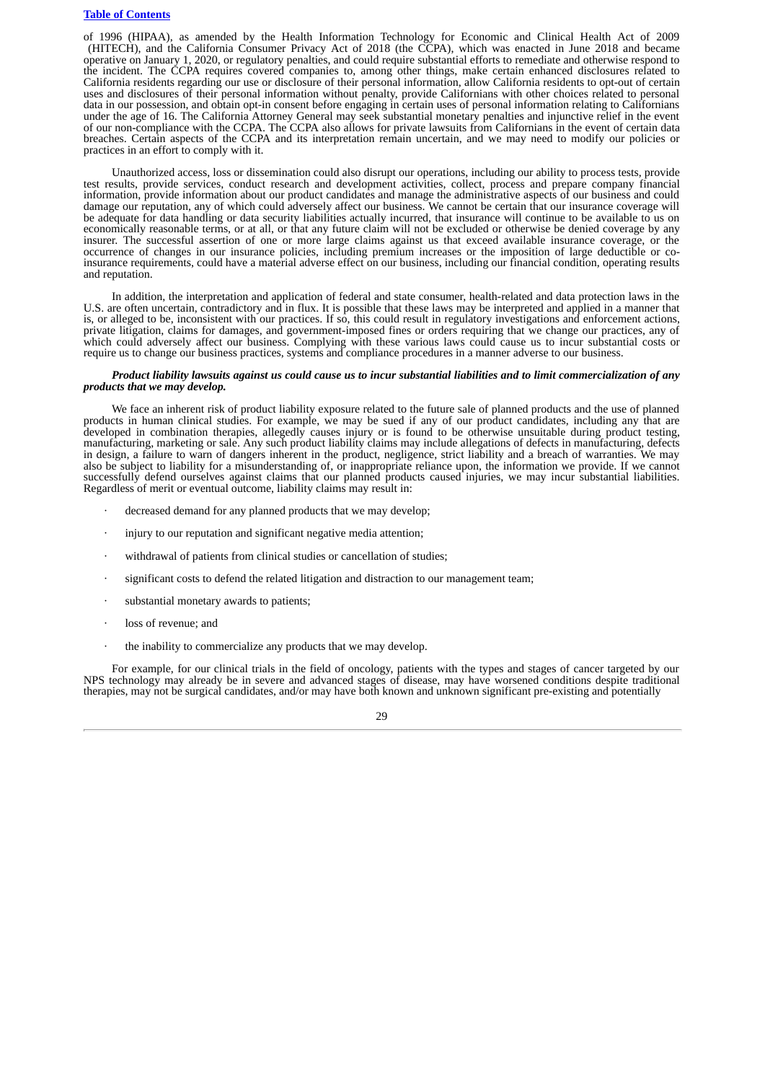of 1996 (HIPAA), as amended by the Health Information Technology for Economic and Clinical Health Act of 2009 (HITECH), and the California Consumer Privacy Act of 2018 (the CCPA), which was enacted in June 2018 and became operative on January 1, 2020, or regulatory penalties, and could require substantial efforts to remediate and otherwise respond to the incident. The CCPA requires covered companies to, among other things, make certain enhanced disclosures related to California residents regarding our use or disclosure of their personal information, allow California residents to opt-out of certain uses and disclosures of their personal information without penalty, provide Californians with other choices related to personal data in our possession, and obtain opt-in consent before engaging in certain uses of personal information relating to Californians under the age of 16. The California Attorney General may seek substantial monetary penalties and injunctive relief in the event of our non-compliance with the CCPA. The CCPA also allows for private lawsuits from Californians in the event of certain data breaches. Certain aspects of the CCPA and its interpretation remain uncertain, and we may need to modify our policies or practices in an effort to comply with it.

Unauthorized access, loss or dissemination could also disrupt our operations, including our ability to process tests, provide test results, provide services, conduct research and development activities, collect, process and prepare company financial information, provide information about our product candidates and manage the administrative aspects of our business and could damage our reputation, any of which could adversely affect our business. We cannot be certain that our insurance coverage will be adequate for data handling or data security liabilities actually incurred, that insurance will continue to be available to us on economically reasonable terms, or at all, or that any future claim will not be excluded or otherwise be denied coverage by any insurer. The successful assertion of one or more large claims against us that exceed available insurance coverage, or the occurrence of changes in our insurance policies, including premium increases or the imposition of large deductible or coinsurance requirements, could have a material adverse effect on our business, including our financial condition, operating results and reputation.

In addition, the interpretation and application of federal and state consumer, health-related and data protection laws in the U.S. are often uncertain, contradictory and in flux. It is possible that these laws may be interpreted and applied in a manner that is, or alleged to be, inconsistent with our practices. If so, this could result in regulatory investigations and enforcement actions, private litigation, claims for damages, and government-imposed fines or orders requiring that we change our practices, any of which could adversely affect our business. Complying with these various laws could cause us to incur substantial costs or require us to change our business practices, systems and compliance procedures in a manner adverse to our business.

#### Product liability lawsuits against us could cause us to incur substantial liabilities and to limit commercialization of any *products that we may develop.*

We face an inherent risk of product liability exposure related to the future sale of planned products and the use of planned products in human clinical studies. For example, we may be sued if any of our product candidates, including any that are developed in combination therapies, allegedly causes injury or is found to be otherwise unsuitable during product testing, manufacturing, marketing or sale. Any such product liability claims may include allegations of defects in manufacturing, defects in design, a failure to warn of dangers inherent in the product, negligence, strict liability and a breach of warranties. We may also be subject to liability for a misunderstanding of, or inappropriate reliance upon, the information we provide. If we cannot successfully defend ourselves against claims that our planned products caused injuries, we may incur substantial liabilities. Regardless of merit or eventual outcome, liability claims may result in:

- decreased demand for any planned products that we may develop;
- injury to our reputation and significant negative media attention;
- withdrawal of patients from clinical studies or cancellation of studies;
- · significant costs to defend the related litigation and distraction to our management team;
- substantial monetary awards to patients;
- loss of revenue; and
- the inability to commercialize any products that we may develop.

For example, for our clinical trials in the field of oncology, patients with the types and stages of cancer targeted by our NPS technology may already be in severe and advanced stages of disease, may have worsened conditions despite traditional therapies, may not be surgical candidates, and/or may have both known and unknown significant pre-existing and potentially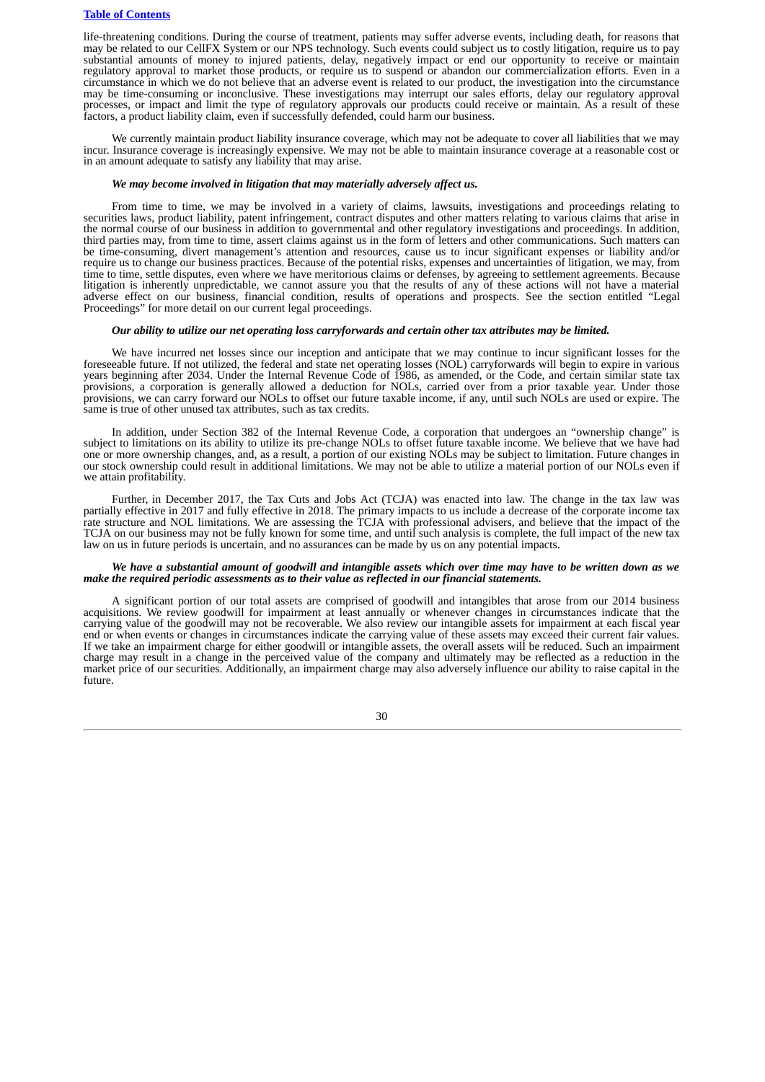life-threatening conditions. During the course of treatment, patients may suffer adverse events, including death, for reasons that may be related to our CellFX System or our NPS technology. Such events could subject us to costly litigation, require us to pay substantial amounts of money to injured patients, delay, negatively impact or end our opportunity to receive or maintain regulatory approval to market those products, or require us to suspend or abandon our commercialization efforts. Even in a circumstance in which we do not believe that an adverse event is related to our product, the investigation into the circumstance may be time-consuming or inconclusive. These investigations may interrupt our sales efforts, delay our regulatory approval processes, or impact and limit the type of regulatory approvals our products could receive or maintain. As a result of these factors, a product liability claim, even if successfully defended, could harm our business.

We currently maintain product liability insurance coverage, which may not be adequate to cover all liabilities that we may incur. Insurance coverage is increasingly expensive. We may not be able to maintain insurance coverage at a reasonable cost or in an amount adequate to satisfy any liability that may arise.

#### *We may become involved in litigation that may materially adversely affect us.*

From time to time, we may be involved in a variety of claims, lawsuits, investigations and proceedings relating to securities laws, product liability, patent infringement, contract disputes and other matters relating to various claims that arise in the normal course of our business in addition to governmental and other regulatory investigations and proceedings. In addition, third parties may, from time to time, assert claims against us in the form of letters and other communications. Such matters can be time-consuming, divert management's attention and resources, cause us to incur significant expenses or liability and/or require us to change our business practices. Because of the potential risks, expenses and uncertainties of litigation, we may, from time to time, settle disputes, even where we have meritorious claims or defenses, by agreeing to settlement agreements. Because litigation is inherently unpredictable, we cannot assure you that the results of any of these actions will not have a material adverse effect on our business, financial condition, results of operations and prospects. See the section entitled "Legal Proceedings" for more detail on our current legal proceedings.

#### Our ability to utilize our net operating loss carryforwards and certain other tax attributes may be limited.

We have incurred net losses since our inception and anticipate that we may continue to incur significant losses for the foreseeable future. If not utilized, the federal and state net operating losses (NOL) carryforwards will begin to expire in various years beginning after 2034. Under the Internal Revenue Code of 1986, as amended, or the Code, and certain similar state tax provisions, a corporation is generally allowed a deduction for NOLs, carried over from a prior taxable year. Under those provisions, we can carry forward our NOLs to offset our future taxable income, if any, until such NOLs are used or expire. The same is true of other unused tax attributes, such as tax credits.

In addition, under Section 382 of the Internal Revenue Code, a corporation that undergoes an "ownership change" is subject to limitations on its ability to utilize its pre-change NOLs to offset future taxable income. We believe that we have had one or more ownership changes, and, as a result, a portion of our existing NOLs may be subject to limitation. Future changes in our stock ownership could result in additional limitations. We may not be able to utilize a material portion of our NOLs even if we attain profitability.

Further, in December 2017, the Tax Cuts and Jobs Act (TCJA) was enacted into law. The change in the tax law was partially effective in 2017 and fully effective in 2018. The primary impacts to us include a decrease of the corporate income tax rate structure and NOL limitations. We are assessing the TCJA with professional advisers, and believe that the impact of the TCJA on our business may not be fully known for some time, and until such analysis is complete, the full impact of the new tax law on us in future periods is uncertain, and no assurances can be made by us on any potential impacts.

# We have a substantial amount of goodwill and intangible assets which over time may have to be written down as we *make the required periodic assessments as to their value as reflected in our financial statements.*

A significant portion of our total assets are comprised of goodwill and intangibles that arose from our 2014 business acquisitions. We review goodwill for impairment at least annually or whenever changes in circumstances indicate that the carrying value of the goodwill may not be recoverable. We also review our intangible assets for impairment at each fiscal year end or when events or changes in circumstances indicate the carrying value of these assets may exceed their current fair values. If we take an impairment charge for either goodwill or intangible assets, the overall assets will be reduced. Such an impairment charge may result in a change in the perceived value of the company and ultimately may be reflected as a reduction in the market price of our securities. Additionally, an impairment charge may also adversely influence our ability to raise capital in the future.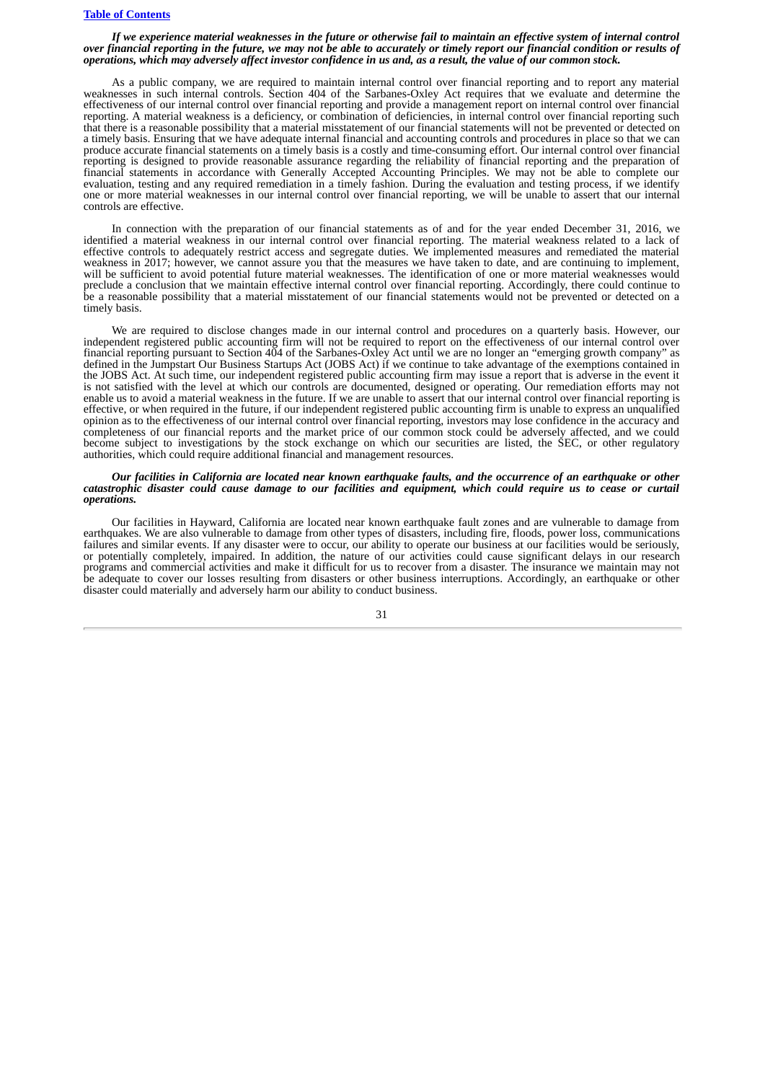#### f we experience material weaknesses in the future or otherwise fail to maintain an effective system of internal control over financial reporting in the future, we may not be able to accurately or timely report our financial condition or results of operations, which may adversely affect investor confidence in us and, as a result, the value of our common stock.

As a public company, we are required to maintain internal control over financial reporting and to report any material weaknesses in such internal controls. Section 404 of the Sarbanes-Oxley Act requires that we evaluate and determine the effectiveness of our internal control over financial reporting and provide a management report on internal control over financial reporting. A material weakness is a deficiency, or combination of deficiencies, in internal control over financial reporting such that there is a reasonable possibility that a material misstatement of our financial statements will not be prevented or detected on a timely basis. Ensuring that we have adequate internal financial and accounting controls and procedures in place so that we can produce accurate financial statements on a timely basis is a costly and time-consuming effort. Our internal control over financial reporting is designed to provide reasonable assurance regarding the reliability of financial reporting and the preparation of financial statements in accordance with Generally Accepted Accounting Principles. We may not be able to complete our evaluation, testing and any required remediation in a timely fashion. During the evaluation and testing process, if we identify one or more material weaknesses in our internal control over financial reporting, we will be unable to assert that our internal controls are effective.

In connection with the preparation of our financial statements as of and for the year ended December 31, 2016, we identified a material weakness in our internal control over financial reporting. The material weakness related to a lack of effective controls to adequately restrict access and segregate duties. We implemented measures and remediated the material weakness in 2017; however, we cannot assure you that the measures we have taken to date, and are continuing to implement, will be sufficient to avoid potential future material weaknesses. The identification of one or more material weaknesses would preclude a conclusion that we maintain effective internal control over financial reporting. Accordingly, there could continue to be a reasonable possibility that a material misstatement of our financial statements would not be prevented or detected on a timely basis.

We are required to disclose changes made in our internal control and procedures on a quarterly basis. However, our independent registered public accounting firm will not be required to report on the effectiveness of our internal control over financial reporting pursuant to Section 404 of the Sarbanes-Oxley Act until we are no longer an "emerging growth company" as defined in the Jumpstart Our Business Startups Act (JOBS Act) if we continue to take advantage of the exemptions contained in the JOBS Act. At such time, our independent registered public accounting firm may issue a report that is adverse in the event it is not satisfied with the level at which our controls are documented, designed or operating. Our remediation efforts may not enable us to avoid a material weakness in the future. If we are unable to assert that our internal control over financial reporting is effective, or when required in the future, if our independent registered public accounting firm is unable to express an unqualified opinion as to the effectiveness of our internal control over financial reporting, investors may lose confidence in the accuracy and completeness of our financial reports and the market price of our common stock could be adversely affected, and we could become subject to investigations by the stock exchange on which our securities are listed, the SEC, or other regulatory authorities, which could require additional financial and management resources.

#### Our facilities in California are located near known earthquake faults, and the occurrence of an earthquake or other catastrophic disaster could cause damage to our facilities and equipment, which could require us to cease or curtail *operations.*

Our facilities in Hayward, California are located near known earthquake fault zones and are vulnerable to damage from earthquakes. We are also vulnerable to damage from other types of disasters, including fire, floods, power loss, communications failures and similar events. If any disaster were to occur, our ability to operate our business at our facilities would be seriously, or potentially completely, impaired. In addition, the nature of our activities could cause significant delays in our research programs and commercial activities and make it difficult for us to recover from a disaster. The insurance we maintain may not be adequate to cover our losses resulting from disasters or other business interruptions. Accordingly, an earthquake or other disaster could materially and adversely harm our ability to conduct business.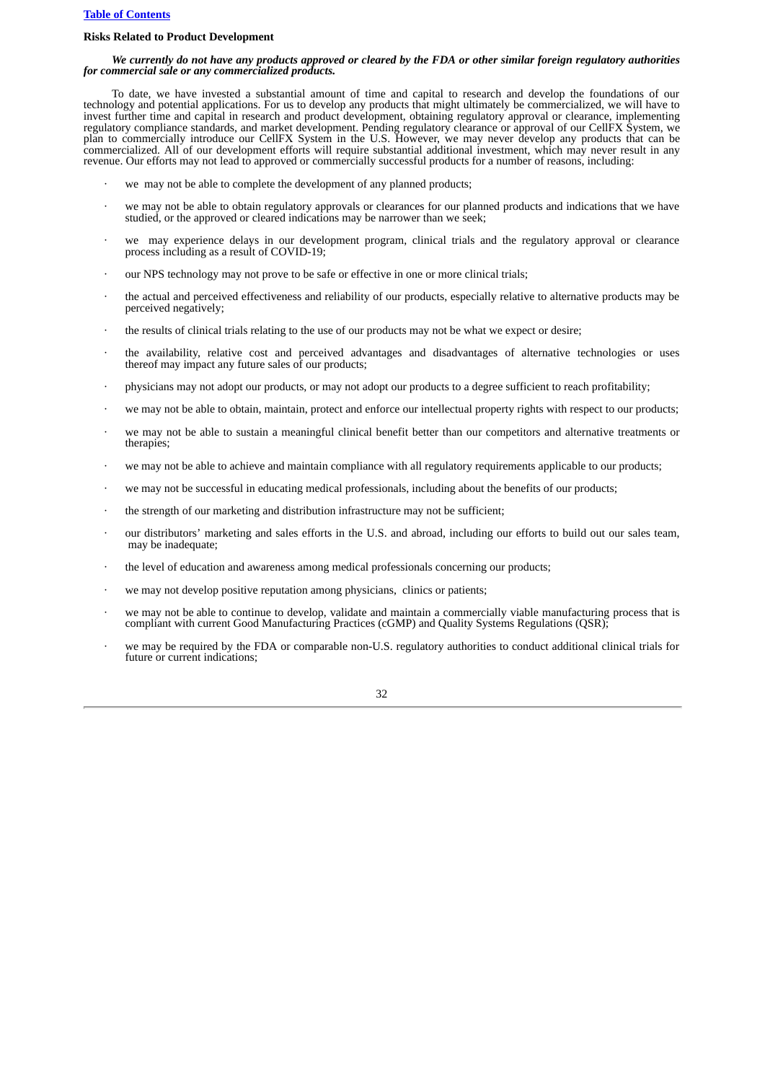# **Risks Related to Product Development**

#### We currently do not have any products approved or cleared by the FDA or other similar foreign regulatory authorities *for commercial sale or any commercialized products.*

To date, we have invested a substantial amount of time and capital to research and develop the foundations of our technology and potential applications. For us to develop any products that might ultimately be commercialized, we will have to invest further time and capital in research and product development, obtaining regulatory approval or clearance, implementing regulatory compliance standards, and market development. Pending regulatory clearance or approval of our CellFX System, we plan to commercially introduce our CellFX System in the U.S. However, we may never develop any products that can be commercialized. All of our development efforts will require substantial additional investment, which may never result in any revenue. Our efforts may not lead to approved or commercially successful products for a number of reasons, including:

- we may not be able to complete the development of any planned products;
- · we may not be able to obtain regulatory approvals or clearances for our planned products and indications that we have studied, or the approved or cleared indications may be narrower than we seek;
- · we may experience delays in our development program, clinical trials and the regulatory approval or clearance process including as a result of COVID-19;
- our NPS technology may not prove to be safe or effective in one or more clinical trials;
- the actual and perceived effectiveness and reliability of our products, especially relative to alternative products may be perceived negatively;
- the results of clinical trials relating to the use of our products may not be what we expect or desire;
- the availability, relative cost and perceived advantages and disadvantages of alternative technologies or uses thereof may impact any future sales of our products;
- · physicians may not adopt our products, or may not adopt our products to a degree sufficient to reach profitability;
- we may not be able to obtain, maintain, protect and enforce our intellectual property rights with respect to our products;
- · we may not be able to sustain a meaningful clinical benefit better than our competitors and alternative treatments or therapies;
- · we may not be able to achieve and maintain compliance with all regulatory requirements applicable to our products;
- · we may not be successful in educating medical professionals, including about the benefits of our products;
- the strength of our marketing and distribution infrastructure may not be sufficient;
- · our distributors' marketing and sales efforts in the U.S. and abroad, including our efforts to build out our sales team, may be inadequate;
- the level of education and awareness among medical professionals concerning our products;
- we may not develop positive reputation among physicians, clinics or patients;
- · we may not be able to continue to develop, validate and maintain a commercially viable manufacturing process that is compliant with current Good Manufacturing Practices (cGMP) and Quality Systems Regulations (QSR);
- we may be required by the FDA or comparable non-U.S. regulatory authorities to conduct additional clinical trials for future or current indications;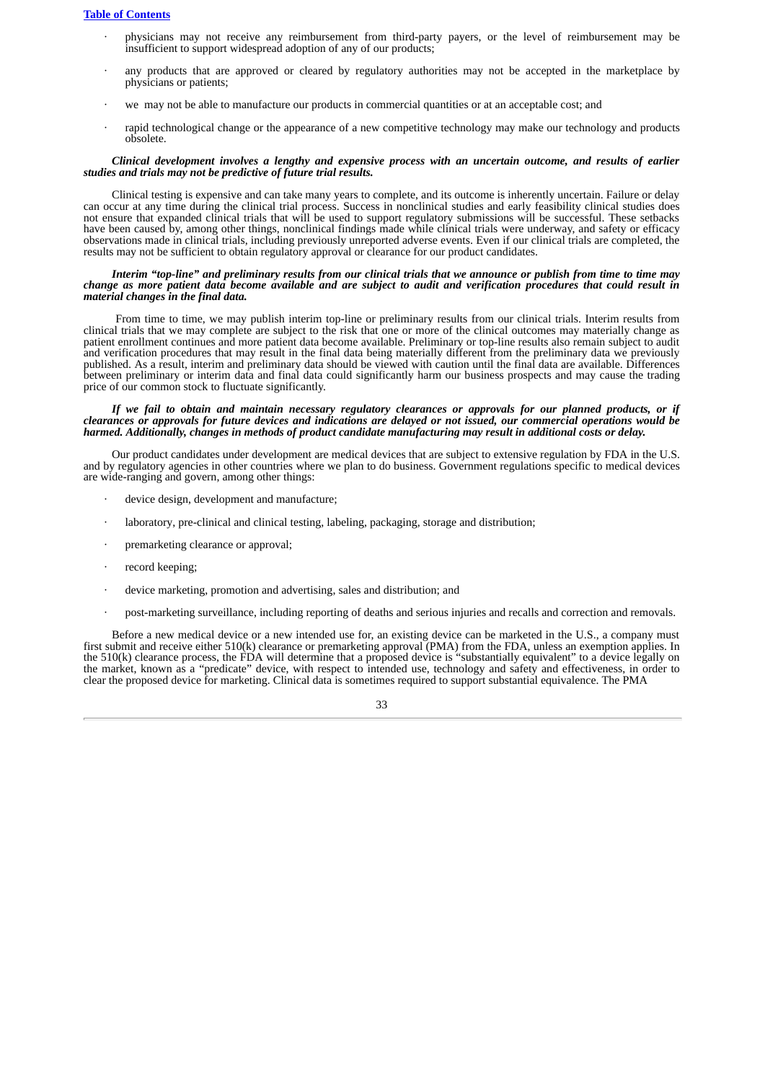- · physicians may not receive any reimbursement from third-party payers, or the level of reimbursement may be insufficient to support widespread adoption of any of our products;
- any products that are approved or cleared by regulatory authorities may not be accepted in the marketplace by physicians or patients;
- we may not be able to manufacture our products in commercial quantities or at an acceptable cost; and
- rapid technological change or the appearance of a new competitive technology may make our technology and products obsolete.

#### *Clinical development involves a lengthy and expensive process with an uncertain outcome, and results of earlier studies and trials may not be predictive of future trial results.*

Clinical testing is expensive and can take many years to complete, and its outcome is inherently uncertain. Failure or delay can occur at any time during the clinical trial process. Success in nonclinical studies and early feasibility clinical studies does not ensure that expanded clinical trials that will be used to support regulatory submissions will be successful. These setbacks have been caused by, among other things, nonclinical findings made while clinical trials were underway, and safety or efficacy observations made in clinical trials, including previously unreported adverse events. Even if our clinical trials are completed, the results may not be sufficient to obtain regulatory approval or clearance for our product candidates.

#### Interim "top-line" and preliminary results from our clinical trials that we announce or publish from time to time may change as more patient data become available and are subject to audit and verification procedures that could result in *material changes in the final data.*

From time to time, we may publish interim top-line or preliminary results from our clinical trials. Interim results from clinical trials that we may complete are subject to the risk that one or more of the clinical outcomes may materially change as patient enrollment continues and more patient data become available. Preliminary or top-line results also remain subject to audit and verification procedures that may result in the final data being materially different from the preliminary data we previously published. As a result, interim and preliminary data should be viewed with caution until the final data are available. Differences between preliminary or interim data and final data could significantly harm our business prospects and may cause the trading price of our common stock to fluctuate significantly.

#### If we fail to obtain and maintain necessary regulatory clearances or approvals for our planned products, or if clearances or approvals for future devices and indications are delayed or not issued, our commercial operations would be harmed. Additionally, changes in methods of product candidate manufacturing may result in additional costs or delay.

Our product candidates under development are medical devices that are subject to extensive regulation by FDA in the U.S. and by regulatory agencies in other countries where we plan to do business. Government regulations specific to medical devices are wide-ranging and govern, among other things:

- · device design, development and manufacture;
- laboratory, pre-clinical and clinical testing, labeling, packaging, storage and distribution;
- premarketing clearance or approval;
- record keeping;
- device marketing, promotion and advertising, sales and distribution; and
- · post-marketing surveillance, including reporting of deaths and serious injuries and recalls and correction and removals.

Before a new medical device or a new intended use for, an existing device can be marketed in the U.S., a company must first submit and receive either 510(k) clearance or premarketing approval (PMA) from the FDA, unless an exemption applies. In the 510(k) clearance process, the FDA will determine that a proposed device is "substantially equivalent" to a device legally on the market, known as a "predicate" device, with respect to intended use, technology and safety and effectiveness, in order to clear the proposed device for marketing. Clinical data is sometimes required to support substantial equivalence. The PMA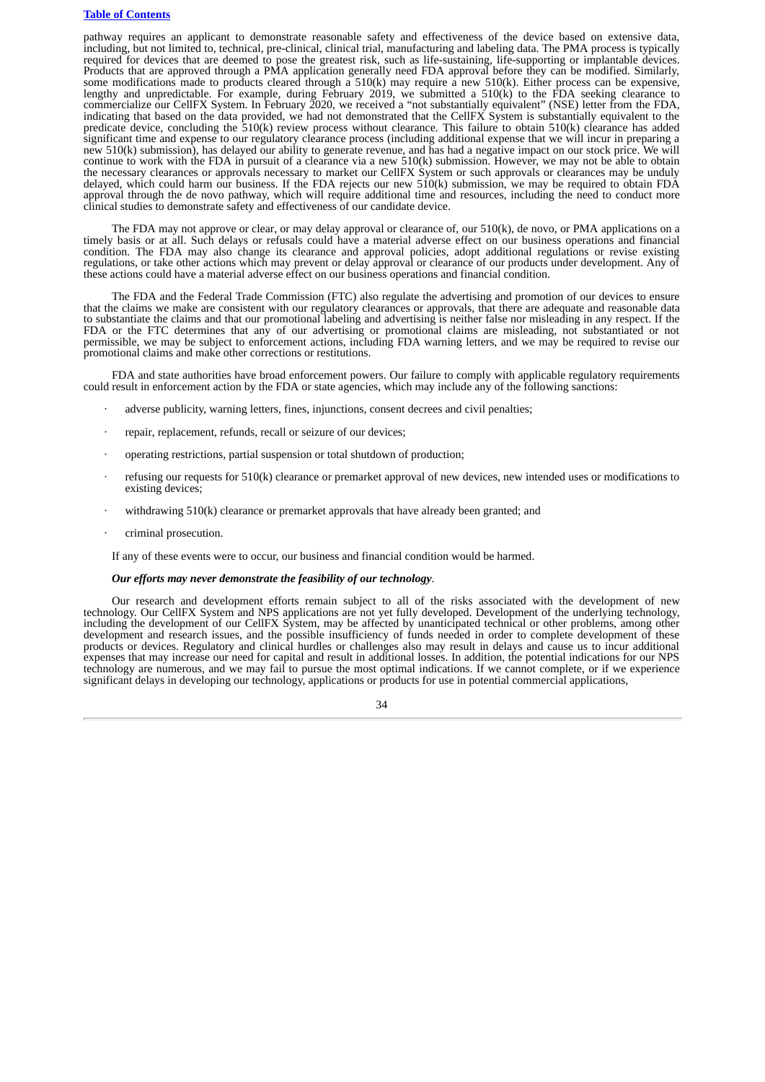pathway requires an applicant to demonstrate reasonable safety and effectiveness of the device based on extensive data, including, but not limited to, technical, pre-clinical, clinical trial, manufacturing and labeling data. The PMA process is typically required for devices that are deemed to pose the greatest risk, such as life-sustaining, life-supporting or implantable devices. Products that are approved through a PMA application generally need FDA approval before they can be modified. Similarly, some modifications made to products cleared through a 510(k) may require a new 510(k). Either process can be expensive, lengthy and unpredictable. For example, during February 2019, we submitted a  $510(k)$  to the FDA seeking clearance to commercialize our CellFX System. In February 2020, we received a "not substantially equivalent" (NSE) letter from the FDA, indicating that based on the data provided, we had not demonstrated that the CellFX System is substantially equivalent to the predicate device, concluding the 510(k) review process without clearance. This failure to obtain 510(k) clearance has added significant time and expense to our regulatory clearance process (including additional expense that we will incur in preparing a new 510(k) submission), has delayed our ability to generate revenue, and has had a negative impact on our stock price. We will continue to work with the FDA in pursuit of a clearance via a new 510(k) submission. However, we may not be able to obtain the necessary clearances or approvals necessary to market our CellFX System or such approvals or clearances may be unduly delayed, which could harm our business. If the FDA rejects our new 510(k) submission, we may be required to obtain FDA approval through the de novo pathway, which will require additional time and resources, including the need to conduct more clinical studies to demonstrate safety and effectiveness of our candidate device.

The FDA may not approve or clear, or may delay approval or clearance of, our 510(k), de novo, or PMA applications on a timely basis or at all. Such delays or refusals could have a material adverse effect on our business operations and financial condition. The FDA may also change its clearance and approval policies, adopt additional regulations or revise existing regulations, or take other actions which may prevent or delay approval or clearance of our products under development. Any of these actions could have a material adverse effect on our business operations and financial condition.

The FDA and the Federal Trade Commission (FTC) also regulate the advertising and promotion of our devices to ensure that the claims we make are consistent with our regulatory clearances or approvals, that there are adequate and reasonable data to substantiate the claims and that our promotional labeling and advertising is neither false nor misleading in any respect. If the FDA or the FTC determines that any of our advertising or promotional claims are misleading, not substantiated or not permissible, we may be subject to enforcement actions, including FDA warning letters, and we may be required to revise our promotional claims and make other corrections or restitutions.

FDA and state authorities have broad enforcement powers. Our failure to comply with applicable regulatory requirements could result in enforcement action by the FDA or state agencies, which may include any of the following sanctions:

- adverse publicity, warning letters, fines, injunctions, consent decrees and civil penalties;
- repair, replacement, refunds, recall or seizure of our devices;
- · operating restrictions, partial suspension or total shutdown of production;
- refusing our requests for 510(k) clearance or premarket approval of new devices, new intended uses or modifications to existing devices;
- withdrawing  $510(k)$  clearance or premarket approvals that have already been granted; and
- criminal prosecution.

If any of these events were to occur, our business and financial condition would be harmed.

#### *Our efforts may never demonstrate the feasibility of our technology*.

Our research and development efforts remain subject to all of the risks associated with the development of new technology. Our CellFX System and NPS applications are not yet fully developed. Development of the underlying technology, including the development of our CellFX System, may be affected by unanticipated technical or other problems, among other development and research issues, and the possible insufficiency of funds needed in order to complete development of these products or devices. Regulatory and clinical hurdles or challenges also may result in delays and cause us to incur additional expenses that may increase our need for capital and result in additional losses. In addition, the potential indications for our NPS technology are numerous, and we may fail to pursue the most optimal indications. If we cannot complete, or if we experience significant delays in developing our technology, applications or products for use in potential commercial applications,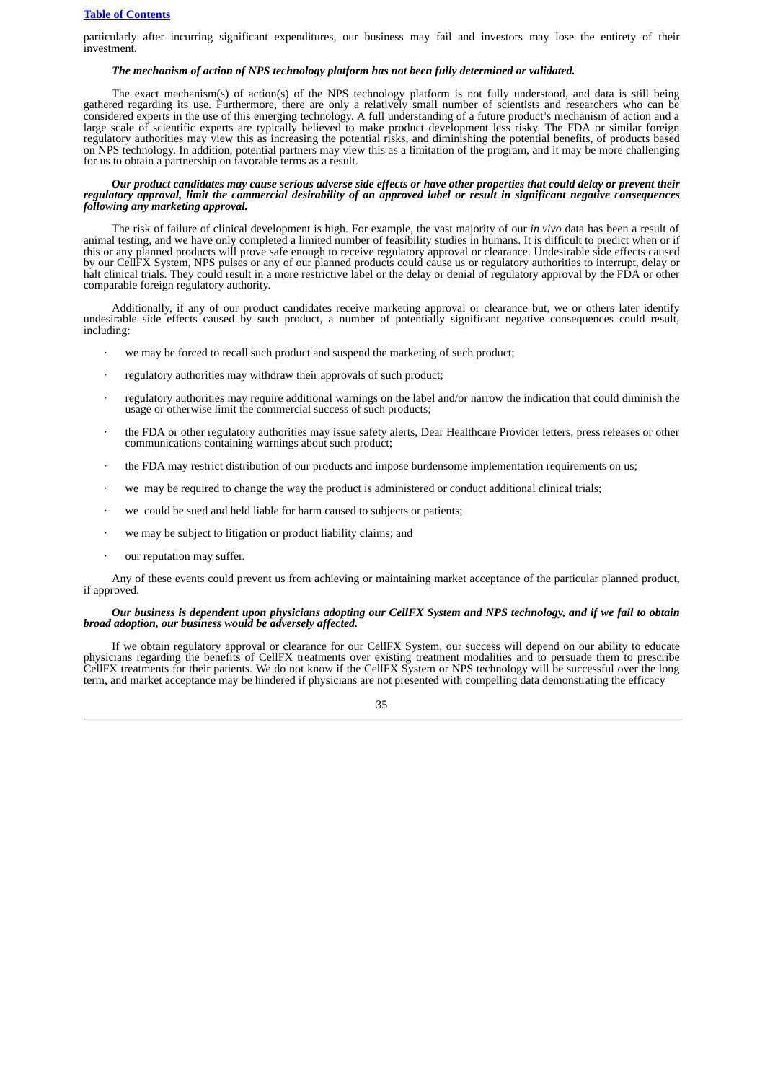particularly after incurring significant expenditures, our business may fail and investors may lose the entirety of their investment.

#### *The mechanism of action of NPS technology platform has not been fully determined or validated.*

The exact mechanism(s) of action(s) of the NPS technology platform is not fully understood, and data is still being gathered regarding its use. Furthermore, there are only a relatively small number of scientists and researchers who can be considered experts in the use of this emerging technology. A full understanding of a future product's mechanism of action and a large scale of scientific experts are typically believed to make product development less risky. The FDA or similar foreign regulatory authorities may view this as increasing the potential risks, and diminishing the potential benefits, of products based on NPS technology. In addition, potential partners may view this as a limitation of the program, and it may be more challenging for us to obtain a partnership on favorable terms as a result.

#### Our product candidates may cause serious adverse side effects or have other properties that could delay or prevent their regulatory approval, limit the commercial desirability of an approved label or result in significant negative consequences *following any marketing approval.*

The risk of failure of clinical development is high. For example, the vast majority of our *in vivo* data has been a result of animal testing, and we have only completed a limited number of feasibility studies in humans. It is difficult to predict when or if this or any planned products will prove safe enough to receive regulatory approval or clearance. Undesirable side effects caused by our CellFX System, NPS pulses or any of our planned products could cause us or regulatory authorities to interrupt, delay or halt clinical trials. They could result in a more restrictive label or the delay or denial of regulatory approval by the FDA or other comparable foreign regulatory authority.

Additionally, if any of our product candidates receive marketing approval or clearance but, we or others later identify undesirable side effects caused by such product, a number of potentially significant negative consequences could result, including:

- · we may be forced to recall such product and suspend the marketing of such product;
- regulatory authorities may withdraw their approvals of such product;
- · regulatory authorities may require additional warnings on the label and/or narrow the indication that could diminish the usage or otherwise limit the commercial success of such products;
- the FDA or other regulatory authorities may issue safety alerts, Dear Healthcare Provider letters, press releases or other communications containing warnings about such product;
- · the FDA may restrict distribution of our products and impose burdensome implementation requirements on us;
- we may be required to change the way the product is administered or conduct additional clinical trials;
- we could be sued and held liable for harm caused to subjects or patients;
- we may be subject to litigation or product liability claims; and
- our reputation may suffer.

Any of these events could prevent us from achieving or maintaining market acceptance of the particular planned product, if approved.

### Our business is dependent upon physicians adopting our CellFX System and NPS technology, and if we fail to obtain *broad adoption, our business would be adversely affected.*

If we obtain regulatory approval or clearance for our CellFX System, our success will depend on our ability to educate physicians regarding the benefits of CellFX treatments over existing treatment modalities and to persuade them to prescribe CellFX treatments for their patients. We do not know if the CellFX System or NPS technology will be successful over the long term, and market acceptance may be hindered if physicians are not presented with compelling data demonstrating the efficacy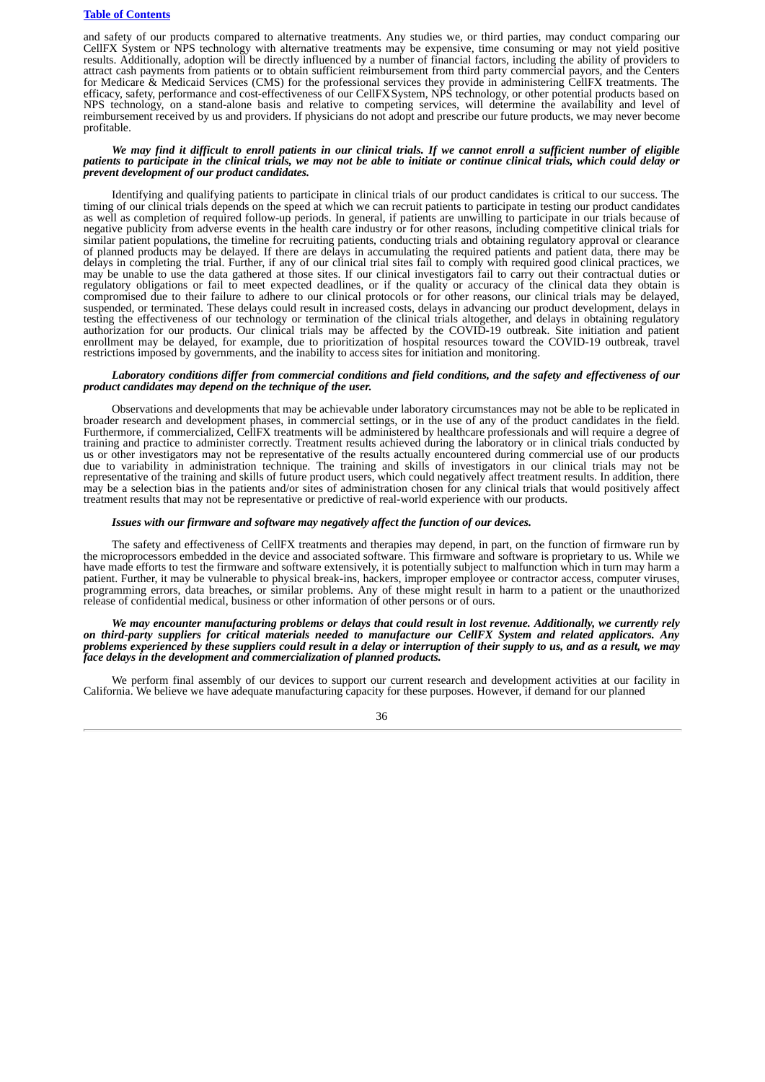and safety of our products compared to alternative treatments. Any studies we, or third parties, may conduct comparing our CellFX System or NPS technology with alternative treatments may be expensive, time consuming or may not yield positive results. Additionally, adoption will be directly influenced by a number of financial factors, including the ability of providers to attract cash payments from patients or to obtain sufficient reimbursement from third party commercial payors, and the Centers for Medicare & Medicaid Services (CMS) for the professional services they provide in administering CellFX treatments. The efficacy, safety, performance and cost-effectiveness of our CellFXSystem, NPS technology, or other potential products based on NPS technology, on a stand-alone basis and relative to competing services, will determine the availability and level of reimbursement received by us and providers. If physicians do not adopt and prescribe our future products, we may never become profitable.

#### We may find it difficult to enroll patients in our clinical trials. If we cannot enroll a sufficient number of eligible patients to participate in the clinical trials, we may not be able to initiate or continue clinical trials, which could delay or *prevent development of our product candidates.*

Identifying and qualifying patients to participate in clinical trials of our product candidates is critical to our success. The timing of our clinical trials depends on the speed at which we can recruit patients to participate in testing our product candidates as well as completion of required follow-up periods. In general, if patients are unwilling to participate in our trials because of negative publicity from adverse events in the health care industry or for other reasons, including competitive clinical trials for similar patient populations, the timeline for recruiting patients, conducting trials and obtaining regulatory approval or clearance of planned products may be delayed. If there are delays in accumulating the required patients and patient data, there may be delays in completing the trial. Further, if any of our clinical trial sites fail to comply with required good clinical practices, we may be unable to use the data gathered at those sites. If our clinical investigators fail to carry out their contractual duties or regulatory obligations or fail to meet expected deadlines, or if the quality or accuracy of the clinical data they obtain is compromised due to their failure to adhere to our clinical protocols or for other reasons, our clinical trials may be delayed, suspended, or terminated. These delays could result in increased costs, delays in advancing our product development, delays in testing the effectiveness of our technology or termination of the clinical trials altogether, and delays in obtaining regulatory authorization for our products. Our clinical trials may be affected by the COVID-19 outbreak. Site initiation and patient enrollment may be delayed, for example, due to prioritization of hospital resources toward the COVID-19 outbreak, travel restrictions imposed by governments, and the inability to access sites for initiation and monitoring.

#### Laboratory conditions differ from commercial conditions and field conditions, and the safety and effectiveness of our *product candidates may depend on the technique of the user.*

Observations and developments that may be achievable under laboratory circumstances may not be able to be replicated in broader research and development phases, in commercial settings, or in the use of any of the product candidates in the field. Furthermore, if commercialized, CellFX treatments will be administered by healthcare professionals and will require a degree of training and practice to administer correctly. Treatment results achieved during the laboratory or in clinical trials conducted by us or other investigators may not be representative of the results actually encountered during commercial use of our products due to variability in administration technique. The training and skills of investigators in our clinical trials may not be representative of the training and skills of future product users, which could negatively affect treatment results. In addition, there may be a selection bias in the patients and/or sites of administration chosen for any clinical trials that would positively affect treatment results that may not be representative or predictive of real-world experience with our products.

#### *Issues with our firmware and software may negatively affect the function of our devices.*

The safety and effectiveness of CellFX treatments and therapies may depend, in part, on the function of firmware run by the microprocessors embedded in the device and associated software. This firmware and software is proprietary to us. While we have made efforts to test the firmware and software extensively, it is potentially subject to malfunction which in turn may harm a patient. Further, it may be vulnerable to physical break-ins, hackers, improper employee or contractor access, computer viruses, programming errors, data breaches, or similar problems. Any of these might result in harm to a patient or the unauthorized release of confidential medical, business or other information of other persons or of ours.

We may encounter manufacturing problems or delays that could result in lost revenue. Additionally, we currently rely on third-party suppliers for critical materials needed to manufacture our CellFX System and related applicators. Any problems experienced by these suppliers could result in a delay or interruption of their supply to us, and as a result, we may *face delays in the development and commercialization of planned products.*

We perform final assembly of our devices to support our current research and development activities at our facility in California. We believe we have adequate manufacturing capacity for these purposes. However, if demand for our planned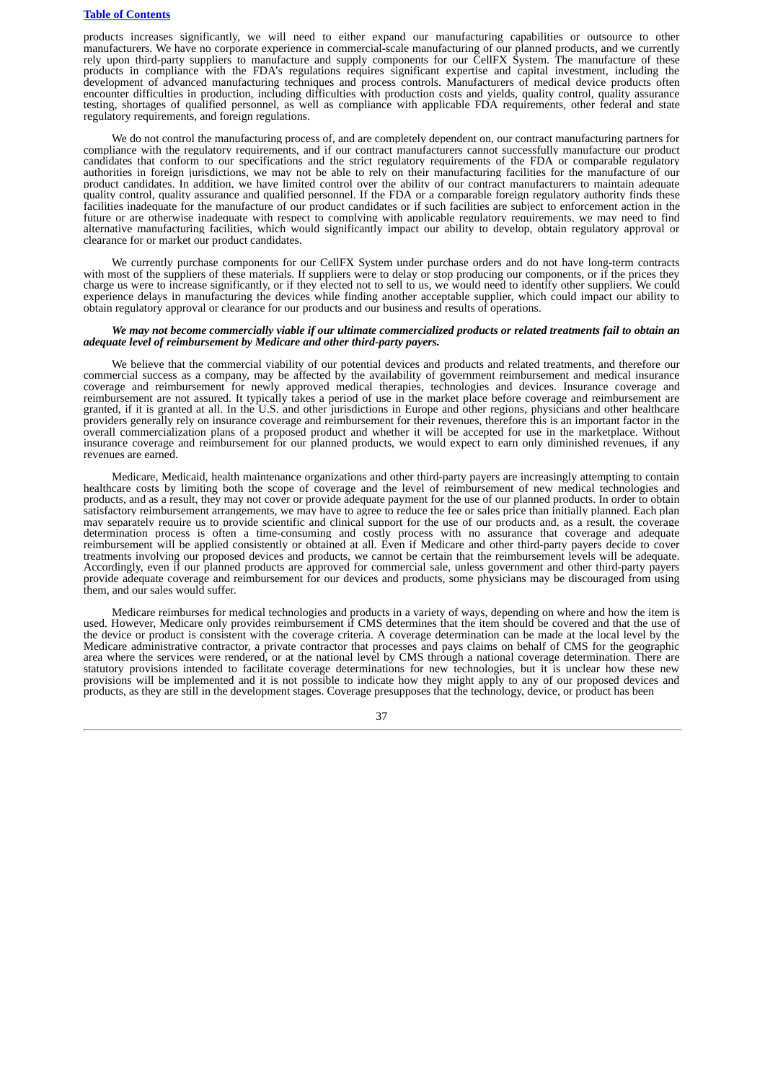products increases significantly, we will need to either expand our manufacturing capabilities or outsource to other manufacturers. We have no corporate experience in commercial-scale manufacturing of our planned products, and we currently rely upon third-party suppliers to manufacture and supply components for our CellFX System. The manufacture of these products in compliance with the FDA's regulations requires significant expertise and capital investment, including the development of advanced manufacturing techniques and process controls. Manufacturers of medical device products often encounter difficulties in production, including difficulties with production costs and yields, quality control, quality assurance testing, shortages of qualified personnel, as well as compliance with applicable FDA requirements, other federal and state regulatory requirements, and foreign regulations.

We do not control the manufacturing process of, and are completely dependent on, our contract manufacturing partners for compliance with the regulatory requirements, and if our contract manufacturers cannot successfully manufacture our product candidates that conform to our specifications and the strict regulatory requirements of the FDA or comparable regulatory authorities in foreign jurisdictions, we may not be able to rely on their manufacturing facilities for the manufacture of our product candidates. In addition, we have limited control over the ability of our contract manufacturers to maintain adequate quality control, quality assurance and qualified personnel. If the FDA or a comparable foreign regulatory authority finds these facilities inadequate for the manufacture of our product candidates or if such facilities are subject to enforcement action in the future or are otherwise inadequate with respect to complying with applicable regulatory requirements, we may need to find alternative manufacturing facilities, which would significantly impact our ability to develop, obtain regulatory approval or clearance for or market our product candidates.

We currently purchase components for our CellFX System under purchase orders and do not have long-term contracts with most of the suppliers of these materials. If suppliers were to delay or stop producing our components, or if the prices they charge us were to increase significantly, or if they elected not to sell to us, we would need to identify other suppliers. We could experience delays in manufacturing the devices while finding another acceptable supplier, which could impact our ability to obtain regulatory approval or clearance for our products and our business and results of operations.

#### We may not become commercially viable if our ultimate commercialized products or related treatments fail to obtain an *adequate level of reimbursement by Medicare and other third-party payers.*

We believe that the commercial viability of our potential devices and products and related treatments, and therefore our commercial success as a company, may be affected by the availability of government reimbursement and medical insurance coverage and reimbursement for newly approved medical therapies, technologies and devices. Insurance coverage and reimbursement are not assured. It typically takes a period of use in the market place before coverage and reimbursement are granted, if it is granted at all. In the U.S. and other jurisdictions in Europe and other regions, physicians and other healthcare providers generally rely on insurance coverage and reimbursement for their revenues, therefore this is an important factor in the overall commercialization plans of a proposed product and whether it will be accepted for use in the marketplace. Without insurance coverage and reimbursement for our planned products, we would expect to earn only diminished revenues, if any revenues are earned.

Medicare, Medicaid, health maintenance organizations and other third-party payers are increasingly attempting to contain healthcare costs by limiting both the scope of coverage and the level of reimbursement of new medical technologies and products, and as a result, they may not cover or provide adequate payment for the use of our planned products. In order to obtain satisfactory reimbursement arrangements, we may have to agree to reduce the fee or sales price than initially planned. Each plan may separately require us to provide scientific and clinical support for the use of our products and, as a result, the coverage determination process is often a time-consuming and costly process with no assurance that coverage and adequate reimbursement will be applied consistently or obtained at all. Even if Medicare and other third-party payers decide to cover treatments involving our proposed devices and products, we cannot be certain that the reimbursement levels will be adequate. Accordingly, even if our planned products are approved for commercial sale, unless government and other third-party payers provide adequate coverage and reimbursement for our devices and products, some physicians may be discouraged from using them, and our sales would suffer.

Medicare reimburses for medical technologies and products in a variety of ways, depending on where and how the item is used. However, Medicare only provides reimbursement if CMS determines that the item should be covered and that the use of the device or product is consistent with the coverage criteria. A coverage determination can be made the device or product is consistent with the coverage criteria. A coverage determination can be made at the local level by the<br>Medicare administrative contractor, a private contractor that processes and pays claims on beha area where the services were rendered, or at the national level by CMS through a national coverage determination. There are statutory provisions intended to facilitate coverage determinations for new technologies, but it is unclear how these new provisions will be implemented and it is not possible to indicate how they might apply to any of our proposed devices and products, as they are still in the development stages. Coverage presupposes that the technology, device, or product has been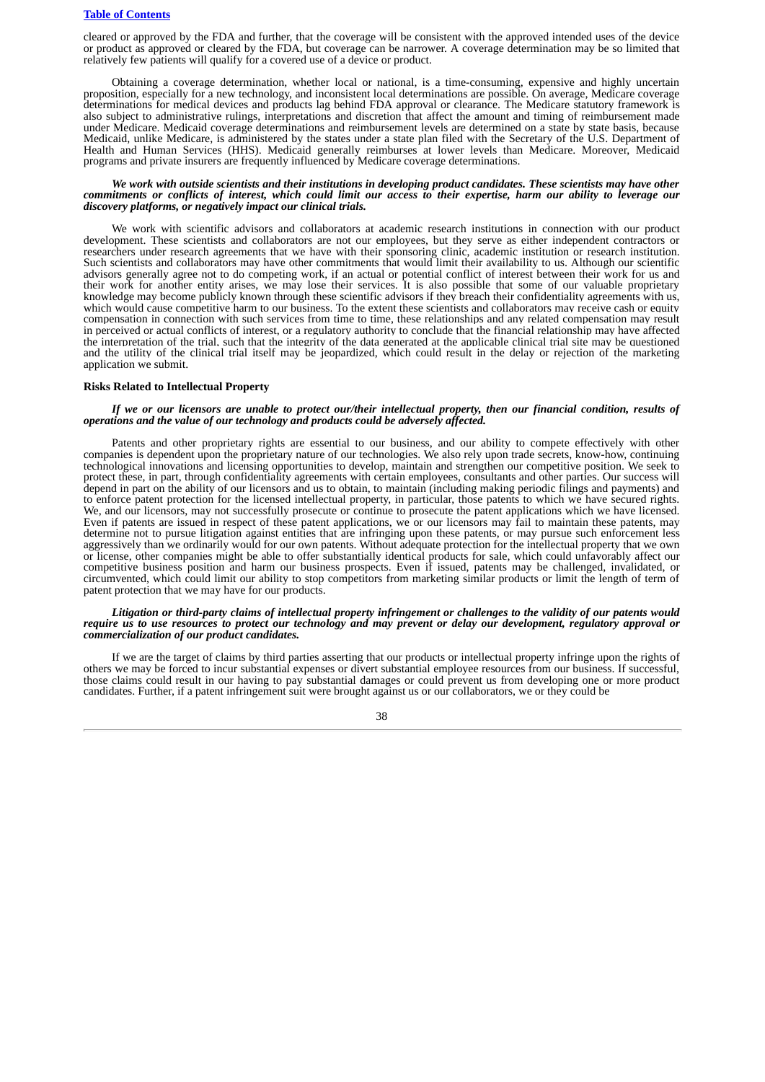cleared or approved by the FDA and further, that the coverage will be consistent with the approved intended uses of the device or product as approved or cleared by the FDA, but coverage can be narrower. A coverage determination may be so limited that relatively few patients will qualify for a covered use of a device or product.

Obtaining a coverage determination, whether local or national, is a time-consuming, expensive and highly uncertain proposition, especially for a new technology, and inconsistent local determinations are possible. On average, Medicare coverage determinations for medical devices and products lag behind FDA approval or clearance. The Medicare statutory framework is also subject to administrative rulings, interpretations and discretion that affect the amount and timing of reimbursement made under Medicare. Medicaid coverage determinations and reimbursement levels are determined on a state by state basis, because<br>Medicaid, unlike Medicare, is administered by the states under a state plan filed with the Secreta Medicaid, unlike Medicare, is administered by the states under a state plan filed with the Secretary of the U.S. Department of<br>Health and Human Services (HHS). Medicaid generally reimburses at lower levels than Medicare. M programs and private insurers are frequently influenced by Medicare coverage determinations.

#### We work with outside scientists and their institutions in developing product candidates. These scientists may have other commitments or conflicts of interest, which could limit our access to their expertise, harm our ability to leverage our *discovery platforms, or negatively impact our clinical trials.*

We work with scientific advisors and collaborators at academic research institutions in connection with our product development. These scientists and collaborators are not our employees, but they serve as either independent contractors or researchers under research agreements that we have with their sponsoring clinic, academic institution or research institution. Such scientists and collaborators may have other commitments that would limit their availability to us. Although our scientific advisors generally agree not to do competing work, if an actual or potential conflict of interest between their work for us and their work for another entity arises, we may lose their services. It is also possible that some of our valuable proprietary knowledge may become publicly known through these scientific advisors if they breach their confidentiality agreements with us, which would cause competitive harm to our business. To the extent these scientists and collaborators may receive cash or equity compensation in connection with such services from time to time, these relationships and any related compensation may result in perceived or actual conflicts of interest, or a regulatory authority to conclude that the financial relationship may have affected the interpretation of the trial, such that the integrity of the data generated at the applicable clinical trial site may be questioned and the utility of the clinical trial itself may be jeopardized, which could result in the delay or rejection of the marketing application we submit.

# **Risks Related to Intellectual Property**

#### If we or our licensors are unable to protect our/their intellectual property, then our financial condition, results of *operations and the value of our technology and products could be adversely affected.*

Patents and other proprietary rights are essential to our business, and our ability to compete effectively with other companies is dependent upon the proprietary nature of our technologies. We also rely upon trade secrets, know-how, continuing technological innovations and licensing opportunities to develop, maintain and strengthen our competitive position. We seek to protect these, in part, through confidentiality agreements with certain employees, consultants and other parties. Our success will depend in part on the ability of our licensors and us to obtain, to maintain (including making periodic filings and payments) and to enforce patent protection for the licensed intellectual property, in particular, those pa We, and our licensors, may not successfully prosecute or continue to prosecute the patent applications which we have licensed. Even if patents are issued in respect of these patent applications, we or our licensors may fail to maintain these patents, may determine not to pursue litigation against entities that are infringing upon these patents, or may pursue such enforcement less aggressively than we ordinarily would for our own patents. Without adequate protection for the intellectual property that we own or license, other companies might be able to offer substantially identical products for sale, which could unfavorably affect our competitive business position and harm our business prospects. Even if issued, patents may be challenged, invalidated, or circumvented, which could limit our ability to stop competitors from marketing similar products or limit the length of term of patent protection that we may have for our products.

#### Litigation or third-party claims of intellectual property infringement or challenges to the validity of our patents would require us to use resources to protect our technology and may prevent or delay our development, requiatory approval or *commercialization of our product candidates.*

If we are the target of claims by third parties asserting that our products or intellectual property infringe upon the rights of others we may be forced to incur substantial expenses or divert substantial employee resources from our business. If successful, those claims could result in our having to pay substantial damages or could prevent us from developing one or more product candidates. Further, if a patent infringement suit were brought against us or our collaborators, we or they could be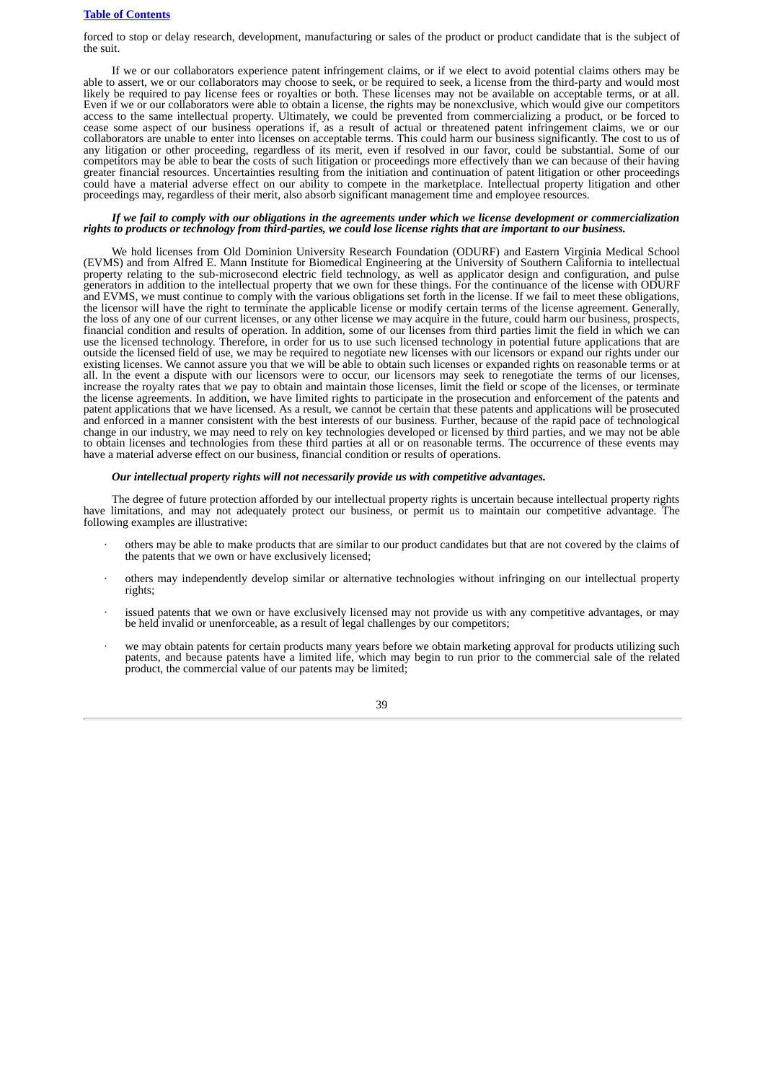forced to stop or delay research, development, manufacturing or sales of the product or product candidate that is the subject of the suit.

If we or our collaborators experience patent infringement claims, or if we elect to avoid potential claims others may be able to assert, we or our collaborators may choose to seek, or be required to seek, a license from the third-party and would most likely be required to pay license fees or royalties or both. These licenses may not be available on acceptable terms, or at all. Even if we or our collaborators were able to obtain a license, the rights may be nonexclusive, which would give our competitors access to the same intellectual property. Ultimately, we could be prevented from commercializing a product, or be forced to cease some aspect of our business operations if, as a result of actual or threatened patent infringement claims, we or our collaborators are unable to enter into licenses on acceptable terms. This could harm our business significantly. The cost to us of any litigation or other proceeding, regardless of its merit, even if resolved in our favor, could be substantial. Some of our competitors may be able to bear the costs of such litigation or proceedings more effectively than we can because of their having greater financial resources. Uncertainties resulting from the initiation and continuation of patent litigation or other proceedings could have a material adverse effect on our ability to compete in the marketplace. Intellectual property litigation and other proceedings may, regardless of their merit, also absorb significant management time and employee resources.

#### If we fail to comply with our obligations in the agreements under which we license development or commercialization rights to products or technology from third-parties, we could lose license rights that are important to our business

We hold licenses from Old Dominion University Research Foundation (ODURF) and Eastern Virginia Medical School (EVMS) and from Alfred E. Mann Institute for Biomedical Engineering at the University of Southern California to intellectual property relating to the sub-microsecond electric field technology, as well as applicator design and configuration, and pulse generators in addition to the intellectual property that we own for these things. For the continuance of the license with ODURF and EVMS, we must continue to comply with the various obligations set forth in the license. If we fail to meet these obligations, the licensor will have the right to terminate the applicable license or modify certain terms of the license agreement. Generally, the loss of any one of our current licenses, or any other license we may acquire in the future, could harm our business, prospects, financial condition and results of operation. In addition, some of our licenses from third parties limit the field in which we can use the licensed technology. Therefore, in order for us to use such licensed technology in potential future applications that are outside the licensed field of use, we may be required to negotiate new licenses with our licensors or expand our rights under our existing licenses. We cannot assure you that we will be able to obtain such licenses or expanded rights on reasonable terms or at all. In the event a dispute with our licensors were to occur, our licensors may seek to renegotiate the terms of our licenses, increase the royalty rates that we pay to obtain and maintain those licenses, limit the field or scope of the licenses, or terminate the license agreements. In addition, we have limited rights to participate in the prosecution and enforcement of the patents and patent applications that we have licensed. As a result, we cannot be certain that these patents and applications will be prosecuted and enforced in a manner consistent with the best interests of our business. Further, because of the rapid pace of technological change in our industry, we may need to rely on key technologies developed or licensed by third parties, and we may not be able to obtain licenses and technologies from these third parties at all or on reasonable terms. The occurrence of these events may have a material adverse effect on our business, financial condition or results of operations.

#### *Our intellectual property rights will not necessarily provide us with competitive advantages.*

The degree of future protection afforded by our intellectual property rights is uncertain because intellectual property rights have limitations, and may not adequately protect our business, or permit us to maintain our competitive advantage. The following examples are illustrative:

- · others may be able to make products that are similar to our product candidates but that are not covered by the claims of the patents that we own or have exclusively licensed;
- · others may independently develop similar or alternative technologies without infringing on our intellectual property rights;
- issued patents that we own or have exclusively licensed may not provide us with any competitive advantages, or may be held invalid or unenforceable, as a result of legal challenges by our competitors;
- we may obtain patents for certain products many years before we obtain marketing approval for products utilizing such patents, and because patents have a limited life, which may begin to run prior to the commercial sale of the related product, the commercial value of our patents may be limited;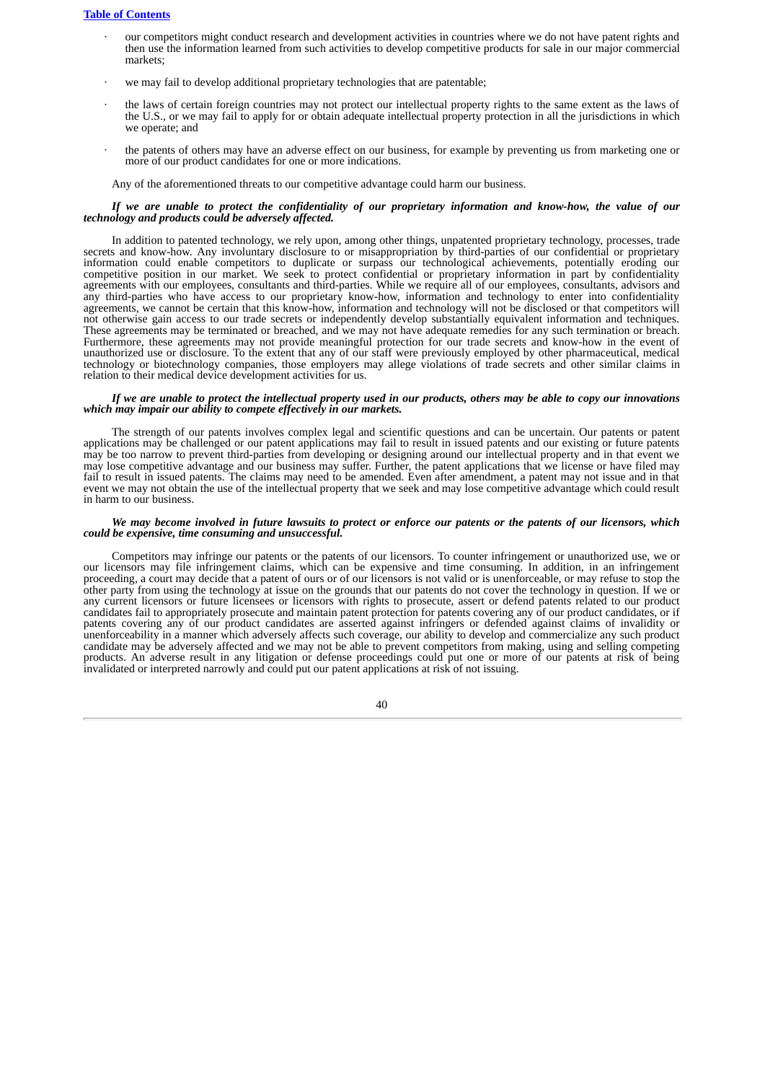- our competitors might conduct research and development activities in countries where we do not have patent rights and then use the information learned from such activities to develop competitive products for sale in our major commercial markets;
- · we may fail to develop additional proprietary technologies that are patentable;
- the laws of certain foreign countries may not protect our intellectual property rights to the same extent as the laws of the U.S., or we may fail to apply for or obtain adequate intellectual property protection in all the jurisdictions in which we operate; and
- the patents of others may have an adverse effect on our business, for example by preventing us from marketing one or more of our product candidates for one or more indications.

Any of the aforementioned threats to our competitive advantage could harm our business.

# If we are unable to protect the confidentiality of our proprietary information and know-how, the value of our *technology and products could be adversely affected.*

In addition to patented technology, we rely upon, among other things, unpatented proprietary technology, processes, trade secrets and know-how. Any involuntary disclosure to or misappropriation by third-parties of our confidential or proprietary information could enable competitors to duplicate or surpass our technological achievements, potentially eroding our competitive position in our market. We seek to protect confidential or proprietary information in part by confidentiality agreements with our employees, consultants and third-parties. While we require all of our employees, consultants, advisors and any third-parties who have access to our proprietary know-how, information and technology to enter into confidentiality agreements, we cannot be certain that this know-how, information and technology will not be disclosed or that competitors will not otherwise gain access to our trade secrets or independently develop substantially equivalent information and techniques. These agreements may be terminated or breached, and we may not have adequate remedies for any such termination or breach. Furthermore, these agreements may not provide meaningful protection for our trade secrets and know-how in the event of unauthorized use or disclosure. To the extent that any of our staff were previously employed by other pharmaceutical, medical technology or biotechnology companies, those employers may allege violations of trade secrets and other similar claims in relation to their medical device development activities for us.

#### If we are unable to protect the intellectual property used in our products, others may be able to copy our innovations *which may impair our ability to compete effectively in our markets.*

The strength of our patents involves complex legal and scientific questions and can be uncertain. Our patents or patent applications may be challenged or our patent applications may fail to result in issued patents and our existing or future patents may be too narrow to prevent third-parties from developing or designing around our intellectual property and in that event we may lose competitive advantage and our business may suffer. Further, the patent applications that we license or have filed may fail to result in issued patents. The claims may need to be amended. Even after amendment, a patent may not issue and in that event we may not obtain the use of the intellectual property that we seek and may lose competitive advantage which could result in harm to our business.

#### We may become involved in future lawsuits to protect or enforce our patents or the patents of our licensors, which *could be expensive, time consuming and unsuccessful.*

Competitors may infringe our patents or the patents of our licensors. To counter infringement or unauthorized use, we or our licensors may file infringement claims, which can be expensive and time consuming. In addition, in an infringement proceeding, a court may decide that a patent of ours or of our licensors is not valid or is unenforceable, or may refuse to stop the other party from using the technology at issue on the grounds that our patents do not cover the technology in question. If we or any current licensors or future licensees or licensors with rights to prosecute, assert or defend patents related to our product candidates fail to appropriately prosecute and maintain patent protection for patents covering any of our product candidates, or if patents covering any of our product candidates are asserted against infringers or defended against claims of invalidity or unenforceability in a manner which adversely affects such coverage, our ability to develop and commercialize any such product candidate may be adversely affected and we may not be able to prevent competitors from making, using and selling competing products. An adverse result in any litigation or defense proceedings could put one or more of our patents at risk of being invalidated or interpreted narrowly and could put our patent applications at risk of not issuing.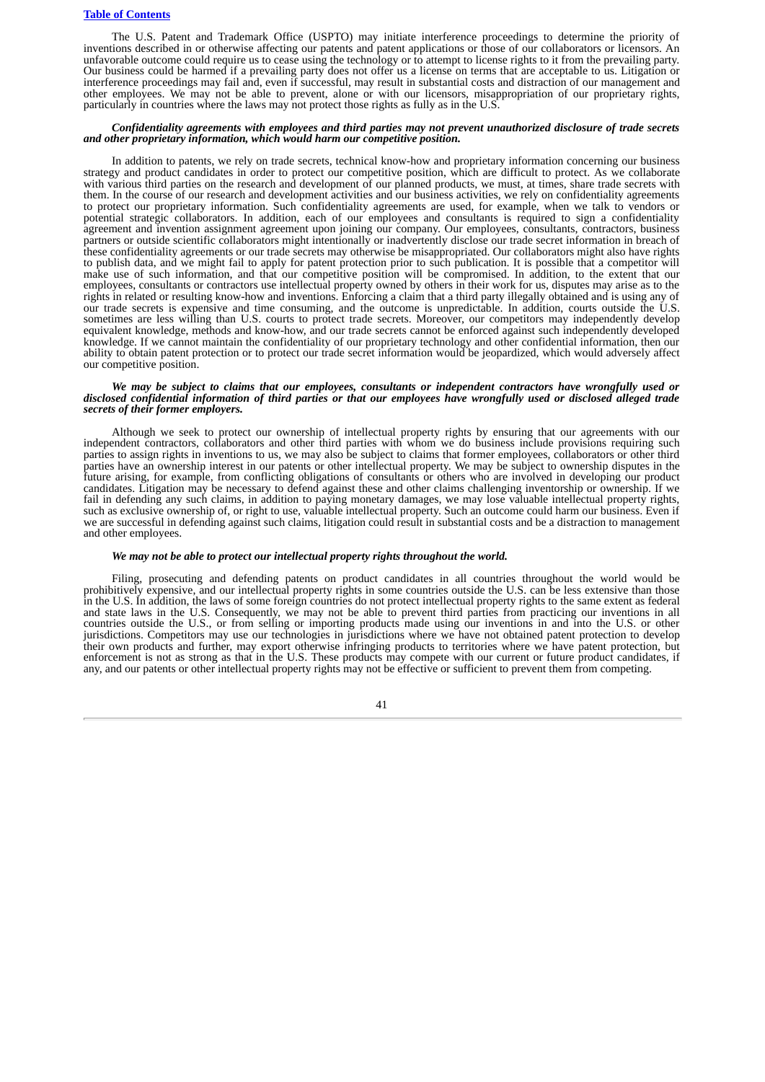The U.S. Patent and Trademark Office (USPTO) may initiate interference proceedings to determine the priority of inventions described in or otherwise affecting our patents and patent applications or those of our collaborators or licensors. An unfavorable outcome could require us to cease using the technology or to attempt to license rights to it from the prevailing party. Our business could be harmed if a prevailing party does not offer us a license on terms that are acceptable to us. Litigation or interference proceedings may fail and, even if successful, may result in substantial costs and distraction of our management and other employees. We may not be able to prevent, alone or with our licensors, misappropriation of our proprietary rights, particularly in countries where the laws may not protect those rights as fully as in the U.S.

### *Confidentiality agreements with employees and third parties may not prevent unauthorized disclosure of trade secrets and other proprietary information, which would harm our competitive position.*

In addition to patents, we rely on trade secrets, technical know-how and proprietary information concerning our business strategy and product candidates in order to protect our competitive position, which are difficult to protect. As we collaborate with various third parties on the research and development of our planned products, we must, at times, share trade secrets with them. In the course of our research and development activities and our business activities, we rely on confidentiality agreements to protect our proprietary information. Such confidentiality agreements are used, for example, when we talk to vendors or potential strategic collaborators. In addition, each of our employees and consultants is required to sign a confidentiality agreement and invention assignment agreement upon joining our company. Our employees, consultants, contractors, business partners or outside scientific collaborators might intentionally or inadvertently disclose our trade secret information in breach of these confidentiality agreements or our trade secrets may otherwise be misappropriated. Our collaborators might also have rights to publish data, and we might fail to apply for patent protection prior to such publication. It is possible that a competitor will make use of such information, and that our competitive position will be compromised. In addition, to the extent that our employees, consultants or contractors use intellectual property owned by others in their work for us, disputes may arise as to the rights in related or resulting know-how and inventions. Enforcing a claim that a third party illegally obtained and is using any of our trade secrets is expensive and time consuming, and the outcome is unpredictable. In addition, courts outside the U.S. sometimes are less willing than U.S. courts to protect trade secrets. Moreover, our competitors may independently develop equivalent knowledge, methods and know-how, and our trade secrets cannot be enforced against such independently developed knowledge. If we cannot maintain the confidentiality of our proprietary technology and other confidential information, then our ability to obtain patent protection or to protect our trade secret information would be jeopardized, which would adversely affect our competitive position.

#### We may be subject to claims that our employees, consultants or independent contractors have wrongfully used or disclosed confidential information of third parties or that our employees have wrongfully used or disclosed alleged trade *secrets of their former employers.*

Although we seek to protect our ownership of intellectual property rights by ensuring that our agreements with our independent contractors, collaborators and other third parties with whom we do business include provisions requiring such parties to assign rights in inventions to us, we may also be subject to claims that former employees, collaborators or other third parties have an ownership interest in our patents or other intellectual property. We may be subject to ownership disputes in the future arising, for example, from conflicting obligations of consultants or others who are involved in developing our product candidates. Litigation may be necessary to defend against these and other claims challenging inventorship or ownership. If we fail in defending any such claims, in addition to paying monetary damages, we may lose valuable intellectual property rights, such as exclusive ownership of, or right to use, valuable intellectual property. Such an outcome could harm our business. Even if we are successful in defending against such claims, litigation could result in substantial costs and be a distraction to management and other employees.

# *We may not be able to protect our intellectual property rights throughout the world.*

Filing, prosecuting and defending patents on product candidates in all countries throughout the world would be prohibitively expensive, and our intellectual property rights in some countries outside the U.S. can be less extensive than those in the U.S. In addition, the laws of some foreign countries do not protect intellectual property rights to the same extent as federal and state laws in the U.S. Consequently, we may not be able to prevent third parties from practicing our inventions in all countries outside the U.S., or from selling or importing products made using our inventions in and into the U.S. or other jurisdictions. Competitors may use our technologies in jurisdictions where we have not obtained patent protection to develop their own products and further, may export otherwise infringing products to territories where we have patent protection, but enforcement is not as strong as that in the U.S. These products may compete with our current or future product candidates, if any, and our patents or other intellectual property rights may not be effective or sufficient to prevent them from competing.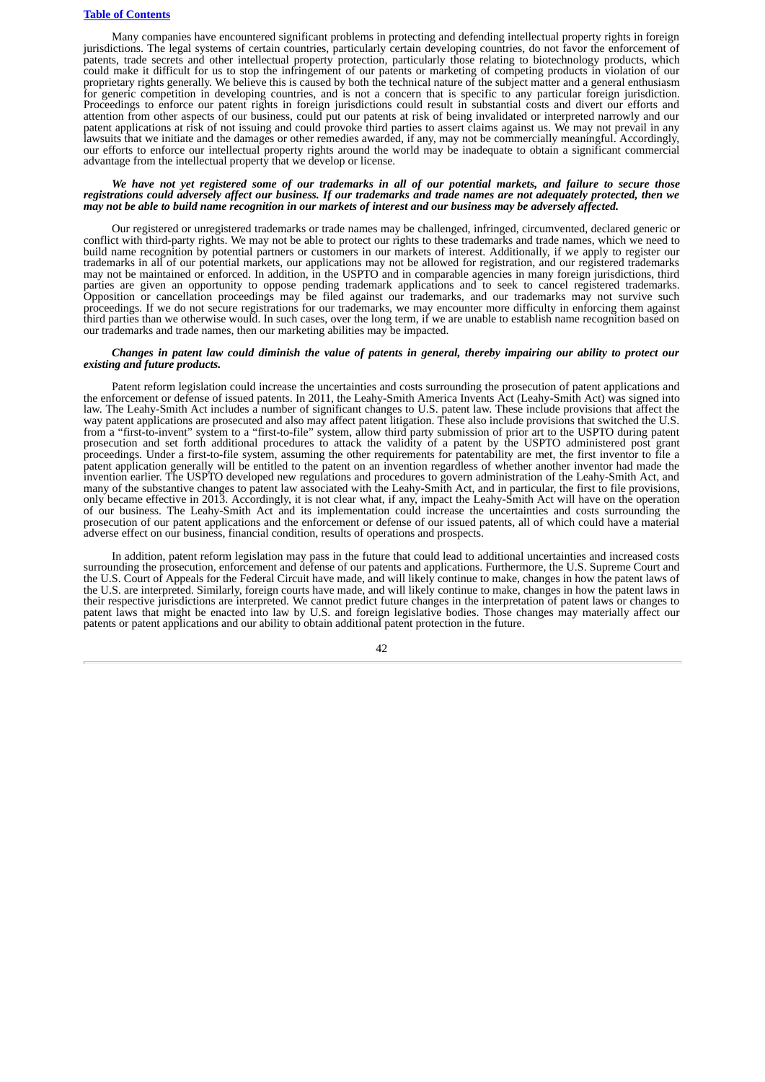Many companies have encountered significant problems in protecting and defending intellectual property rights in foreign jurisdictions. The legal systems of certain countries, particularly certain developing countries, do not favor the enforcement of patents, trade secrets and other intellectual property protection, particularly those relating to biotechnology products, which could make it difficult for us to stop the infringement of our patents or marketing of competing products in violation of our proprietary rights generally. We believe this is caused by both the technical nature of the subject matter and a general enthusiasm for generic competition in developing countries, and is not a concern that is specific to any particular foreign jurisdiction. Proceedings to enforce our patent rights in foreign jurisdictions could result in substantial costs and divert our efforts and attention from other aspects of our business, could put our patents at risk of being invalidated or interpreted narrowly and our patent applications at risk of not issuing and could provoke third parties to assert claims against us. We may not prevail in any lawsuits that we initiate and the damages or other remedies awarded, if any, may not be commercially meaningful. Accordingly, our efforts to enforce our intellectual property rights around the world may be inadequate to obtain a significant commercial advantage from the intellectual property that we develop or license.

#### We have not yet registered some of our trademarks in all of our potential markets, and failure to secure those registrations could adversely affect our business. If our trademarks and trade names are not adequately protected, then we may not be able to build name recognition in our markets of interest and our business may be adversely affected.

Our registered or unregistered trademarks or trade names may be challenged, infringed, circumvented, declared generic or conflict with third-party rights. We may not be able to protect our rights to these trademarks and trade names, which we need to build name recognition by potential partners or customers in our markets of interest. Additionally, if we apply to register our trademarks in all of our potential markets, our applications may not be allowed for registration, and our registered trademarks may not be maintained or enforced. In addition, in the USPTO and in comparable agencies in many foreign jurisdictions, third parties are given an opportunity to oppose pending trademark applications and to seek to cancel registered trademarks. Opposition or cancellation proceedings may be filed against our trademarks, and our trademarks may not survive such proceedings. If we do not secure registrations for our trademarks, we may encounter more difficulty in enforcing them against third parties than we otherwise would. In such cases, over the long term, if we are unable to establish name recognition based on our trademarks and trade names, then our marketing abilities may be impacted.

#### Changes in patent law could diminish the value of patents in general, thereby impairing our ability to protect our *existing and future products.*

Patent reform legislation could increase the uncertainties and costs surrounding the prosecution of patent applications and the enforcement or defense of issued patents. In 2011, the Leahy-Smith America Invents Act (Leahy-Smith Act) was signed into law. The Leahy-Smith Act includes a number of significant changes to U.S. patent law. These include provisions that affect the way patent applications are prosecuted and also may affect patent litigation. These also include provisions that switched the U.S. from a "first-to-invent" system to a "first-to-file" system, allow third party submission of prior art to the USPTO during patent prosecution and set forth additional procedures to attack the validity of a patent by the USPTO administered post grant proceedings. Under a first-to-file system, assuming the other requirements for patentability are met, the first inventor to file a patent application generally will be entitled to the patent on an invention regardless of whether another inventor had made the invention earlier. The USPTO developed new regulations and procedures to govern administration of the Leahy-Smith Act, and many of the substantive changes to patent law associated with the Leahy-Smith Act, and in particular, the first to file provisions, only became effective in 2013. Accordingly, it is not clear what, if any, impact the Leahy-Smith Act will have on the operation of our business. The Leahy-Smith Act and its implementation could increase the uncertainties and costs surrounding the prosecution of our patent applications and the enforcement or defense of our issued patents, all of which could have a material adverse effect on our business, financial condition, results of operations and prospects.

In addition, patent reform legislation may pass in the future that could lead to additional uncertainties and increased costs surrounding the prosecution, enforcement and defense of our patents and applications. Furthermore, the U.S. Supreme Court and the U.S. Court of Appeals for the Federal Circuit have made, and will likely continue to make, changes in how the patent laws of the U.S. are interpreted. Similarly, foreign courts have made, and will likely continue to make, changes in how the patent laws in their respective jurisdictions are interpreted. We cannot predict future changes in the interpretation of patent laws or changes to patent laws that might be enacted into law by U.S. and foreign legislative bodies. Those changes may materially affect our patents or patent applications and our ability to obtain additional patent protection in the future.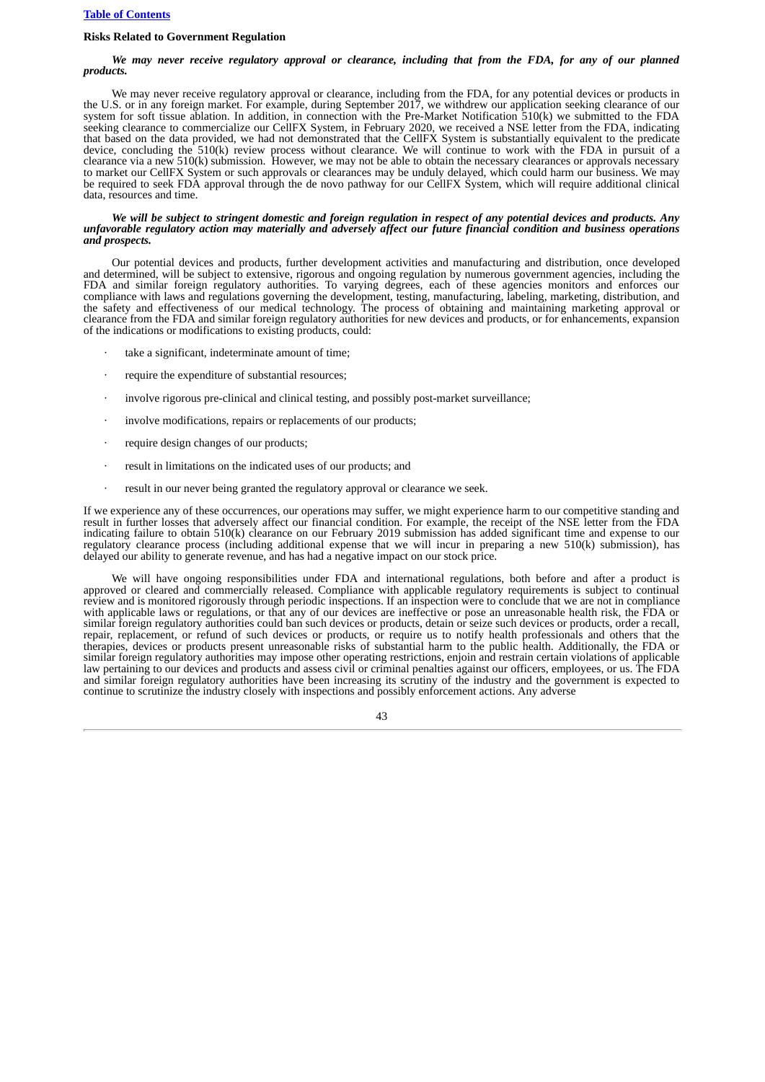# **Risks Related to Government Regulation**

#### We may never receive regulatory approval or clearance, including that from the FDA, for any of our planned *products.*

We may never receive regulatory approval or clearance, including from the FDA, for any potential devices or products in the U.S. or in any foreign market. For example, during September 2017, we withdrew our application seeking clearance of our system for soft tissue ablation. In addition, in connection with the Pre-Market Notification 510(k) we submitted to the FDA seeking clearance to commercialize our CellFX System, in February 2020, we received a NSE letter from the FDA, indicating that based on the data provided, we had not demonstrated that the CellFX System is substantially equivalent to the predicate device, concluding the 510(k) review process without clearance. We will continue to work with the FDA in pursuit of a clearance via a new 510(k) submission. However, we may not be able to obtain the necessary clearances or approvals necessary to market our CellFX System or such approvals or clearances may be unduly delayed, which could harm our business. We may be required to seek FDA approval through the de novo pathway for our CellFX System, which will require additional clinical data, resources and time.

#### We will be subject to stringent domestic and foreign regulation in respect of any potential devices and products. Any unfavorable regulatory action may materially and adversely affect our future financial condition and business operations *and prospects.*

Our potential devices and products, further development activities and manufacturing and distribution, once developed and determined, will be subject to extensive, rigorous and ongoing regulation by numerous government agencies, including the FDA and similar foreign regulatory authorities. To varying degrees, each of these agencies monitors and enforces our compliance with laws and regulations governing the development, testing, manufacturing, labeling, marketing, distribution, and the safety and effectiveness of our medical technology. The process of obtaining and maintaining marketing approval or clearance from the FDA and similar foreign regulatory authorities for new devices and products, or for enhancements, expansion of the indications or modifications to existing products, could:

- · take a significant, indeterminate amount of time;
- require the expenditure of substantial resources;
- involve rigorous pre-clinical and clinical testing, and possibly post-market surveillance;
- involve modifications, repairs or replacements of our products;
- require design changes of our products;
- result in limitations on the indicated uses of our products; and
- result in our never being granted the regulatory approval or clearance we seek.

If we experience any of these occurrences, our operations may suffer, we might experience harm to our competitive standing and result in further losses that adversely affect our financial condition. For example, the receipt of the NSE letter from the FDA indicating failure to obtain 510(k) clearance on our February 2019 submission has added significant time and expense to our regulatory clearance process (including additional expense that we will incur in preparing a new 510(k) submission), has delayed our ability to generate revenue, and has had a negative impact on our stock price.

We will have ongoing responsibilities under FDA and international regulations, both before and after a product is approved or cleared and commercially released. Compliance with applicable regulatory requirements is subject to continual review and is monitored rigorously through periodic inspections. If an inspection were to conclude that we are not in compliance with applicable laws or regulations, or that any of our devices are ineffective or pose an unreasonable health risk, the FDA or similar foreign regulatory authorities could ban such devices or products, detain or seize such devices or products, order a recall, repair, replacement, or refund of such devices or products, or require us to notify health professionals and others that the therapies, devices or products present unreasonable risks of substantial harm to the public health. Additionally, the FDA or similar foreign regulatory authorities may impose other operating restrictions, enjoin and restrain certain violations of applicable law pertaining to our devices and products and assess civil or criminal penalties against our officers, employees, or us. The FDA and similar foreign regulatory authorities have been increasing its scrutiny of the industry and the government is expected to continue to scrutinize the industry closely with inspections and possibly enforcement actions. Any adverse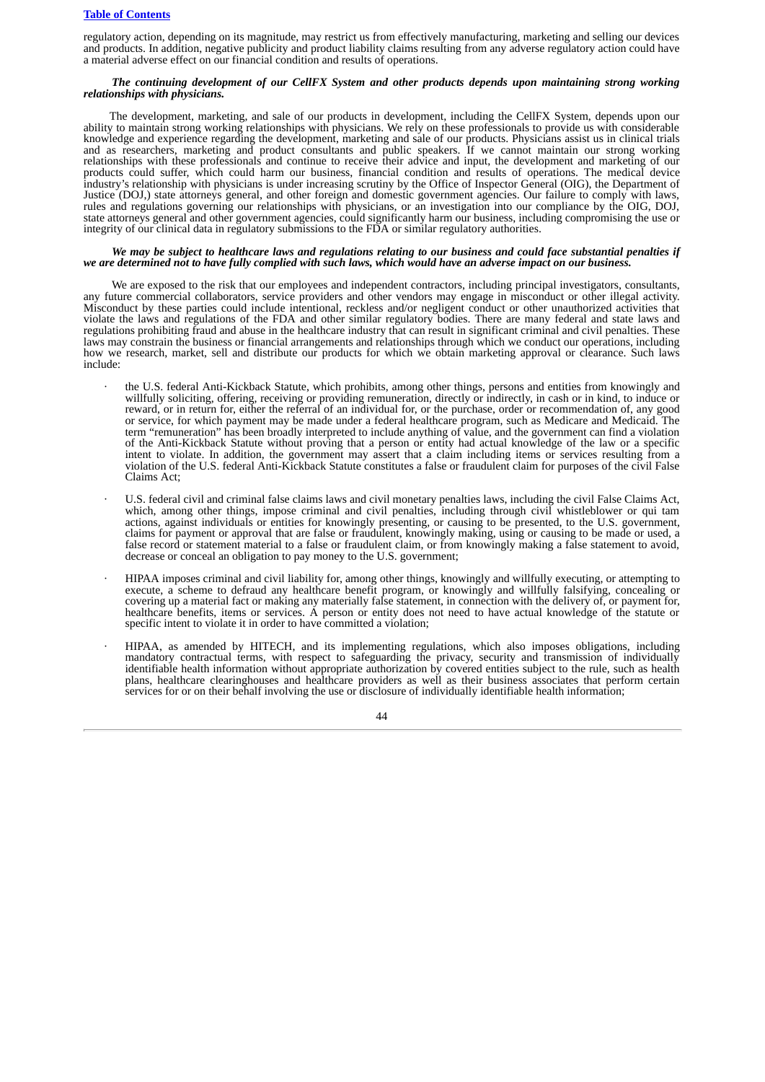regulatory action, depending on its magnitude, may restrict us from effectively manufacturing, marketing and selling our devices and products. In addition, negative publicity and product liability claims resulting from any adverse regulatory action could have a material adverse effect on our financial condition and results of operations.

#### *The continuing development of our CellFX System and other products depends upon maintaining strong working relationships with physicians.*

The development, marketing, and sale of our products in development, including the CellFX System, depends upon our ability to maintain strong working relationships with physicians. We rely on these professionals to provide us with considerable knowledge and experience regarding the development, marketing and sale of our products. Physicians assist us in clinical trials and as researchers, marketing and product consultants and public speakers. If we cannot maintain our strong working relationships with these professionals and continue to receive their advice and input, the development and marketing of our products could suffer, which could harm our business, financial condition and results of operations. The medical device industry's relationship with physicians is under increasing scrutiny by the Office of Inspector General (OIG), the Department of Justice (DOJ,) state attorneys general, and other foreign and domestic government agencies. Our failure to comply with laws, rules and regulations governing our relationships with physicians, or an investigation into our compliance by the OIG, DOJ, state attorneys general and other government agencies, could significantly harm our business, including compromising the use or integrity of our clinical data in regulatory submissions to the FDA or similar regulatory authorities.

#### We may be subject to healthcare laws and regulations relating to our business and could face substantial penalties if we are determined not to have fully complied with such laws, which would have an adverse impact on our business.

We are exposed to the risk that our employees and independent contractors, including principal investigators, consultants, any future commercial collaborators, service providers and other vendors may engage in misconduct or other illegal activity.<br>Misconduct by these parties could include intentional, reckless and/or negligent conduct or other violate the laws and regulations of the FDA and other similar regulatory bodies. There are many federal and state laws and regulations prohibiting fraud and abuse in the healthcare industry that can result in significant criminal and civil penalties. These laws may constrain the business or financial arrangements and relationships through which we conduct our operations, including how we research, market, sell and distribute our products for which we obtain marketing approval or clearance. Such laws include:

- the U.S. federal Anti-Kickback Statute, which prohibits, among other things, persons and entities from knowingly and willfully soliciting, offering, receiving or providing remuneration, directly or indirectly, in cash or in kind, to induce or reward, or in return for, either the referral of an individual for, or the purchase, order or recommendation of, any good or service, for which payment may be made under a federal healthcare program, such as Medicare and Medicaid. The term "remuneration" has been broadly interpreted to include anything of value, and the government can find a violation of the Anti-Kickback Statute without proving that a person or entity had actual knowledge of the law or a specific intent to violate. In addition, the government may assert that a claim including items or services resulting from a violation of the U.S. federal Anti-Kickback Statute constitutes a false or fraudulent claim for purposes of the civil False Claims Act;
- · U.S. federal civil and criminal false claims laws and civil monetary penalties laws, including the civil False Claims Act, which, among other things, impose criminal and civil penalties, including through civil whistleblower or qui tam actions, against individuals or entities for knowingly presenting, or causing to be presented, to the U.S. government, claims for payment or approval that are false or fraudulent, knowingly making, using or causing to be made or used, a false record or statement material to a false or fraudulent claim, or from knowingly making a false statement to avoid, decrease or conceal an obligation to pay money to the U.S. government;
- · HIPAA imposes criminal and civil liability for, among other things, knowingly and willfully executing, or attempting to execute, a scheme to defraud any healthcare benefit program, or knowingly and willfully falsifying, concealing or covering up a material fact or making any materially false statement, in connection with the delivery of, or payment for, healthcare benefits, items or services. A person or entity does not need to have actual knowledge of the statute or specific intent to violate it in order to have committed a violation;
- · HIPAA, as amended by HITECH, and its implementing regulations, which also imposes obligations, including mandatory contractual terms, with respect to safeguarding the privacy, security and transmission of individually identifiable health information without appropriate authorization by covered entities subject to the rule, such as health plans, healthcare clearinghouses and healthcare providers as well as their business associates that perform certain services for or on their behalf involving the use or disclosure of individually identifiable health information;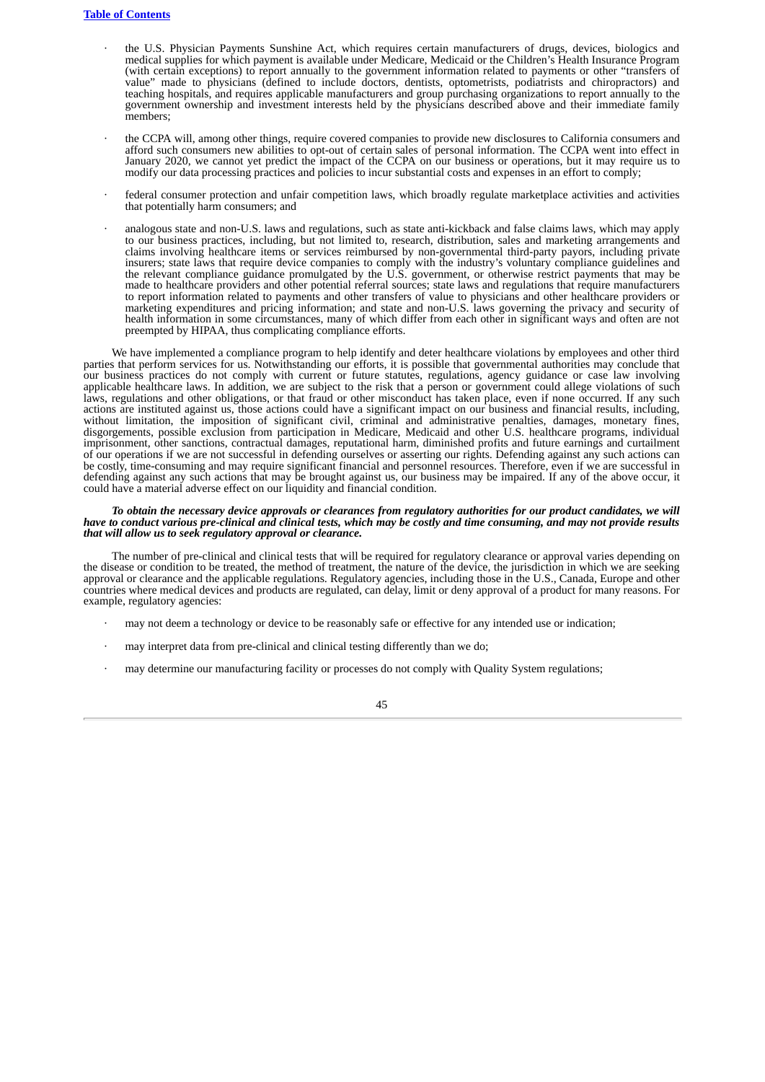- the U.S. Physician Payments Sunshine Act, which requires certain manufacturers of drugs, devices, biologics and medical supplies for which payment is available under Medicare, Medicaid or the Children's Health Insurance Program (with certain exceptions) to report annually to the government information related to payments or other "transfers of value" made to physicians (defined to include doctors, dentists, optometrists, podiatrists and chiropractors) and teaching hospitals, and requires applicable manufacturers and group purchasing organizations to report annually to the government ownership and investment interests held by the physicians described above and their immediate family members;
- the CCPA will, among other things, require covered companies to provide new disclosures to California consumers and afford such consumers new abilities to opt-out of certain sales of personal information. The CCPA went into effect in January 2020, we cannot yet predict the impact of the CCPA on our business or operations, but it may require us to modify our data processing practices and policies to incur substantial costs and expenses in an effort to comply;
- federal consumer protection and unfair competition laws, which broadly regulate marketplace activities and activities that potentially harm consumers; and
- · analogous state and non-U.S. laws and regulations, such as state anti-kickback and false claims laws, which may apply to our business practices, including, but not limited to, research, distribution, sales and marketing arrangements and claims involving healthcare items or services reimbursed by non-governmental third-party payors, including private insurers; state laws that require device companies to comply with the industry's voluntary compliance guidelines and the relevant compliance guidance promulgated by the U.S. government, or otherwise restrict payments that may be made to healthcare providers and other potential referral sources; state laws and regulations that require manufacturers to report information related to payments and other transfers of value to physicians and other healthcare providers or marketing expenditures and pricing information; and state and non-U.S. laws governing the privacy and security of health information in some circumstances, many of which differ from each other in significant ways and often are not preempted by HIPAA, thus complicating compliance efforts.

We have implemented a compliance program to help identify and deter healthcare violations by employees and other third parties that perform services for us. Notwithstanding our efforts, it is possible that governmental authorities may conclude that our business practices do not comply with current or future statutes, regulations, agency guidance or case law involving applicable healthcare laws. In addition, we are subject to the risk that a person or government could allege violations of such laws, regulations and other obligations, or that fraud or other misconduct has taken place, even if none occurred. If any such actions are instituted against us, those actions could have a significant impact on our business and financial results, including, without limitation, the imposition of significant civil, criminal and administrative penalties, damages, monetary fines, disgorgements, possible exclusion from participation in Medicare, Medicaid and other U.S. healthcare programs, individual imprisonment, other sanctions, contractual damages, reputational harm, diminished profits and future earnings and curtailment of our operations if we are not successful in defending ourselves or asserting our rights. Defending against any such actions can be costly, time-consuming and may require significant financial and personnel resources. Therefore, even if we are successful in defending against any such actions that may be brought against us, our business may be impaired. If any of the above occur, it could have a material adverse effect on our liquidity and financial condition.

#### To obtain the necessary device approvals or clearances from regulatory authorities for our product candidates, we will have to conduct various pre-clinical and clinical tests, which may be costly and time consuming, and may not provide results *that will allow us to seek regulatory approval or clearance.*

The number of pre-clinical and clinical tests that will be required for regulatory clearance or approval varies depending on the disease or condition to be treated, the method of treatment, the nature of the device, the jurisdiction in which we are seeking approval or clearance and the applicable regulations. Regulatory agencies, including those in the U.S., Canada, Europe and other countries where medical devices and products are regulated, can delay, limit or deny approval of a product for many reasons. For example, regulatory agencies:

- may not deem a technology or device to be reasonably safe or effective for any intended use or indication;
- may interpret data from pre-clinical and clinical testing differently than we do;
- may determine our manufacturing facility or processes do not comply with Quality System regulations;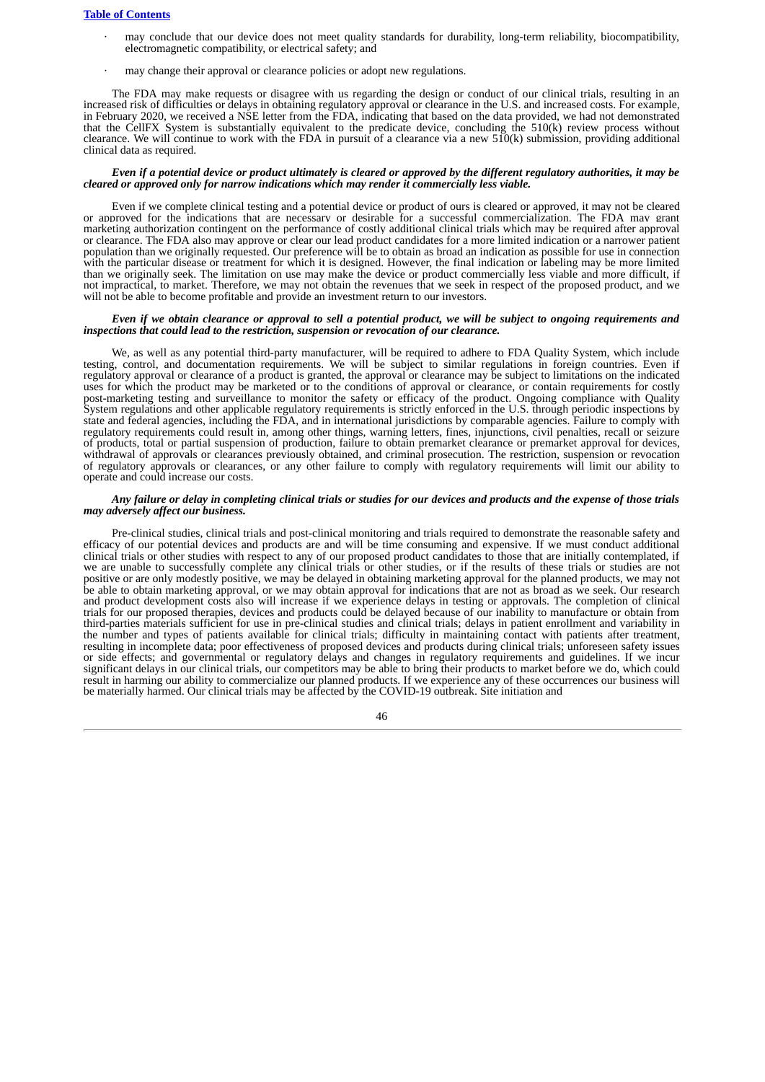- may conclude that our device does not meet quality standards for durability, long-term reliability, biocompatibility, electromagnetic compatibility, or electrical safety; and
- may change their approval or clearance policies or adopt new regulations.

The FDA may make requests or disagree with us regarding the design or conduct of our clinical trials, resulting in an increased risk of difficulties or delays in obtaining regulatory approval or clearance in the U.S. and increased costs. For example, in February 2020, we received a NSE letter from the FDA, indicating that based on the data provided, we had not demonstrated that the CellFX System is substantially equivalent to the predicate device, concluding the 510(k) review process without clearance. We will continue to work with the FDA in pursuit of a clearance via a new  $510(k)$  submission, providing additional clinical data as required.

#### Even if a potential device or product ultimately is cleared or approved by the different regulatory authorities, it may be *cleared or approved only for narrow indications which may render it commercially less viable.*

Even if we complete clinical testing and a potential device or product of ours is cleared or approved, it may not be cleared or approved for the indications that are necessary or desirable for a successful commercialization. The FDA may grant marketing authorization contingent on the performance of costly additional clinical trials which may be required after approval or clearance. The FDA also may approve or clear our lead product candidates for a more limited indication or a narrower patient population than we originally requested. Our preference will be to obtain as broad an indication as possible for use in connection with the particular disease or treatment for which it is designed. However, the final indication or labeling may be more limited than we originally seek. The limitation on use may make the device or product commercially less viable and more difficult, if not impractical, to market. Therefore, we may not obtain the revenues that we seek in respect of the proposed product, and we will not be able to become profitable and provide an investment return to our investors.

#### Even if we obtain clearance or approval to sell a potential product, we will be subject to ongoing requirements and *inspections that could lead to the restriction, suspension or revocation of our clearance.*

We, as well as any potential third-party manufacturer, will be required to adhere to FDA Quality System, which include testing, control, and documentation requirements. We will be subject to similar regulations in foreign countries. Even if regulatory approval or clearance of a product is granted, the approval or clearance may be subject to limitations on the indicated uses for which the product may be marketed or to the conditions of approval or clearance, or contain requirements for costly post-marketing testing and surveillance to monitor the safety or efficacy of the product. Ongoing compliance with Quality System regulations and other applicable regulatory requirements is strictly enforced in the U.S. through periodic inspections by state and federal agencies, including the FDA, and in international jurisdictions by comparable agencies. Failure to comply with regulatory requirements could result in, among other things, warning letters, fines, injunctions, civil penalties, recall or seizure of products, total or partial suspension of production, failure to obtain premarket clearance or premarket approval for devices, withdrawal of approvals or clearances previously obtained, and criminal prosecution. The restriction, suspension or revocation of regulatory approvals or clearances, or any other failure to comply with regulatory requirements will limit our ability to operate and could increase our costs.

#### Any failure or delay in completing clinical trials or studies for our devices and products and the expense of those trials *may adversely affect our business.*

Pre-clinical studies, clinical trials and post-clinical monitoring and trials required to demonstrate the reasonable safety and efficacy of our potential devices and products are and will be time consuming and expensive. If we must conduct additional clinical trials or other studies with respect to any of our proposed product candidates to those that are initially contemplated, if we are unable to successfully complete any clinical trials or other studies, or if the results of these trials or studies are not positive or are only modestly positive, we may be delayed in obtaining marketing approval for the planned products, we may not be able to obtain marketing approval, or we may obtain approval for indications that are not as broad as we seek. Our research and product development costs also will increase if we experience delays in testing or approvals. The completion of clinical trials for our proposed therapies, devices and products could be delayed because of our inability to manufacture or obtain from third-parties materials sufficient for use in pre-clinical studies and clinical trials; delays in patient enrollment and variability in the number and types of patients available for clinical trials; difficulty in maintaining contact with patients after treatment, resulting in incomplete data; poor effectiveness of proposed devices and products during clinical trials; unforeseen safety issues or side effects; and governmental or regulatory delays and changes in regulatory requirements and guidelines. If we incur significant delays in our clinical trials, our competitors may be able to bring their products to market before we do, which could result in harming our ability to commercialize our planned products. If we experience any of these occurrences our business will be materially harmed. Our clinical trials may be affected by the COVID-19 outbreak. Site initiation and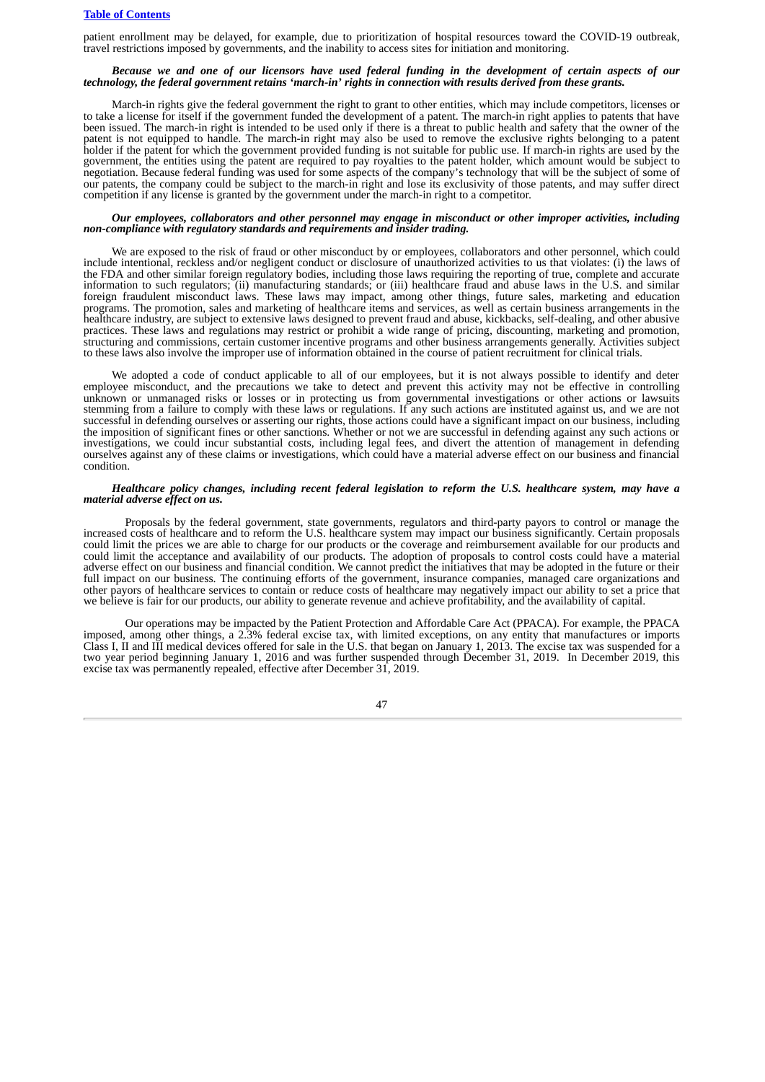patient enrollment may be delayed, for example, due to prioritization of hospital resources toward the COVID-19 outbreak, travel restrictions imposed by governments, and the inability to access sites for initiation and monitoring.

#### Because we and one of our licensors have used federal funding in the development of certain aspects of our *technology, the federal government retains 'march-in' rights in connection with results derived from these grants.*

March-in rights give the federal government the right to grant to other entities, which may include competitors, licenses or to take a license for itself if the government funded the development of a patent. The march-in right applies to patents that have been issued. The march-in right is intended to be used only if there is a threat to public health and safety that the owner of the patent is not equipped to handle. The march-in right may also be used to remove the exclusive rights belonging to a patent holder if the patent for which the government provided funding is not suitable for public use. If march-in rights are used by the government, the entities using the patent are required to pay royalties to the patent holder, which amount would be subject to negotiation. Because federal funding was used for some aspects of the company's technology that will be the subject of some of our patents, the company could be subject to the march-in right and lose its exclusivity of those patents, and may suffer direct competition if any license is granted by the government under the march-in right to a competitor.

#### *Our employees, collaborators and other personnel may engage in misconduct or other improper activities, including non-compliance with regulatory standards and requirements and insider trading.*

We are exposed to the risk of fraud or other misconduct by or employees, collaborators and other personnel, which could include intentional, reckless and/or negligent conduct or disclosure of unauthorized activities to us that violates: (i) the laws of the FDA and other similar foreign regulatory bodies, including those laws requiring the reporting of true, complete and accurate information to such regulators; (ii) manufacturing standards; or (iii) healthcare fraud and abuse laws in the U.S. and similar foreign fraudulent misconduct laws. These laws may impact, among other things, future sales, marketing and education programs. The promotion, sales and marketing of healthcare items and services, as well as certain business arrangements in the healthcare industry, are subject to extensive laws designed to prevent fraud and abuse, kickbacks, self-dealing, and other abusive practices. These laws and regulations may restrict or prohibit a wide range of pricing, discounting, marketing and promotion, structuring and commissions, certain customer incentive programs and other business arrangements generally. Activities subject to these laws also involve the improper use of information obtained in the course of patient recruitment for clinical trials.

We adopted a code of conduct applicable to all of our employees, but it is not always possible to identify and deter employee misconduct, and the precautions we take to detect and prevent this activity may not be effective in controlling unknown or unmanaged risks or losses or in protecting us from governmental investigations or other actions or lawsuits stemming from a failure to comply with these laws or regulations. If any such actions are instituted against us, and we are not successful in defending ourselves or asserting our rights, those actions could have a significant impact on our business, including the imposition of significant fines or other sanctions. Whether or not we are successful in defending against any such actions or investigations, we could incur substantial costs, including legal fees, and divert the attention of management in defending ourselves against any of these claims or investigations, which could have a material adverse effect on our business and financial condition.

#### *Healthcare policy changes, including recent federal legislation to reform the U.S. healthcare system, may have a material adverse effect on us.*

Proposals by the federal government, state governments, regulators and third-party payors to control or manage the increased costs of healthcare and to reform the U.S. healthcare system may impact our business significantly. Certain proposals could limit the prices we are able to charge for our products or the coverage and reimbursement available for our products and could limit the acceptance and availability of our products. The adoption of proposals to control costs could have a material adverse effect on our business and financial condition. We cannot predict the initiatives that may be adopted in the future or their full impact on our business. The continuing efforts of the government, insurance companies, managed care organizations and other payors of healthcare services to contain or reduce costs of healthcare may negatively impact our ability to set a price that we believe is fair for our products, our ability to generate revenue and achieve profitability, and the availability of capital.

Our operations may be impacted by the Patient Protection and Affordable Care Act (PPACA). For example, the PPACA imposed, among other things, a 2.3% federal excise tax, with limited exceptions, on any entity that manufactures or imports Class I, II and III medical devices offered for sale in the U.S. that began on January 1, 2013. The excise tax was suspended for a two year period beginning January 1, 2016 and was further suspended through December 31, 2019. In December 2019, this excise tax was permanently repealed, effective after December 31, 2019.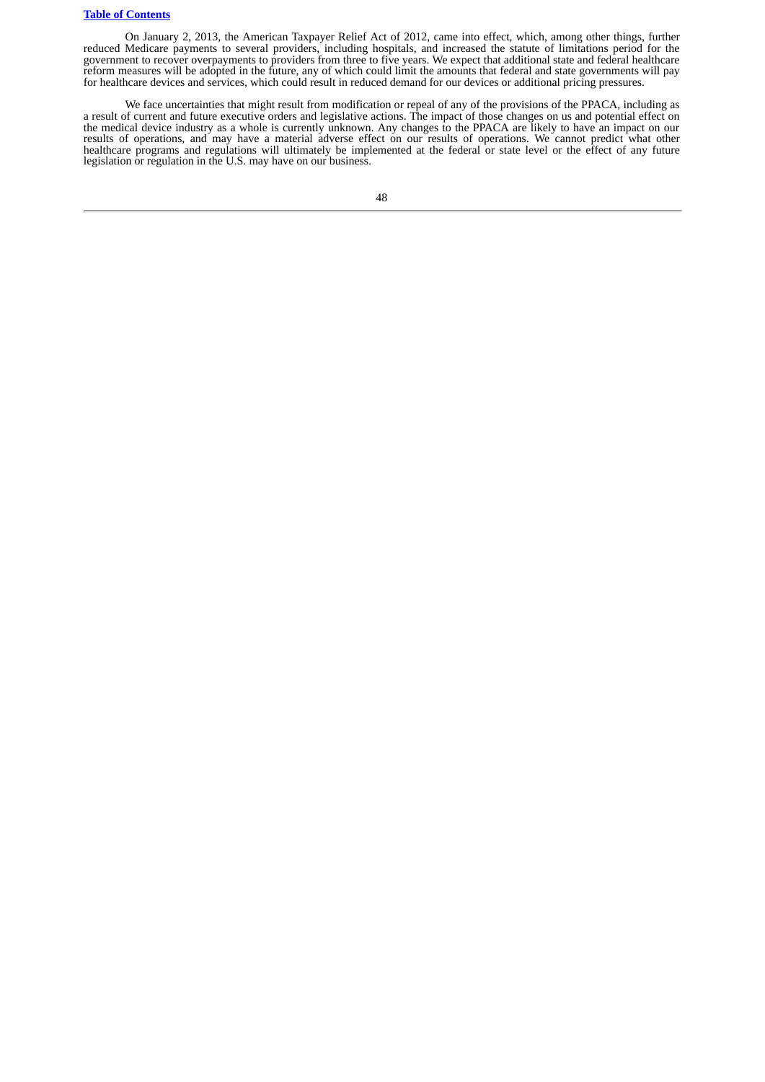On January 2, 2013, the American Taxpayer Relief Act of 2012, came into effect, which, among other things, further reduced Medicare payments to several providers, including hospitals, and increased the statute of limitations period for the government to recover overpayments to providers from three to five years. We expect that additional state and federal healthcare reform measures will be adopted in the future, any of which could limit the amounts that federal and state governments will pay for healthcare devices and services, which could result in reduced demand for our devices or additional pricing pressures.

We face uncertainties that might result from modification or repeal of any of the provisions of the PPACA, including as a result of current and future executive orders and legislative actions. The impact of those changes on us and potential effect on the medical device industry as a whole is currently unknown. Any changes to the PPACA are likely to have an impact on our results of operations, and may have a material adverse effect on our results of operations. We cannot predict what other healthcare programs and regulations will ultimately be implemented at the federal or state level or the effect of any future legislation or regulation in the U.S. may have on our business.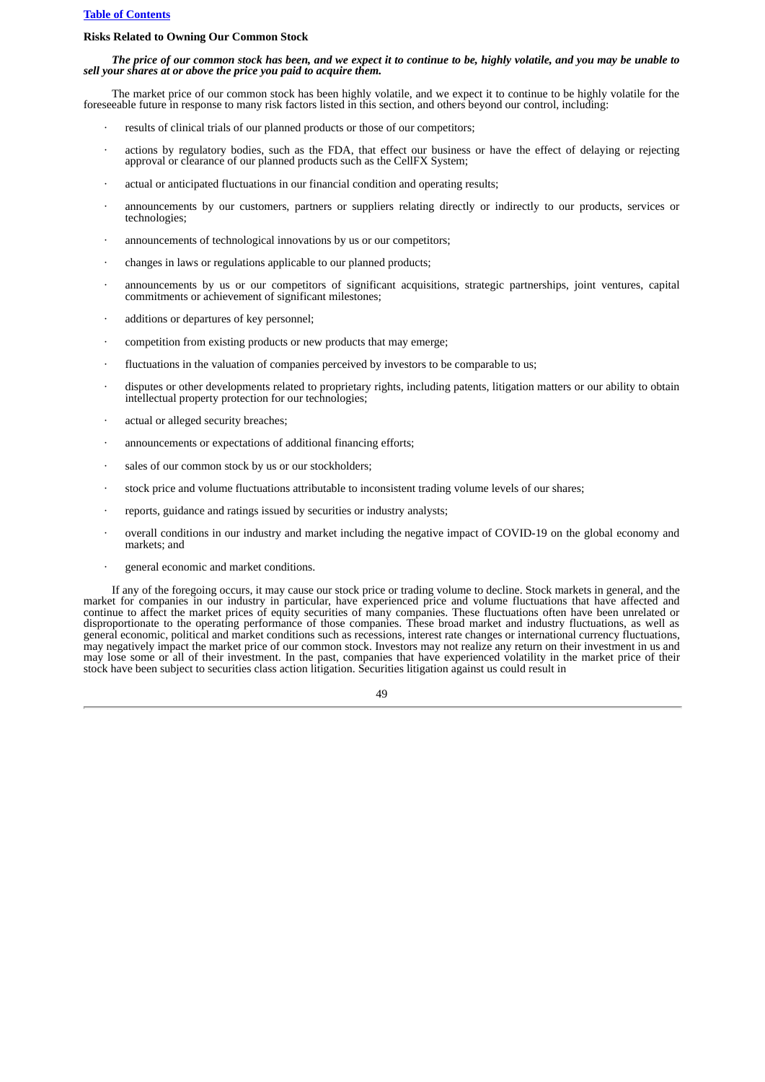# **Risks Related to Owning Our Common Stock**

# The price of our common stock has been, and we expect it to continue to be, highly volatile, and you may be unable to *sell your shares at or above the price you paid to acquire them.*

The market price of our common stock has been highly volatile, and we expect it to continue to be highly volatile for the foreseeable future in response to many risk factors listed in this section, and others beyond our control, including:

- results of clinical trials of our planned products or those of our competitors;
- actions by regulatory bodies, such as the FDA, that effect our business or have the effect of delaying or rejecting approval or clearance of our planned products such as the CellFX System;
- actual or anticipated fluctuations in our financial condition and operating results;
- · announcements by our customers, partners or suppliers relating directly or indirectly to our products, services or technologies;
- announcements of technological innovations by us or our competitors;
- · changes in laws or regulations applicable to our planned products;
- announcements by us or our competitors of significant acquisitions, strategic partnerships, joint ventures, capital commitments or achievement of significant milestones;
- · additions or departures of key personnel;
- · competition from existing products or new products that may emerge;
- · fluctuations in the valuation of companies perceived by investors to be comparable to us;
- disputes or other developments related to proprietary rights, including patents, litigation matters or our ability to obtain intellectual property protection for our technologies;
- actual or alleged security breaches;
- announcements or expectations of additional financing efforts;
- sales of our common stock by us or our stockholders;
- stock price and volume fluctuations attributable to inconsistent trading volume levels of our shares;
- · reports, guidance and ratings issued by securities or industry analysts;
- · overall conditions in our industry and market including the negative impact of COVID-19 on the global economy and markets; and
- general economic and market conditions.

If any of the foregoing occurs, it may cause our stock price or trading volume to decline. Stock markets in general, and the market for companies in our industry in particular, have experienced price and volume fluctuations that have affected and continue to affect the market prices of equity securities of many companies. These fluctuations often have been unrelated or disproportionate to the operating performance of those companies. These broad market and industry fluctuations, as well as general economic, political and market conditions such as recessions, interest rate changes or international currency fluctuations, may negatively impact the market price of our common stock. Investors may not realize any return on their investment in us and may lose some or all of their investment. In the past, companies that have experienced volatility in the market price of their stock have been subject to securities class action litigation. Securities litigation against us could result in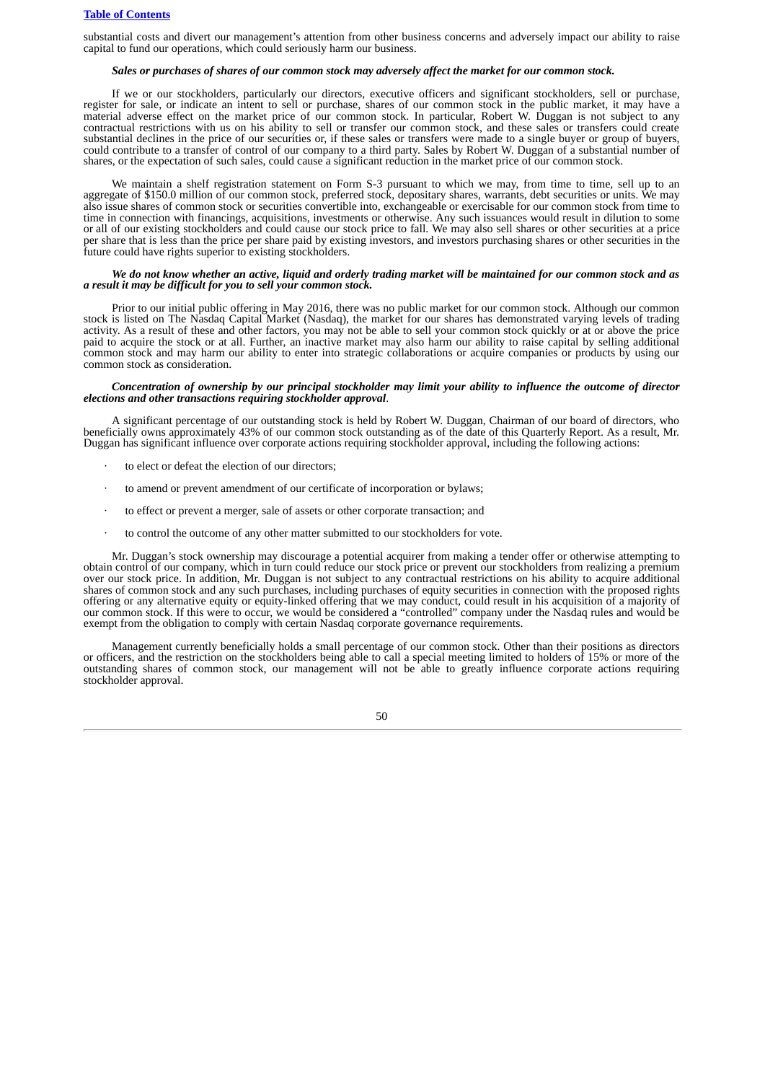substantial costs and divert our management's attention from other business concerns and adversely impact our ability to raise capital to fund our operations, which could seriously harm our business.

#### Sales or purchases of shares of our common stock may adversely affect the market for our common stock.

If we or our stockholders, particularly our directors, executive officers and significant stockholders, sell or purchase, register for sale, or indicate an intent to sell or purchase, shares of our common stock in the public market, it may have a material adverse effect on the market price of our common stock. In particular, Robert W. Duggan is not subject to any contractual restrictions with us on his ability to sell or transfer our common stock, and these sales or transfers could create substantial declines in the price of our securities or, if these sales or transfers were made to a single buyer or group of buyers, could contribute to a transfer of control of our company to a third party. Sales by Robert W. Duggan of a substantial number of shares, or the expectation of such sales, could cause a significant reduction in the market price of our common stock.

We maintain a shelf registration statement on Form S-3 pursuant to which we may, from time to time, sell up to an aggregate of \$150.0 million of our common stock, preferred stock, depositary shares, warrants, debt securities or units. We may also issue shares of common stock or securities convertible into, exchangeable or exercisable for our common stock from time to time in connection with financings, acquisitions, investments or otherwise. Any such issuances would result in dilution to some or all of our existing stockholders and could cause our stock price to fall. We may also sell shares or other securities at a price per share that is less than the price per share paid by existing investors, and investors purchasing shares or other securities in the future could have rights superior to existing stockholders.

#### We do not know whether an active, liquid and orderly trading market will be maintained for our common stock and as *a result it may be difficult for you to sell your common stock.*

Prior to our initial public offering in May 2016, there was no public market for our common stock. Although our common stock is listed on The Nasdaq Capital Market (Nasdaq), the market for our shares has demonstrated varying levels of trading activity. As a result of these and other factors, you may not be able to sell your common stock quickly or at or above the price paid to acquire the stock or at all. Further, an inactive market may also harm our ability to raise capital by selling additional common stock and may harm our ability to enter into strategic collaborations or acquire companies or products by using our common stock as consideration.

#### Concentration of ownership by our principal stockholder may limit your ability to influence the outcome of director *elections and other transactions requiring stockholder approval*.

A significant percentage of our outstanding stock is held by Robert W. Duggan, Chairman of our board of directors, who beneficially owns approximately 43% of our common stock outstanding as of the date of this Quarterly Report. As a result, Mr. Duggan has significant influence over corporate actions requiring stockholder approval, including the following actions:

- to elect or defeat the election of our directors;
- to amend or prevent amendment of our certificate of incorporation or bylaws;
- to effect or prevent a merger, sale of assets or other corporate transaction; and
- to control the outcome of any other matter submitted to our stockholders for vote.

Mr. Duggan's stock ownership may discourage a potential acquirer from making a tender offer or otherwise attempting to obtain control of our company, which in turn could reduce our stock price or prevent our stockholders from realizing a premium over our stock price. In addition, Mr. Duggan is not subject to any contractual restrictions on his ability to acquire additional shares of common stock and any such purchases, including purchases of equity securities in connection with the proposed rights offering or any alternative equity or equity-linked offering that we may conduct, could result in his acquisition of a majority of our common stock. If this were to occur, we would be considered a "controlled" company under the Nasdaq rules and would be exempt from the obligation to comply with certain Nasdaq corporate governance requirements.

Management currently beneficially holds a small percentage of our common stock. Other than their positions as directors or officers, and the restriction on the stockholders being able to call a special meeting limited to holders of 15% or more of the outstanding shares of common stock, our management will not be able to greatly influence corporate actions requiring stockholder approval.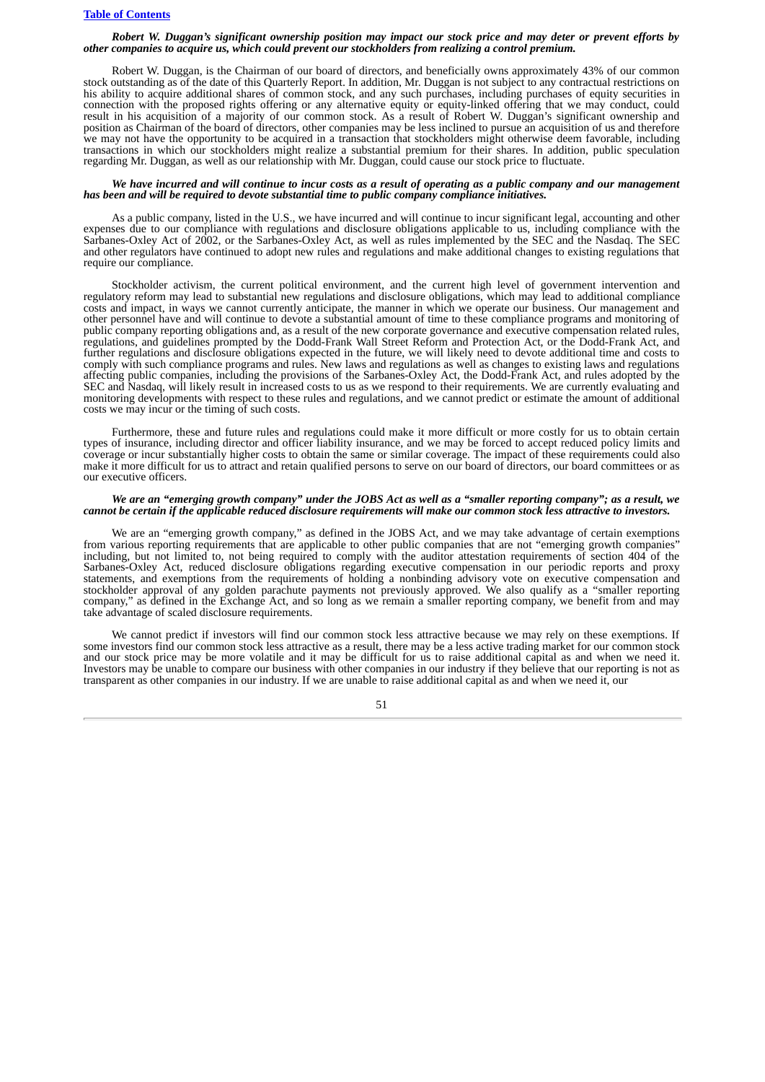#### Robert W. Duggan's significant ownership position may impact our stock price and may deter or prevent efforts by *other companies to acquire us, which could prevent our stockholders from realizing a control premium.*

Robert W. Duggan, is the Chairman of our board of directors, and beneficially owns approximately 43% of our common stock outstanding as of the date of this Quarterly Report. In addition, Mr. Duggan is not subject to any contractual restrictions on his ability to acquire additional shares of common stock, and any such purchases, including purchases of equity securities in connection with the proposed rights offering or any alternative equity or equity-linked offering that we may conduct, could result in his acquisition of a majority of our common stock. As a result of Robert W. Duggan's significant ownership and position as Chairman of the board of directors, other companies may be less inclined to pursue an acquisition of us and therefore we may not have the opportunity to be acquired in a transaction that stockholders might otherwise deem favorable, including transactions in which our stockholders might realize a substantial premium for their shares. In addition, public speculation regarding Mr. Duggan, as well as our relationship with Mr. Duggan, could cause our stock price to fluctuate.

#### We have incurred and will continue to incur costs as a result of operating as a public company and our management *has been and will be required to devote substantial time to public company compliance initiatives.*

As a public company, listed in the U.S., we have incurred and will continue to incur significant legal, accounting and other expenses due to our compliance with regulations and disclosure obligations applicable to us, including compliance with the Sarbanes-Oxley Act of 2002, or the Sarbanes-Oxley Act, as well as rules implemented by the SEC and the Nasdaq. The SEC and other regulators have continued to adopt new rules and regulations and make additional changes to existing regulations that require our compliance.

Stockholder activism, the current political environment, and the current high level of government intervention and regulatory reform may lead to substantial new regulations and disclosure obligations, which may lead to additional compliance costs and impact, in ways we cannot currently anticipate, the manner in which we operate our business. Our management and other personnel have and will continue to devote a substantial amount of time to these compliance programs and monitoring of public company reporting obligations and, as a result of the new corporate governance and executive compensation related rules, regulations, and guidelines prompted by the Dodd-Frank Wall Street Reform and Protection Act, or the Dodd-Frank Act, and further regulations and disclosure obligations expected in the future, we will likely need to devote additional time and costs to comply with such compliance programs and rules. New laws and regulations as well as changes to existing laws and regulations affecting public companies, including the provisions of the Sarbanes-Oxley Act, the Dodd-Frank Act, and rules adopted by the SEC and Nasdaq, will likely result in increased costs to us as we respond to their requirements. We are currently evaluating and monitoring developments with respect to these rules and regulations, and we cannot predict or estimate the amount of additional costs we may incur or the timing of such costs.

Furthermore, these and future rules and regulations could make it more difficult or more costly for us to obtain certain types of insurance, including director and officer liability insurance, and we may be forced to accept reduced policy limits and coverage or incur substantially higher costs to obtain the same or similar coverage. The impact of these requirements could also make it more difficult for us to attract and retain qualified persons to serve on our board of directors, our board committees or as our executive officers.

#### We are an "emerging growth company" under the JOBS Act as well as a "smaller reporting company"; as a result, we cannot be certain if the applicable reduced disclosure requirements will make our common stock less attractive to investors.

We are an "emerging growth company," as defined in the JOBS Act, and we may take advantage of certain exemptions from various reporting requirements that are applicable to other public companies that are not "emerging growth companies" including, but not limited to, not being required to comply with the auditor attestation requirements of section 404 of the Sarbanes-Oxley Act, reduced disclosure obligations regarding executive compensation in our periodic reports and proxy statements, and exemptions from the requirements of holding a nonbinding advisory vote on executive compensation and stockholder approval of any golden parachute payments not previously approved. We also qualify as a "smaller reporting company," as defined in the Exchange Act, and so long as we remain a smaller reporting company, we benefit from and may take advantage of scaled disclosure requirements.

We cannot predict if investors will find our common stock less attractive because we may rely on these exemptions. If some investors find our common stock less attractive as a result, there may be a less active trading market for our common stock and our stock price may be more volatile and it may be difficult for us to raise additional capital as and when we need it. Investors may be unable to compare our business with other companies in our industry if they believe that our reporting is not as transparent as other companies in our industry. If we are unable to raise additional capital as and when we need it, our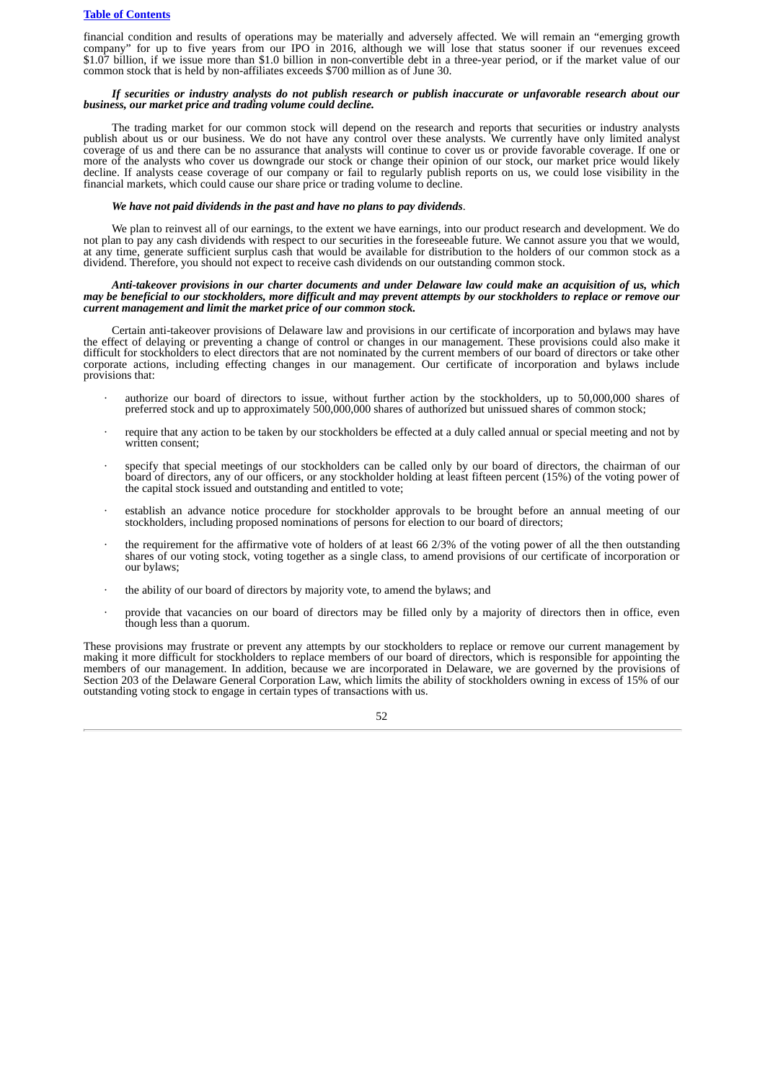financial condition and results of operations may be materially and adversely affected. We will remain an "emerging growth company" for up to five years from our IPO in 2016, although we will lose that status sooner if our for up to five years from our IPO in 2016, although we will lose that status sooner if our revenues exceed \$1.07 billion, if we issue more than \$1.0 billion in non-convertible debt in a three-year period, or if the market value of our common stock that is held by non-affiliates exceeds \$700 million as of June 30.

#### If securities or industry analysts do not publish research or publish inaccurate or unfavorable research about our *business, our market price and trading volume could decline.*

The trading market for our common stock will depend on the research and reports that securities or industry analysts publish about us or our business. We do not have any control over these analysts. We currently have only limited analyst coverage of us and there can be no assurance that analysts will continue to cover us or provide favorable coverage. If one or more of the analysts who cover us downgrade our stock or change their opinion of our stock, our market price would likely decline. If analysts cease coverage of our company or fail to regularly publish reports on us, we could lose visibility in the financial markets, which could cause our share price or trading volume to decline.

# *We have not paid dividends in the past and have no plans to pay dividends*.

We plan to reinvest all of our earnings, to the extent we have earnings, into our product research and development. We do not plan to pay any cash dividends with respect to our securities in the foreseeable future. We cannot assure you that we would, at any time, generate sufficient surplus cash that would be available for distribution to the holders of our common stock as a dividend. Therefore, you should not expect to receive cash dividends on our outstanding common stock.

#### Anti-takeover provisions in our charter documents and under Delaware law could make an acquisition of us, which may be beneficial to our stockholders, more difficult and may prevent attempts by our stockholders to replace or remove our *current management and limit the market price of our common stock.*

Certain anti-takeover provisions of Delaware law and provisions in our certificate of incorporation and bylaws may have the effect of delaying or preventing a change of control or changes in our management. These provisions could also make it difficult for stockholders to elect directors that are not nominated by the current members of our board of directors or take other corporate actions, including effecting changes in our management. Our certificate of incorporation and bylaws include provisions that:

- authorize our board of directors to issue, without further action by the stockholders, up to 50,000,000 shares of preferred stock and up to approximately 500,000,000 shares of authorized but unissued shares of common stock;
- require that any action to be taken by our stockholders be effected at a duly called annual or special meeting and not by written consent;
- specify that special meetings of our stockholders can be called only by our board of directors, the chairman of our board of directors, any of our officers, or any stockholder holding at least fifteen percent (15%) of the voting power of the capital stock issued and outstanding and entitled to vote;
- establish an advance notice procedure for stockholder approvals to be brought before an annual meeting of our stockholders, including proposed nominations of persons for election to our board of directors;
- the requirement for the affirmative vote of holders of at least 66 2/3% of the voting power of all the then outstanding shares of our voting stock, voting together as a single class, to amend provisions of our certificate of incorporation or our bylaws;
- the ability of our board of directors by majority vote, to amend the bylaws; and
- · provide that vacancies on our board of directors may be filled only by a majority of directors then in office, even though less than a quorum.

These provisions may frustrate or prevent any attempts by our stockholders to replace or remove our current management by making it more difficult for stockholders to replace members of our board of directors, which is responsible for appointing the members of our management. In addition, because we are incorporated in Delaware, we are governed by the provisions of Section 203 of the Delaware General Corporation Law, which limits the ability of stockholders owning in excess of 15% of our outstanding voting stock to engage in certain types of transactions with us.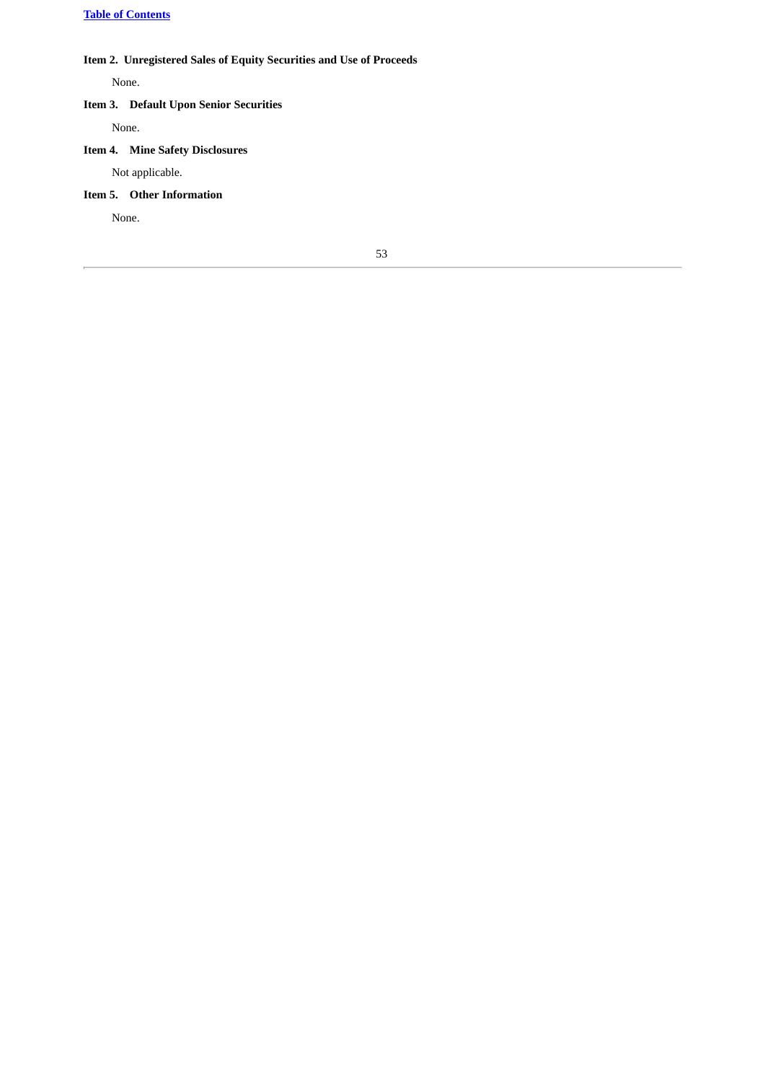# **Item 2. Unregistered Sales of Equity Securities and Use of Proceeds**

<span id="page-52-0"></span>None.

# **Item 3. Default Upon Senior Securities**

<span id="page-52-1"></span>None.

# **Item 4. Mine Safety Disclosures**

<span id="page-52-2"></span>Not applicable.

# **Item 5. Other Information**

<span id="page-52-3"></span>None.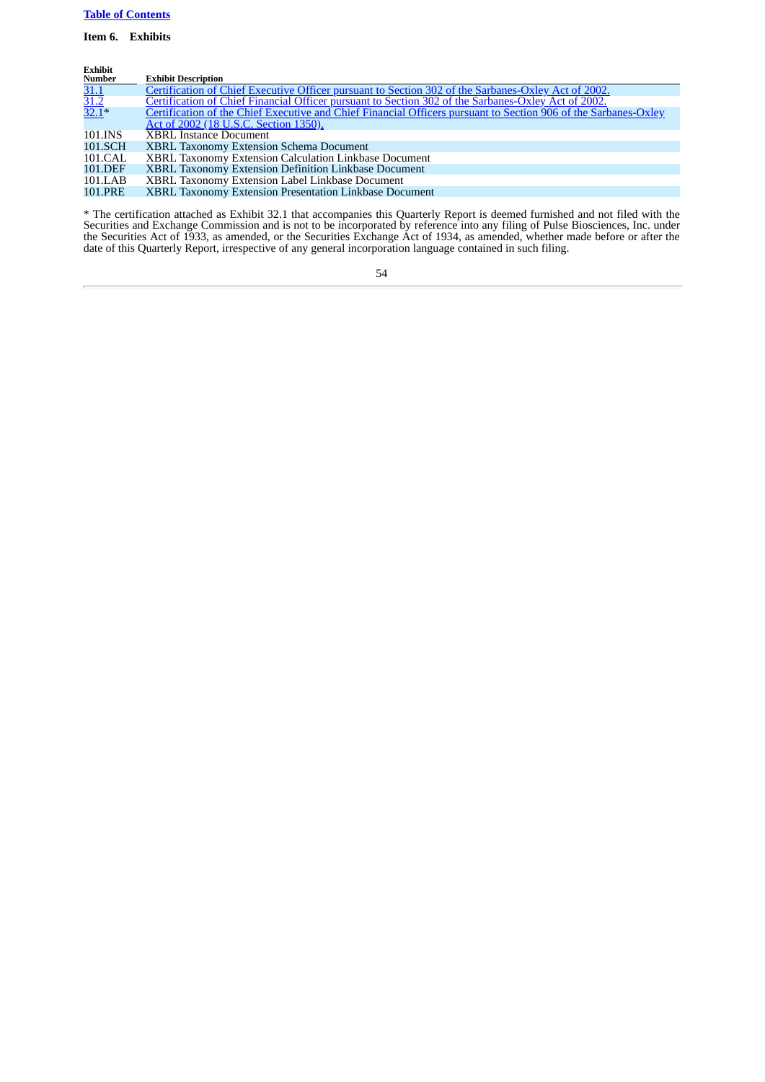# <span id="page-53-0"></span>**Item 6. Exhibits**

| <b>Exhibit</b>                             |                                                                                                                 |
|--------------------------------------------|-----------------------------------------------------------------------------------------------------------------|
| <b>Number</b>                              | <b>Exhibit Description</b>                                                                                      |
| $\frac{31.1}{31.2}$<br>$\frac{32.1}{32.1}$ | Certification of Chief Executive Officer pursuant to Section 302 of the Sarbanes-Oxley Act of 2002.             |
|                                            | Certification of Chief Financial Officer pursuant to Section 302 of the Sarbanes-Oxley Act of 2002.             |
|                                            | Certification of the Chief Executive and Chief Financial Officers pursuant to Section 906 of the Sarbanes-Oxley |
|                                            | Act of 2002 (18 U.S.C. Section 1350).                                                                           |
| 101.INS                                    | <b>XBRL Instance Document</b>                                                                                   |
| 101.SCH                                    | <b>XBRL Taxonomy Extension Schema Document</b>                                                                  |
| 101.CAL                                    | XBRL Taxonomy Extension Calculation Linkbase Document                                                           |
| 101.DEF                                    | XBRL Taxonomy Extension Definition Linkbase Document                                                            |
| 101.LAB                                    | XBRL Taxonomy Extension Label Linkbase Document                                                                 |
| 101.PRE                                    | XBRL Taxonomy Extension Presentation Linkbase Document                                                          |
|                                            |                                                                                                                 |

\* The certification attached as Exhibit 32.1 that accompanies this Quarterly Report is deemed furnished and not filed with the Securities and Exchange Commission and is not to be incorporated by reference into any filing of Pulse Biosciences, Inc. under the Securities Act of 1933, as amended, or the Securities Exchange Act of 1934, as amended, whether made before or after the date of this Quarterly Report, irrespective of any general incorporation language contained in such filing.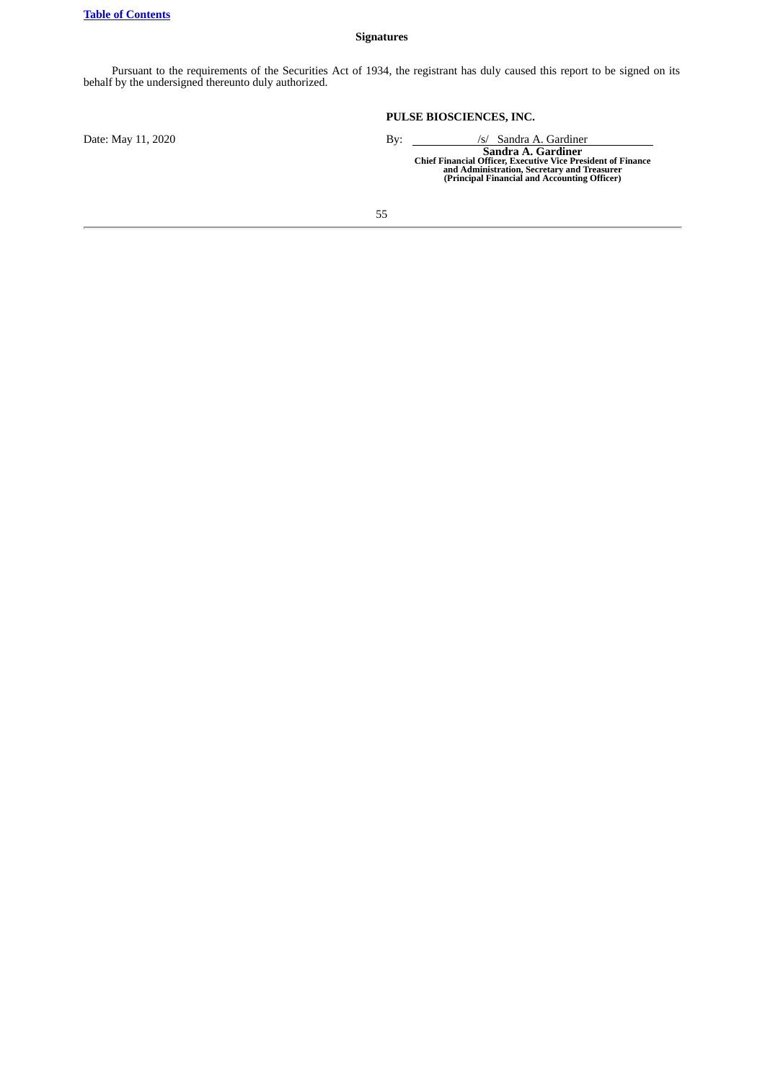# <span id="page-54-0"></span>**Signatures**

Pursuant to the requirements of the Securities Act of 1934, the registrant has duly caused this report to be signed on its behalf by the undersigned thereunto duly authorized.

# **PULSE BIOSCIENCES, INC.**

Date: May 11, 2020 **By:** *By: Islamic Books By: By: Islamic Books By: By: By: By: Islamic Books* By: *Islamic Books* By: *Islamic Books* By: *Islamic Books* By: *Islamic Books* Books Books By: *Islamic Books* Sandra A. Gardiner<br>Chief Financial Officer, Executive Vice President of Finance<br>and Administration, Secretary and Treasurer<br>(Principal Financial and Accounting Officer)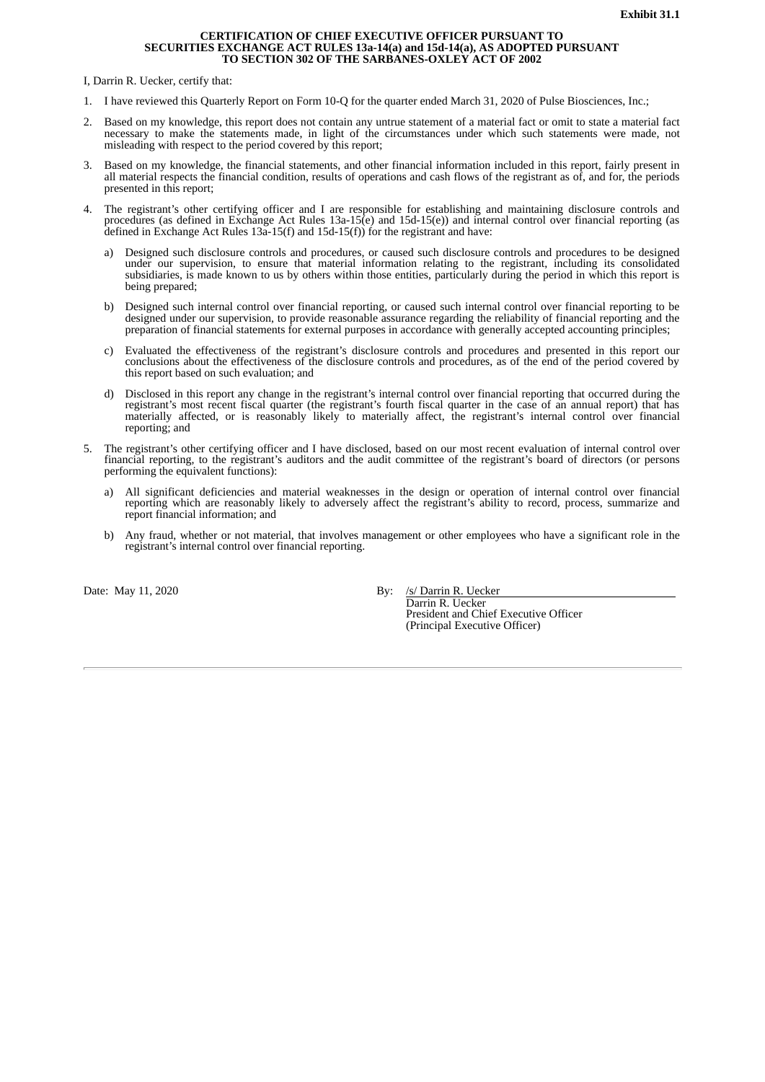#### **CERTIFICATION OF CHIEF EXECUTIVE OFFICER PURSUANT TO SECURITIES EXCHANGE ACT RULES 13a-14(a) and 15d-14(a), AS ADOPTED PURSUANT TO SECTION 302 OF THE SARBANES-OXLEY ACT OF 2002**

<span id="page-55-0"></span>I, Darrin R. Uecker, certify that:

- 1. I have reviewed this Quarterly Report on Form 10-Q for the quarter ended March 31, 2020 of Pulse Biosciences, Inc.;
- 2. Based on my knowledge, this report does not contain any untrue statement of a material fact or omit to state a material fact necessary to make the statements made, in light of the circumstances under which such statements were made, not misleading with respect to the period covered by this report;
- 3. Based on my knowledge, the financial statements, and other financial information included in this report, fairly present in all material respects the financial condition, results of operations and cash flows of the registrant as of, and for, the periods presented in this report;
- 4. The registrant's other certifying officer and I are responsible for establishing and maintaining disclosure controls and procedures (as defined in Exchange Act Rules 13a-15(e) and 15d-15(e)) and internal control over financial reporting (as defined in Exchange Act Rules 13a-15(f) and 15d-15(f)) for the registrant and have:
	- a) Designed such disclosure controls and procedures, or caused such disclosure controls and procedures to be designed under our supervision, to ensure that material information relating to the registrant, including its consolidated subsidiaries, is made known to us by others within those entities, particularly during the period in which this report is being prepared;
	- b) Designed such internal control over financial reporting, or caused such internal control over financial reporting to be designed under our supervision, to provide reasonable assurance regarding the reliability of financial reporting and the preparation of financial statements for external purposes in accordance with generally accepted accounting principles;
	- c) Evaluated the effectiveness of the registrant's disclosure controls and procedures and presented in this report our conclusions about the effectiveness of the disclosure controls and procedures, as of the end of the period covered by this report based on such evaluation; and
	- d) Disclosed in this report any change in the registrant's internal control over financial reporting that occurred during the registrant's most recent fiscal quarter (the registrant's fourth fiscal quarter in the case of an annual report) that has materially affected, or is reasonably likely to materially affect, the registrant's internal control over financial reporting; and
- 5. The registrant's other certifying officer and I have disclosed, based on our most recent evaluation of internal control over financial reporting, to the registrant's auditors and the audit committee of the registrant's board of directors (or persons performing the equivalent functions):
	- a) All significant deficiencies and material weaknesses in the design or operation of internal control over financial reporting which are reasonably likely to adversely affect the registrant's ability to record, process, summarize and report financial information; and
	- b) Any fraud, whether or not material, that involves management or other employees who have a significant role in the registrant's internal control over financial reporting.

Date: May 11, 2020 By: /s/ Darrin R. Uecker Darrin R. Uecker President and Chief Executive Officer (Principal Executive Officer)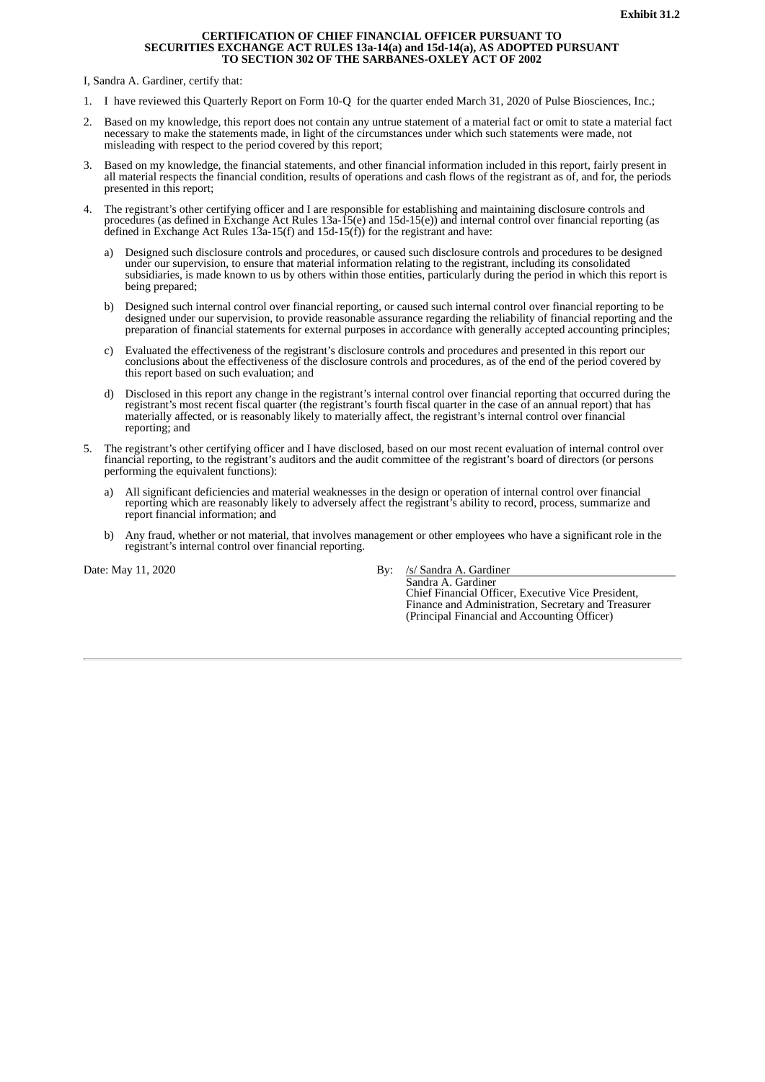#### **CERTIFICATION OF CHIEF FINANCIAL OFFICER PURSUANT TO SECURITIES EXCHANGE ACT RULES 13a-14(a) and 15d-14(a), AS ADOPTED PURSUANT TO SECTION 302 OF THE SARBANES-OXLEY ACT OF 2002**

<span id="page-56-0"></span>I, Sandra A. Gardiner, certify that:

- 1. I have reviewed this Quarterly Report on Form 10-Q for the quarter ended March 31, 2020 of Pulse Biosciences, Inc.;
- 2. Based on my knowledge, this report does not contain any untrue statement of a material fact or omit to state a material fact necessary to make the statements made, in light of the circumstances under which such statements were made, not misleading with respect to the period covered by this report;
- 3. Based on my knowledge, the financial statements, and other financial information included in this report, fairly present in all material respects the financial condition, results of operations and cash flows of the registrant as of, and for, the periods presented in this report;
- 4. The registrant's other certifying officer and I are responsible for establishing and maintaining disclosure controls and procedures (as defined in Exchange Act Rules 13a-15(e) and 15d-15(e)) and internal control over financial reporting (as defined in Exchange Act Rules  $13a-15(f)$  and  $15d-15(f)$  for the registrant and have:
	- a) Designed such disclosure controls and procedures, or caused such disclosure controls and procedures to be designed under our supervision, to ensure that material information relating to the registrant, including its consolidated subsidiaries, is made known to us by others within those entities, particularly during the period in which this report is being prepared;
	- b) Designed such internal control over financial reporting, or caused such internal control over financial reporting to be designed under our supervision, to provide reasonable assurance regarding the reliability of financial reporting and the preparation of financial statements for external purposes in accordance with generally accepted accounting principles;
	- c) Evaluated the effectiveness of the registrant's disclosure controls and procedures and presented in this report our conclusions about the effectiveness of the disclosure controls and procedures, as of the end of the period covered by this report based on such evaluation; and
	- d) Disclosed in this report any change in the registrant's internal control over financial reporting that occurred during the registrant's most recent fiscal quarter (the registrant's fourth fiscal quarter in the case of an annual report) that has materially affected, or is reasonably likely to materially affect, the registrant's internal control over financial reporting; and
- 5. The registrant's other certifying officer and I have disclosed, based on our most recent evaluation of internal control over financial reporting, to the registrant's auditors and the audit committee of the registrant's board of directors (or persons performing the equivalent functions):
	- a) All significant deficiencies and material weaknesses in the design or operation of internal control over financial reporting which are reasonably likely to adversely affect the registrant's ability to record, process, summarize and report financial information; and
	- b) Any fraud, whether or not material, that involves management or other employees who have a significant role in the registrant's internal control over financial reporting.

Date: May 11, 2020 By: /s/ Sandra A. Gardiner

Sandra A. Gardiner Chief Financial Officer, Executive Vice President, Finance and Administration, Secretary and Treasurer (Principal Financial and Accounting Officer)